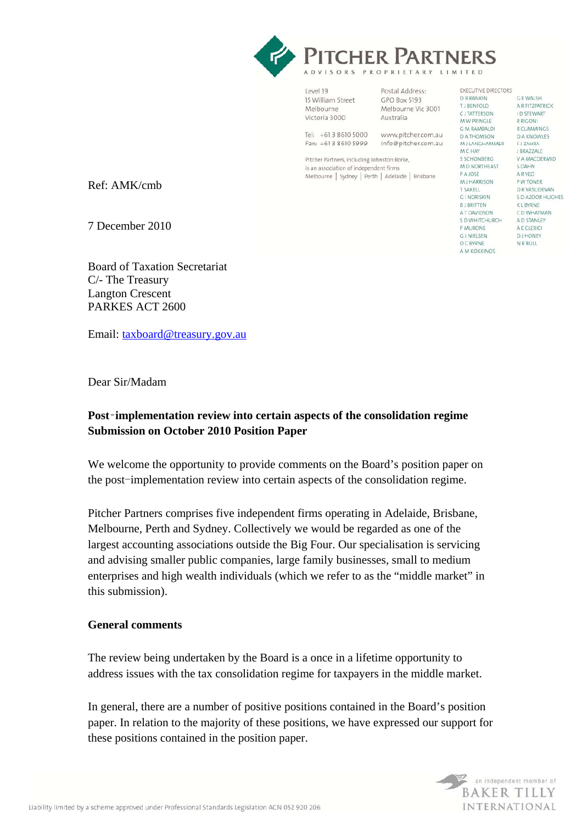

Level 19 15 William Street Melhourne Victoria 3000

Postal Address: GPO Box 5193 Melbourne Vic 3001 Australia

EXECUTIVE DIRECTORS

 $C$  E WALSH

I D STEWART

**R CUMMINGS** 

**DA KNOWLES** 

V A MACDERMID

R RIGONI

E I ZAHRA J BRAZZALE

**S DAHN** 

**A R YEO** 

P W TONER

K I RVPNE

D R VASUDEVAN

C D WHATMAN

A D STANLEY

A E CLERICI

**DJ HONEY** 

N R BULL

S D AZOOR HUGHES

A R FITZPATRICK

**D B RANKIN** 

T LBENEOLD

**CJTATTERSON** 

M W PRINGLE

G M RAMBALDI

M J LANGHAMMER

M D NORTHEAST

**DATHOMSON** 

**MCHAY S SCHONRERG** 

PAJOSE **MJ HARRISON** 

T SAKELL

**GLNORISKIN** 

A T DAVIDSON

S D WHITCHURCH

**RI RRITTEN** 

P MURONE

GJNIELSEN

**D C BYRNE** 

A M KOKKINOS

Tel: +613 8610 5000 www.pitcher.com.au Fax: +613 8610 5999 info@pitcher.com.au

Pitcher Partners, including Johnston Rorke, is an association of independent firms Melbourne | Sydney | Perth | Adelaide | Brisbane

Ref: AMK/cmb

7 December 2010

Board of Taxation Secretariat C/- The Treasury Langton Crescent PARKES ACT 2600

Email: taxboard@treasury.gov.au

Dear Sir/Madam

# **Post**‑**implementation review into certain aspects of the consolidation regime Submission on October 2010 Position Paper**

We welcome the opportunity to provide comments on the Board's position paper on the post-implementation review into certain aspects of the consolidation regime.

Pitcher Partners comprises five independent firms operating in Adelaide, Brisbane, Melbourne, Perth and Sydney. Collectively we would be regarded as one of the largest accounting associations outside the Big Four. Our specialisation is servicing and advising smaller public companies, large family businesses, small to medium enterprises and high wealth individuals (which we refer to as the "middle market" in this submission).

# **General comments**

The review being undertaken by the Board is a once in a lifetime opportunity to address issues with the tax consolidation regime for taxpayers in the middle market.

In general, there are a number of positive positions contained in the Board's position paper. In relation to the majority of these positions, we have expressed our support for these positions contained in the position paper.

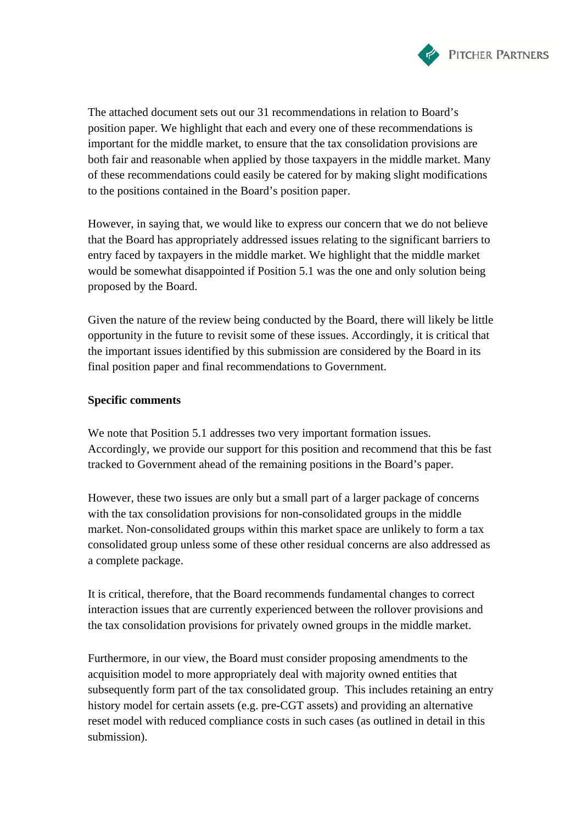

The attached document sets out our 31 recommendations in relation to Board's position paper. We highlight that each and every one of these recommendations is important for the middle market, to ensure that the tax consolidation provisions are both fair and reasonable when applied by those taxpayers in the middle market. Many of these recommendations could easily be catered for by making slight modifications to the positions contained in the Board's position paper.

However, in saying that, we would like to express our concern that we do not believe that the Board has appropriately addressed issues relating to the significant barriers to entry faced by taxpayers in the middle market. We highlight that the middle market would be somewhat disappointed if Position 5.1 was the one and only solution being proposed by the Board.

Given the nature of the review being conducted by the Board, there will likely be little opportunity in the future to revisit some of these issues. Accordingly, it is critical that the important issues identified by this submission are considered by the Board in its final position paper and final recommendations to Government.

### **Specific comments**

We note that Position 5.1 addresses two very important formation issues. Accordingly, we provide our support for this position and recommend that this be fast tracked to Government ahead of the remaining positions in the Board's paper.

However, these two issues are only but a small part of a larger package of concerns with the tax consolidation provisions for non-consolidated groups in the middle market. Non-consolidated groups within this market space are unlikely to form a tax consolidated group unless some of these other residual concerns are also addressed as a complete package.

It is critical, therefore, that the Board recommends fundamental changes to correct interaction issues that are currently experienced between the rollover provisions and the tax consolidation provisions for privately owned groups in the middle market.

Furthermore, in our view, the Board must consider proposing amendments to the acquisition model to more appropriately deal with majority owned entities that subsequently form part of the tax consolidated group. This includes retaining an entry history model for certain assets (e.g. pre-CGT assets) and providing an alternative reset model with reduced compliance costs in such cases (as outlined in detail in this submission).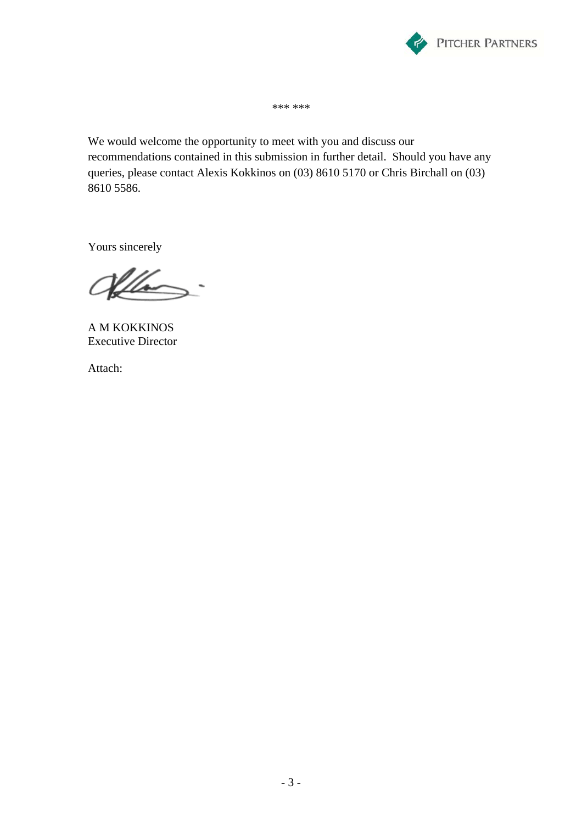

\*\*\* \*\*\*

We would welcome the opportunity to meet with you and discuss our recommendations contained in this submission in further detail. Should you have any queries, please contact Alexis Kokkinos on (03) 8610 5170 or Chris Birchall on (03) 8610 5586.

Yours sincerely

Hho

A M KOKKINOS Executive Director

Attach: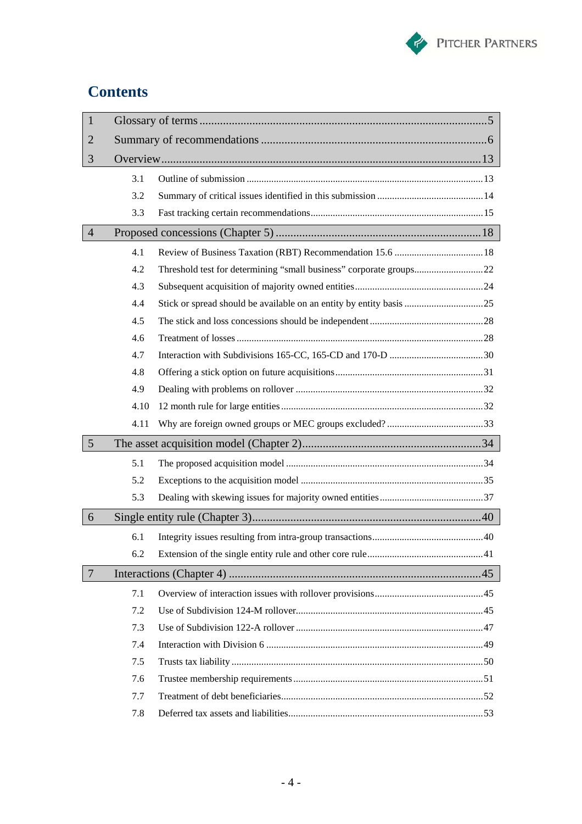

# **Contents**

| $\mathbf{1}$    |      |  |  |  |
|-----------------|------|--|--|--|
| $\overline{2}$  |      |  |  |  |
| 3               |      |  |  |  |
|                 | 3.1  |  |  |  |
|                 | 3.2  |  |  |  |
|                 | 3.3  |  |  |  |
| $\overline{4}$  |      |  |  |  |
|                 | 4.1  |  |  |  |
|                 | 4.2  |  |  |  |
|                 | 4.3  |  |  |  |
|                 | 4.4  |  |  |  |
|                 | 4.5  |  |  |  |
|                 | 4.6  |  |  |  |
|                 | 4.7  |  |  |  |
|                 | 4.8  |  |  |  |
|                 | 4.9  |  |  |  |
|                 | 4.10 |  |  |  |
|                 | 4.11 |  |  |  |
| $5\overline{)}$ |      |  |  |  |
|                 | 5.1  |  |  |  |
|                 | 5.2  |  |  |  |
|                 |      |  |  |  |
|                 | 5.3  |  |  |  |
| 6               |      |  |  |  |
|                 | 6.1  |  |  |  |
|                 | 6.2  |  |  |  |
| $\overline{7}$  |      |  |  |  |
|                 | 7.1  |  |  |  |
|                 | 7.2  |  |  |  |
|                 | 7.3  |  |  |  |
|                 | 7.4  |  |  |  |
|                 | 7.5  |  |  |  |
|                 | 7.6  |  |  |  |
|                 | 7.7  |  |  |  |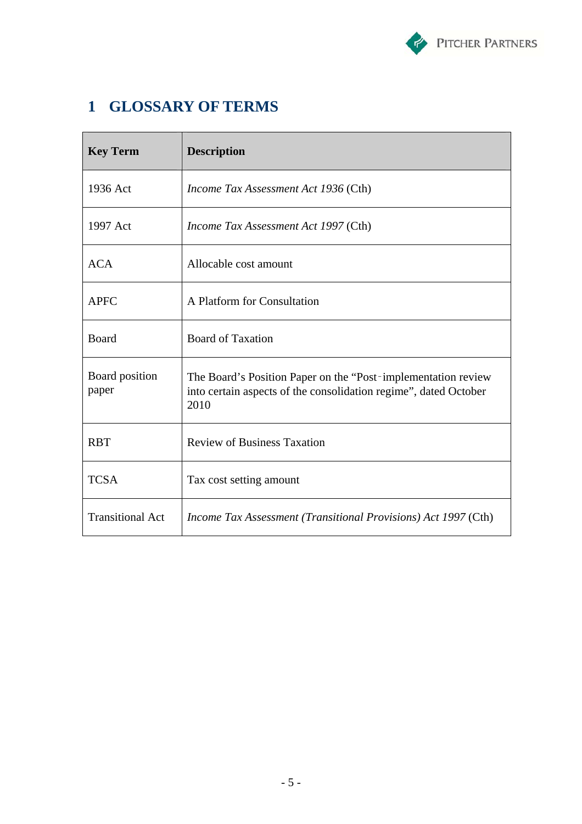

# **1 GLOSSARY OF TERMS**

| <b>Key Term</b>         | <b>Description</b>                                                                                                                         |
|-------------------------|--------------------------------------------------------------------------------------------------------------------------------------------|
| 1936 Act                | <i>Income Tax Assessment Act 1936</i> (Cth)                                                                                                |
| 1997 Act                | Income Tax Assessment Act 1997 (Cth)                                                                                                       |
| <b>ACA</b>              | Allocable cost amount                                                                                                                      |
| <b>APFC</b>             | A Platform for Consultation                                                                                                                |
| Board                   | <b>Board of Taxation</b>                                                                                                                   |
| Board position<br>paper | The Board's Position Paper on the "Post-implementation review"<br>into certain aspects of the consolidation regime", dated October<br>2010 |
| <b>RBT</b>              | <b>Review of Business Taxation</b>                                                                                                         |
| <b>TCSA</b>             | Tax cost setting amount                                                                                                                    |
| <b>Transitional Act</b> | <i>Income Tax Assessment (Transitional Provisions) Act 1997 (Cth)</i>                                                                      |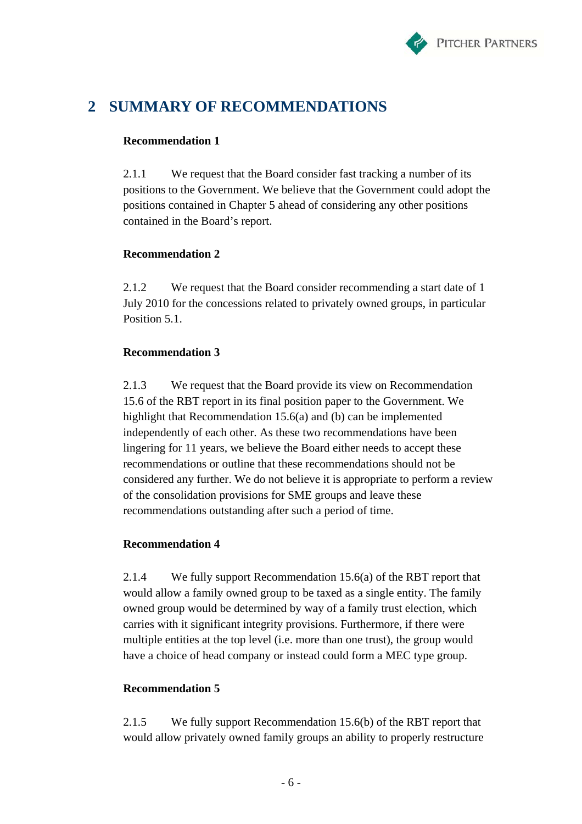

# **2 SUMMARY OF RECOMMENDATIONS**

# **Recommendation 1**

2.1.1 We request that the Board consider fast tracking a number of its positions to the Government. We believe that the Government could adopt the positions contained in Chapter 5 ahead of considering any other positions contained in the Board's report.

# **Recommendation 2**

2.1.2 We request that the Board consider recommending a start date of 1 July 2010 for the concessions related to privately owned groups, in particular Position 5.1.

# **Recommendation 3**

2.1.3 We request that the Board provide its view on Recommendation 15.6 of the RBT report in its final position paper to the Government. We highlight that Recommendation 15.6(a) and (b) can be implemented independently of each other. As these two recommendations have been lingering for 11 years, we believe the Board either needs to accept these recommendations or outline that these recommendations should not be considered any further. We do not believe it is appropriate to perform a review of the consolidation provisions for SME groups and leave these recommendations outstanding after such a period of time.

# **Recommendation 4**

2.1.4 We fully support Recommendation 15.6(a) of the RBT report that would allow a family owned group to be taxed as a single entity. The family owned group would be determined by way of a family trust election, which carries with it significant integrity provisions. Furthermore, if there were multiple entities at the top level (i.e. more than one trust), the group would have a choice of head company or instead could form a MEC type group.

# **Recommendation 5**

2.1.5 We fully support Recommendation 15.6(b) of the RBT report that would allow privately owned family groups an ability to properly restructure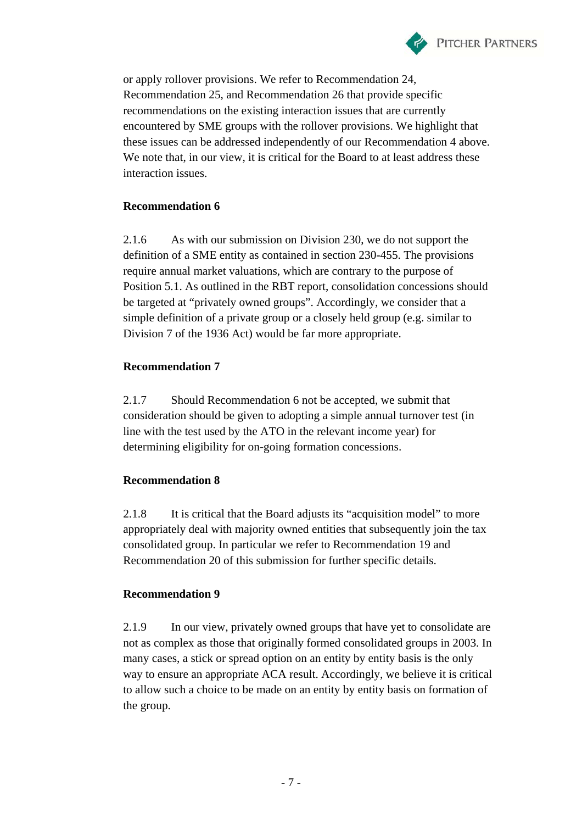

or apply rollover provisions. We refer to Recommendation 24, Recommendation 25, and Recommendation 26 that provide specific recommendations on the existing interaction issues that are currently encountered by SME groups with the rollover provisions. We highlight that these issues can be addressed independently of our Recommendation 4 above. We note that, in our view, it is critical for the Board to at least address these interaction issues.

# **Recommendation 6**

2.1.6 As with our submission on Division 230, we do not support the definition of a SME entity as contained in section 230-455. The provisions require annual market valuations, which are contrary to the purpose of Position 5.1. As outlined in the RBT report, consolidation concessions should be targeted at "privately owned groups". Accordingly, we consider that a simple definition of a private group or a closely held group (e.g. similar to Division 7 of the 1936 Act) would be far more appropriate.

# **Recommendation 7**

2.1.7 Should Recommendation 6 not be accepted, we submit that consideration should be given to adopting a simple annual turnover test (in line with the test used by the ATO in the relevant income year) for determining eligibility for on-going formation concessions.

# **Recommendation 8**

2.1.8 It is critical that the Board adjusts its "acquisition model" to more appropriately deal with majority owned entities that subsequently join the tax consolidated group. In particular we refer to Recommendation 19 and Recommendation 20 of this submission for further specific details.

# **Recommendation 9**

2.1.9 In our view, privately owned groups that have yet to consolidate are not as complex as those that originally formed consolidated groups in 2003. In many cases, a stick or spread option on an entity by entity basis is the only way to ensure an appropriate ACA result. Accordingly, we believe it is critical to allow such a choice to be made on an entity by entity basis on formation of the group.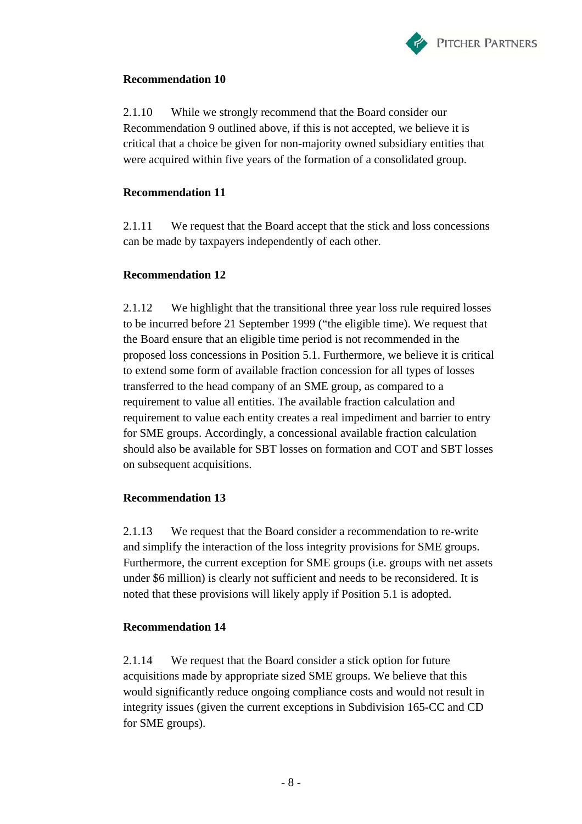

2.1.10 While we strongly recommend that the Board consider our Recommendation 9 outlined above, if this is not accepted, we believe it is critical that a choice be given for non-majority owned subsidiary entities that were acquired within five years of the formation of a consolidated group.

### **Recommendation 11**

2.1.11 We request that the Board accept that the stick and loss concessions can be made by taxpayers independently of each other.

# **Recommendation 12**

2.1.12 We highlight that the transitional three year loss rule required losses to be incurred before 21 September 1999 ("the eligible time). We request that the Board ensure that an eligible time period is not recommended in the proposed loss concessions in Position 5.1. Furthermore, we believe it is critical to extend some form of available fraction concession for all types of losses transferred to the head company of an SME group, as compared to a requirement to value all entities. The available fraction calculation and requirement to value each entity creates a real impediment and barrier to entry for SME groups. Accordingly, a concessional available fraction calculation should also be available for SBT losses on formation and COT and SBT losses on subsequent acquisitions.

# **Recommendation 13**

2.1.13 We request that the Board consider a recommendation to re-write and simplify the interaction of the loss integrity provisions for SME groups. Furthermore, the current exception for SME groups (i.e. groups with net assets under \$6 million) is clearly not sufficient and needs to be reconsidered. It is noted that these provisions will likely apply if Position 5.1 is adopted.

### **Recommendation 14**

2.1.14 We request that the Board consider a stick option for future acquisitions made by appropriate sized SME groups. We believe that this would significantly reduce ongoing compliance costs and would not result in integrity issues (given the current exceptions in Subdivision 165-CC and CD for SME groups).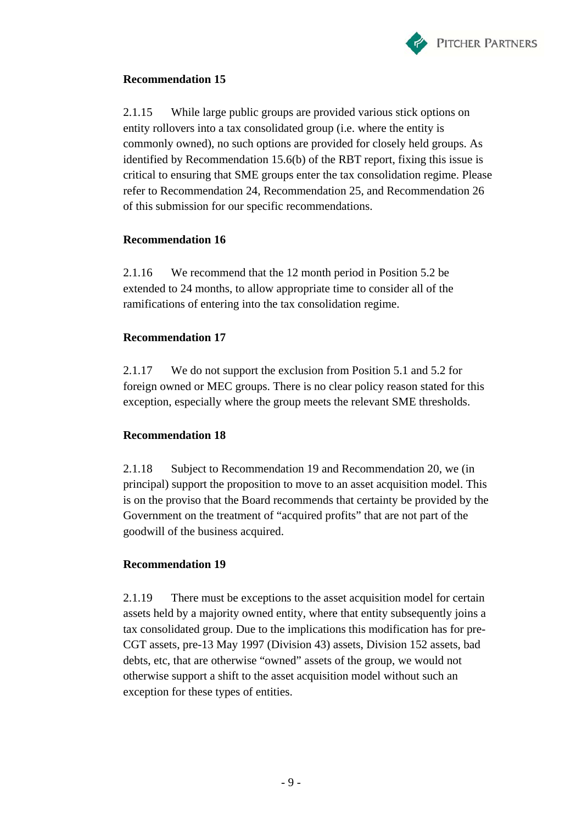

2.1.15 While large public groups are provided various stick options on entity rollovers into a tax consolidated group (i.e. where the entity is commonly owned), no such options are provided for closely held groups. As identified by Recommendation 15.6(b) of the RBT report, fixing this issue is critical to ensuring that SME groups enter the tax consolidation regime. Please refer to Recommendation 24, Recommendation 25, and Recommendation 26 of this submission for our specific recommendations.

# **Recommendation 16**

2.1.16 We recommend that the 12 month period in Position 5.2 be extended to 24 months, to allow appropriate time to consider all of the ramifications of entering into the tax consolidation regime.

# **Recommendation 17**

2.1.17 We do not support the exclusion from Position 5.1 and 5.2 for foreign owned or MEC groups. There is no clear policy reason stated for this exception, especially where the group meets the relevant SME thresholds.

# **Recommendation 18**

2.1.18 Subject to Recommendation 19 and Recommendation 20, we (in principal) support the proposition to move to an asset acquisition model. This is on the proviso that the Board recommends that certainty be provided by the Government on the treatment of "acquired profits" that are not part of the goodwill of the business acquired.

# **Recommendation 19**

2.1.19 There must be exceptions to the asset acquisition model for certain assets held by a majority owned entity, where that entity subsequently joins a tax consolidated group. Due to the implications this modification has for pre-CGT assets, pre-13 May 1997 (Division 43) assets, Division 152 assets, bad debts, etc, that are otherwise "owned" assets of the group, we would not otherwise support a shift to the asset acquisition model without such an exception for these types of entities.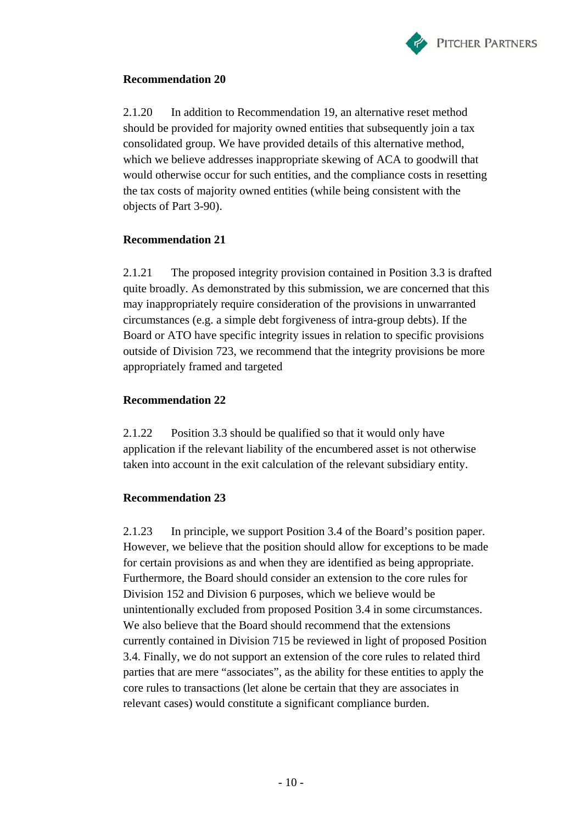

2.1.20 In addition to Recommendation 19, an alternative reset method should be provided for majority owned entities that subsequently join a tax consolidated group. We have provided details of this alternative method, which we believe addresses inappropriate skewing of ACA to goodwill that would otherwise occur for such entities, and the compliance costs in resetting the tax costs of majority owned entities (while being consistent with the objects of Part 3-90).

### **Recommendation 21**

2.1.21 The proposed integrity provision contained in Position 3.3 is drafted quite broadly. As demonstrated by this submission, we are concerned that this may inappropriately require consideration of the provisions in unwarranted circumstances (e.g. a simple debt forgiveness of intra-group debts). If the Board or ATO have specific integrity issues in relation to specific provisions outside of Division 723, we recommend that the integrity provisions be more appropriately framed and targeted

# **Recommendation 22**

2.1.22 Position 3.3 should be qualified so that it would only have application if the relevant liability of the encumbered asset is not otherwise taken into account in the exit calculation of the relevant subsidiary entity.

# **Recommendation 23**

2.1.23 In principle, we support Position 3.4 of the Board's position paper. However, we believe that the position should allow for exceptions to be made for certain provisions as and when they are identified as being appropriate. Furthermore, the Board should consider an extension to the core rules for Division 152 and Division 6 purposes, which we believe would be unintentionally excluded from proposed Position 3.4 in some circumstances. We also believe that the Board should recommend that the extensions currently contained in Division 715 be reviewed in light of proposed Position 3.4. Finally, we do not support an extension of the core rules to related third parties that are mere "associates", as the ability for these entities to apply the core rules to transactions (let alone be certain that they are associates in relevant cases) would constitute a significant compliance burden.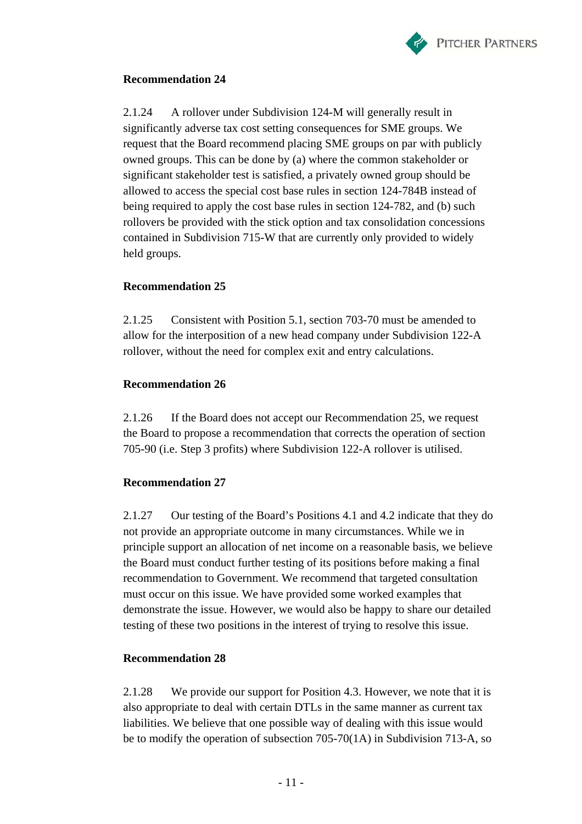

2.1.24 A rollover under Subdivision 124-M will generally result in significantly adverse tax cost setting consequences for SME groups. We request that the Board recommend placing SME groups on par with publicly owned groups. This can be done by (a) where the common stakeholder or significant stakeholder test is satisfied, a privately owned group should be allowed to access the special cost base rules in section 124-784B instead of being required to apply the cost base rules in section 124-782, and (b) such rollovers be provided with the stick option and tax consolidation concessions contained in Subdivision 715-W that are currently only provided to widely held groups.

### **Recommendation 25**

2.1.25 Consistent with Position 5.1, section 703-70 must be amended to allow for the interposition of a new head company under Subdivision 122-A rollover, without the need for complex exit and entry calculations.

### **Recommendation 26**

2.1.26 If the Board does not accept our Recommendation 25, we request the Board to propose a recommendation that corrects the operation of section 705-90 (i.e. Step 3 profits) where Subdivision 122-A rollover is utilised.

### **Recommendation 27**

2.1.27 Our testing of the Board's Positions 4.1 and 4.2 indicate that they do not provide an appropriate outcome in many circumstances. While we in principle support an allocation of net income on a reasonable basis, we believe the Board must conduct further testing of its positions before making a final recommendation to Government. We recommend that targeted consultation must occur on this issue. We have provided some worked examples that demonstrate the issue. However, we would also be happy to share our detailed testing of these two positions in the interest of trying to resolve this issue.

### **Recommendation 28**

2.1.28 We provide our support for Position 4.3. However, we note that it is also appropriate to deal with certain DTLs in the same manner as current tax liabilities. We believe that one possible way of dealing with this issue would be to modify the operation of subsection 705-70(1A) in Subdivision 713-A, so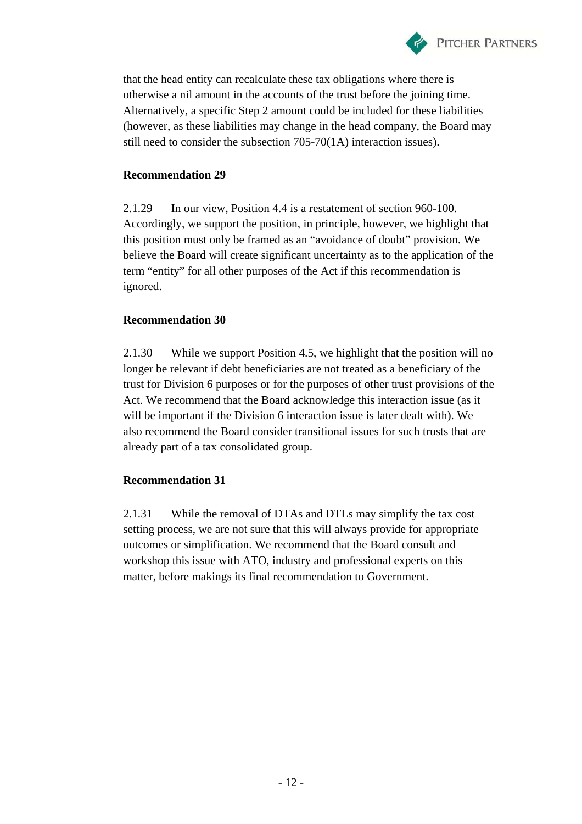

that the head entity can recalculate these tax obligations where there is otherwise a nil amount in the accounts of the trust before the joining time. Alternatively, a specific Step 2 amount could be included for these liabilities (however, as these liabilities may change in the head company, the Board may still need to consider the subsection 705-70(1A) interaction issues).

### **Recommendation 29**

2.1.29 In our view, Position 4.4 is a restatement of section 960-100. Accordingly, we support the position, in principle, however, we highlight that this position must only be framed as an "avoidance of doubt" provision. We believe the Board will create significant uncertainty as to the application of the term "entity" for all other purposes of the Act if this recommendation is ignored.

### **Recommendation 30**

2.1.30 While we support Position 4.5, we highlight that the position will no longer be relevant if debt beneficiaries are not treated as a beneficiary of the trust for Division 6 purposes or for the purposes of other trust provisions of the Act. We recommend that the Board acknowledge this interaction issue (as it will be important if the Division 6 interaction issue is later dealt with). We also recommend the Board consider transitional issues for such trusts that are already part of a tax consolidated group.

### **Recommendation 31**

2.1.31 While the removal of DTAs and DTLs may simplify the tax cost setting process, we are not sure that this will always provide for appropriate outcomes or simplification. We recommend that the Board consult and workshop this issue with ATO, industry and professional experts on this matter, before makings its final recommendation to Government.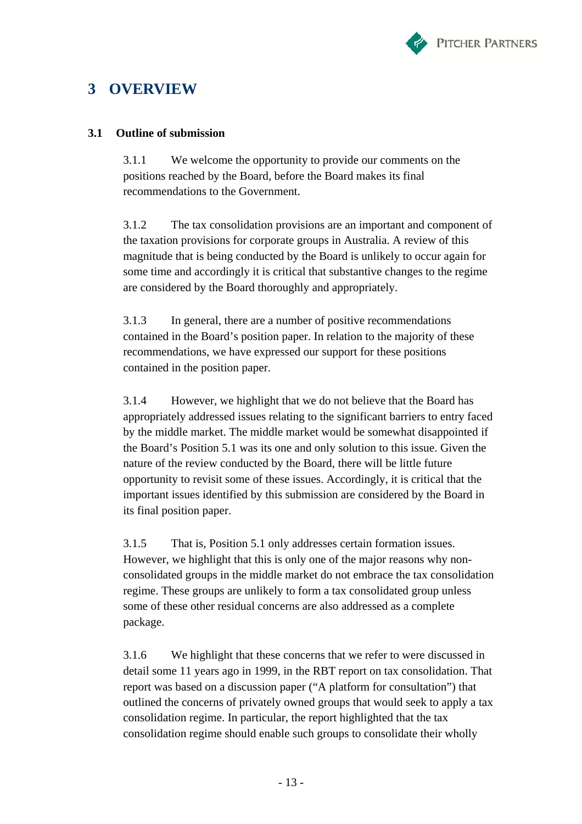

# **3 OVERVIEW**

### **3.1 Outline of submission**

3.1.1 We welcome the opportunity to provide our comments on the positions reached by the Board, before the Board makes its final recommendations to the Government.

3.1.2 The tax consolidation provisions are an important and component of the taxation provisions for corporate groups in Australia. A review of this magnitude that is being conducted by the Board is unlikely to occur again for some time and accordingly it is critical that substantive changes to the regime are considered by the Board thoroughly and appropriately.

3.1.3 In general, there are a number of positive recommendations contained in the Board's position paper. In relation to the majority of these recommendations, we have expressed our support for these positions contained in the position paper.

3.1.4 However, we highlight that we do not believe that the Board has appropriately addressed issues relating to the significant barriers to entry faced by the middle market. The middle market would be somewhat disappointed if the Board's Position 5.1 was its one and only solution to this issue. Given the nature of the review conducted by the Board, there will be little future opportunity to revisit some of these issues. Accordingly, it is critical that the important issues identified by this submission are considered by the Board in its final position paper.

3.1.5 That is, Position 5.1 only addresses certain formation issues. However, we highlight that this is only one of the major reasons why nonconsolidated groups in the middle market do not embrace the tax consolidation regime. These groups are unlikely to form a tax consolidated group unless some of these other residual concerns are also addressed as a complete package.

3.1.6 We highlight that these concerns that we refer to were discussed in detail some 11 years ago in 1999, in the RBT report on tax consolidation. That report was based on a discussion paper ("A platform for consultation") that outlined the concerns of privately owned groups that would seek to apply a tax consolidation regime. In particular, the report highlighted that the tax consolidation regime should enable such groups to consolidate their wholly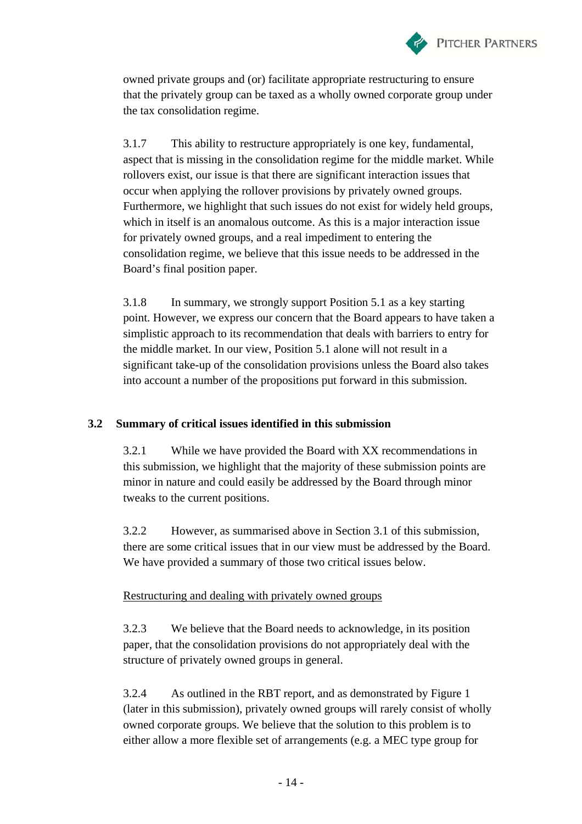

owned private groups and (or) facilitate appropriate restructuring to ensure that the privately group can be taxed as a wholly owned corporate group under the tax consolidation regime.

3.1.7 This ability to restructure appropriately is one key, fundamental, aspect that is missing in the consolidation regime for the middle market. While rollovers exist, our issue is that there are significant interaction issues that occur when applying the rollover provisions by privately owned groups. Furthermore, we highlight that such issues do not exist for widely held groups, which in itself is an anomalous outcome. As this is a major interaction issue for privately owned groups, and a real impediment to entering the consolidation regime, we believe that this issue needs to be addressed in the Board's final position paper.

3.1.8 In summary, we strongly support Position 5.1 as a key starting point. However, we express our concern that the Board appears to have taken a simplistic approach to its recommendation that deals with barriers to entry for the middle market. In our view, Position 5.1 alone will not result in a significant take-up of the consolidation provisions unless the Board also takes into account a number of the propositions put forward in this submission.

# **3.2 Summary of critical issues identified in this submission**

3.2.1 While we have provided the Board with XX recommendations in this submission, we highlight that the majority of these submission points are minor in nature and could easily be addressed by the Board through minor tweaks to the current positions.

3.2.2 However, as summarised above in Section 3.1 of this submission, there are some critical issues that in our view must be addressed by the Board. We have provided a summary of those two critical issues below.

# Restructuring and dealing with privately owned groups

3.2.3 We believe that the Board needs to acknowledge, in its position paper, that the consolidation provisions do not appropriately deal with the structure of privately owned groups in general.

3.2.4 As outlined in the RBT report, and as demonstrated by Figure 1 (later in this submission), privately owned groups will rarely consist of wholly owned corporate groups. We believe that the solution to this problem is to either allow a more flexible set of arrangements (e.g. a MEC type group for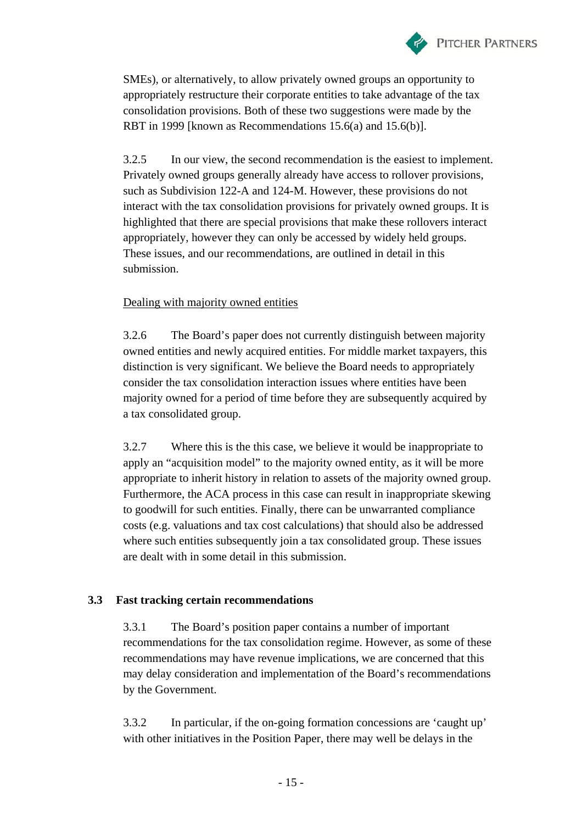

SMEs), or alternatively, to allow privately owned groups an opportunity to appropriately restructure their corporate entities to take advantage of the tax consolidation provisions. Both of these two suggestions were made by the RBT in 1999 [known as Recommendations 15.6(a) and 15.6(b)].

3.2.5 In our view, the second recommendation is the easiest to implement. Privately owned groups generally already have access to rollover provisions, such as Subdivision 122-A and 124-M. However, these provisions do not interact with the tax consolidation provisions for privately owned groups. It is highlighted that there are special provisions that make these rollovers interact appropriately, however they can only be accessed by widely held groups. These issues, and our recommendations, are outlined in detail in this submission.

### Dealing with majority owned entities

3.2.6 The Board's paper does not currently distinguish between majority owned entities and newly acquired entities. For middle market taxpayers, this distinction is very significant. We believe the Board needs to appropriately consider the tax consolidation interaction issues where entities have been majority owned for a period of time before they are subsequently acquired by a tax consolidated group.

3.2.7 Where this is the this case, we believe it would be inappropriate to apply an "acquisition model" to the majority owned entity, as it will be more appropriate to inherit history in relation to assets of the majority owned group. Furthermore, the ACA process in this case can result in inappropriate skewing to goodwill for such entities. Finally, there can be unwarranted compliance costs (e.g. valuations and tax cost calculations) that should also be addressed where such entities subsequently join a tax consolidated group. These issues are dealt with in some detail in this submission.

# **3.3 Fast tracking certain recommendations**

3.3.1 The Board's position paper contains a number of important recommendations for the tax consolidation regime. However, as some of these recommendations may have revenue implications, we are concerned that this may delay consideration and implementation of the Board's recommendations by the Government.

3.3.2 In particular, if the on-going formation concessions are 'caught up' with other initiatives in the Position Paper, there may well be delays in the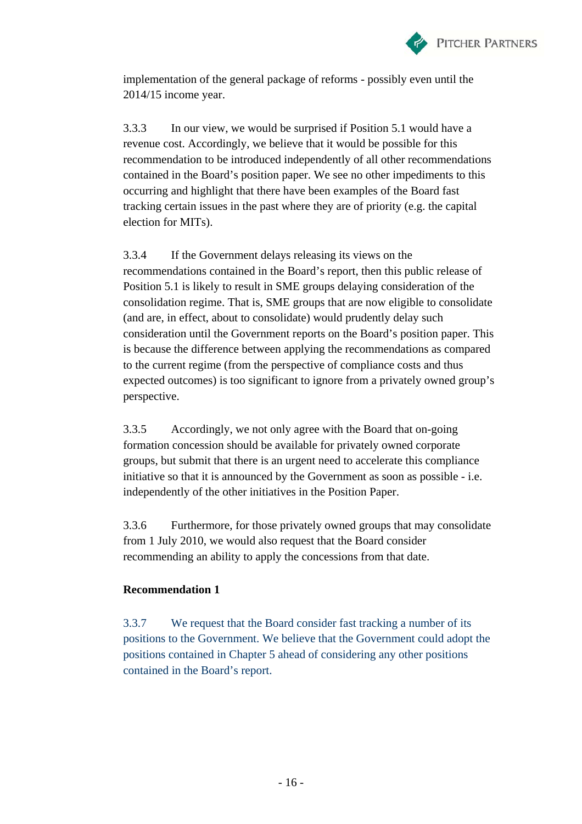

implementation of the general package of reforms - possibly even until the 2014/15 income year.

3.3.3 In our view, we would be surprised if Position 5.1 would have a revenue cost. Accordingly, we believe that it would be possible for this recommendation to be introduced independently of all other recommendations contained in the Board's position paper. We see no other impediments to this occurring and highlight that there have been examples of the Board fast tracking certain issues in the past where they are of priority (e.g. the capital election for MITs).

3.3.4 If the Government delays releasing its views on the recommendations contained in the Board's report, then this public release of Position 5.1 is likely to result in SME groups delaying consideration of the consolidation regime. That is, SME groups that are now eligible to consolidate (and are, in effect, about to consolidate) would prudently delay such consideration until the Government reports on the Board's position paper. This is because the difference between applying the recommendations as compared to the current regime (from the perspective of compliance costs and thus expected outcomes) is too significant to ignore from a privately owned group's perspective.

3.3.5 Accordingly, we not only agree with the Board that on-going formation concession should be available for privately owned corporate groups, but submit that there is an urgent need to accelerate this compliance initiative so that it is announced by the Government as soon as possible - i.e. independently of the other initiatives in the Position Paper.

3.3.6 Furthermore, for those privately owned groups that may consolidate from 1 July 2010, we would also request that the Board consider recommending an ability to apply the concessions from that date.

### **Recommendation 1**

3.3.7 We request that the Board consider fast tracking a number of its positions to the Government. We believe that the Government could adopt the positions contained in Chapter 5 ahead of considering any other positions contained in the Board's report.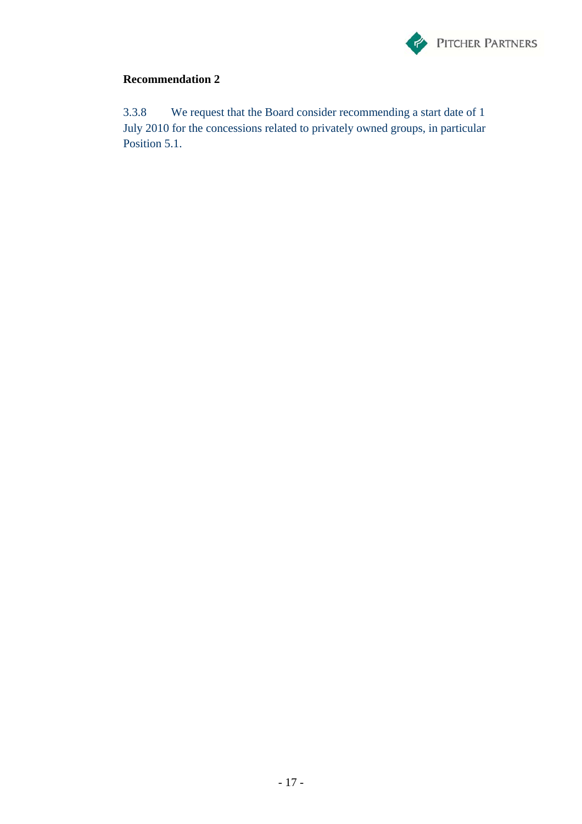

3.3.8 We request that the Board consider recommending a start date of 1 July 2010 for the concessions related to privately owned groups, in particular Position 5.1.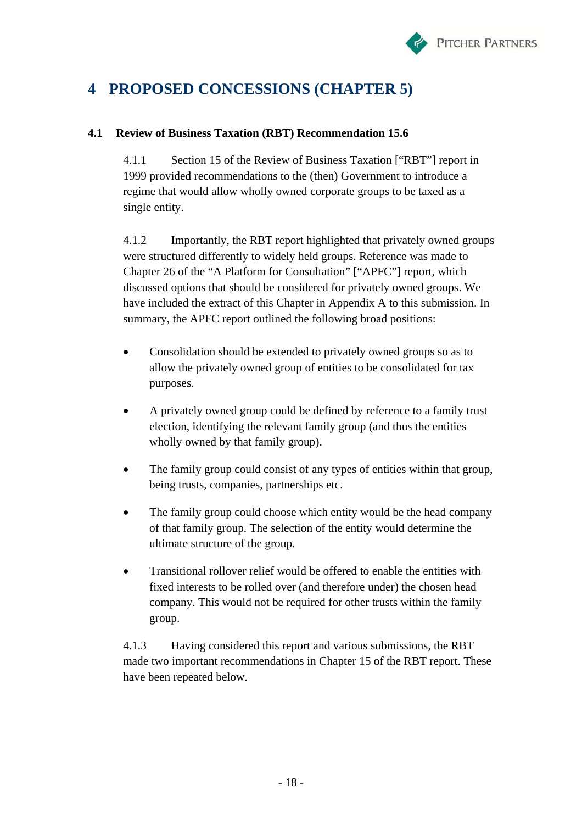

# **4 PROPOSED CONCESSIONS (CHAPTER 5)**

# **4.1 Review of Business Taxation (RBT) Recommendation 15.6**

4.1.1 Section 15 of the Review of Business Taxation ["RBT"] report in 1999 provided recommendations to the (then) Government to introduce a regime that would allow wholly owned corporate groups to be taxed as a single entity.

4.1.2 Importantly, the RBT report highlighted that privately owned groups were structured differently to widely held groups. Reference was made to Chapter 26 of the "A Platform for Consultation" ["APFC"] report, which discussed options that should be considered for privately owned groups. We have included the extract of this Chapter in Appendix A to this submission. In summary, the APFC report outlined the following broad positions:

- Consolidation should be extended to privately owned groups so as to allow the privately owned group of entities to be consolidated for tax purposes.
- A privately owned group could be defined by reference to a family trust election, identifying the relevant family group (and thus the entities wholly owned by that family group).
- The family group could consist of any types of entities within that group, being trusts, companies, partnerships etc.
- The family group could choose which entity would be the head company of that family group. The selection of the entity would determine the ultimate structure of the group.
- Transitional rollover relief would be offered to enable the entities with fixed interests to be rolled over (and therefore under) the chosen head company. This would not be required for other trusts within the family group.

4.1.3 Having considered this report and various submissions, the RBT made two important recommendations in Chapter 15 of the RBT report. These have been repeated below.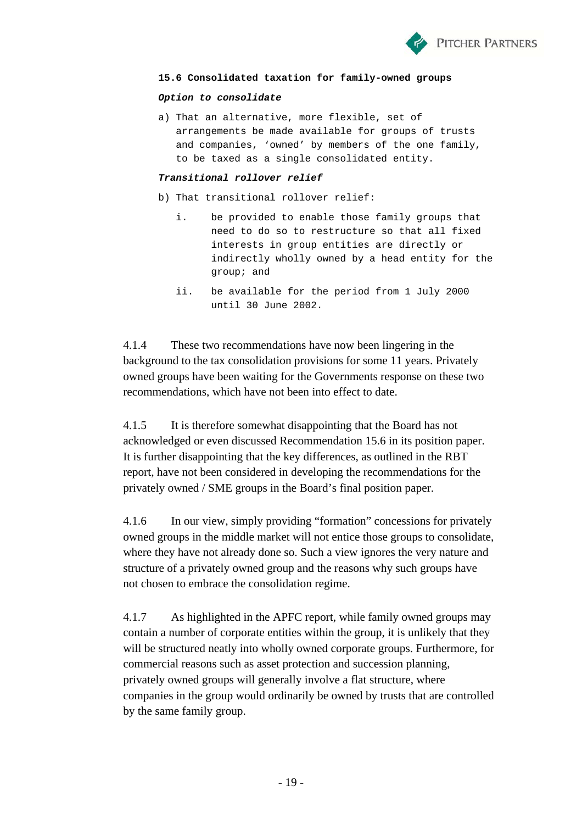

#### **15.6 Consolidated taxation for family-owned groups**

#### *Option to consolidate*

a) That an alternative, more flexible, set of arrangements be made available for groups of trusts and companies, 'owned' by members of the one family, to be taxed as a single consolidated entity.

#### *Transitional rollover relief*

- b) That transitional rollover relief:
	- i. be provided to enable those family groups that need to do so to restructure so that all fixed interests in group entities are directly or indirectly wholly owned by a head entity for the group; and
	- ii. be available for the period from 1 July 2000 until 30 June 2002.

4.1.4 These two recommendations have now been lingering in the background to the tax consolidation provisions for some 11 years. Privately owned groups have been waiting for the Governments response on these two recommendations, which have not been into effect to date.

4.1.5 It is therefore somewhat disappointing that the Board has not acknowledged or even discussed Recommendation 15.6 in its position paper. It is further disappointing that the key differences, as outlined in the RBT report, have not been considered in developing the recommendations for the privately owned / SME groups in the Board's final position paper.

4.1.6 In our view, simply providing "formation" concessions for privately owned groups in the middle market will not entice those groups to consolidate, where they have not already done so. Such a view ignores the very nature and structure of a privately owned group and the reasons why such groups have not chosen to embrace the consolidation regime.

4.1.7 As highlighted in the APFC report, while family owned groups may contain a number of corporate entities within the group, it is unlikely that they will be structured neatly into wholly owned corporate groups. Furthermore, for commercial reasons such as asset protection and succession planning, privately owned groups will generally involve a flat structure, where companies in the group would ordinarily be owned by trusts that are controlled by the same family group.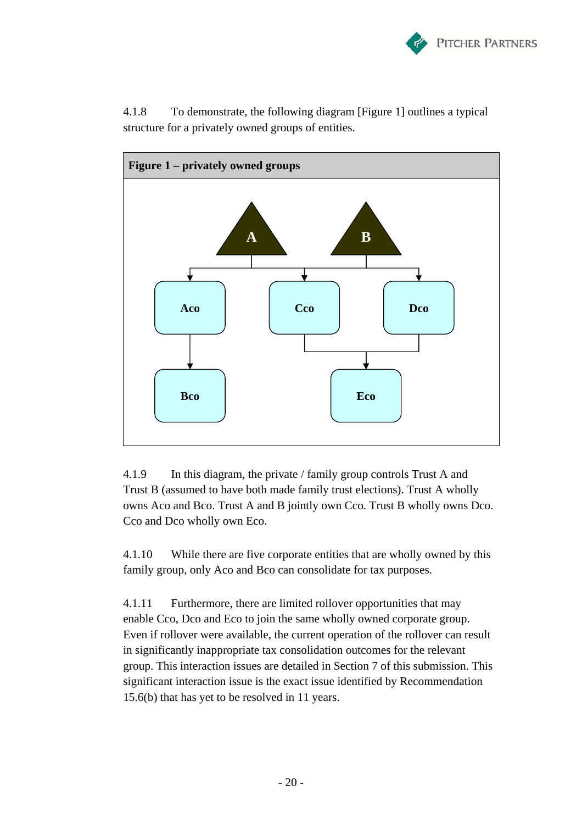



4.1.8 To demonstrate, the following diagram [Figure 1] outlines a typical structure for a privately owned groups of entities.

4.1.9 In this diagram, the private / family group controls Trust A and Trust B (assumed to have both made family trust elections). Trust A wholly owns Aco and Bco. Trust A and B jointly own Cco. Trust B wholly owns Dco. Cco and Dco wholly own Eco.

4.1.10 While there are five corporate entities that are wholly owned by this family group, only Aco and Bco can consolidate for tax purposes.

4.1.11 Furthermore, there are limited rollover opportunities that may enable Cco, Dco and Eco to join the same wholly owned corporate group. Even if rollover were available, the current operation of the rollover can result in significantly inappropriate tax consolidation outcomes for the relevant group. This interaction issues are detailed in Section 7 of this submission. This significant interaction issue is the exact issue identified by Recommendation 15.6(b) that has yet to be resolved in 11 years.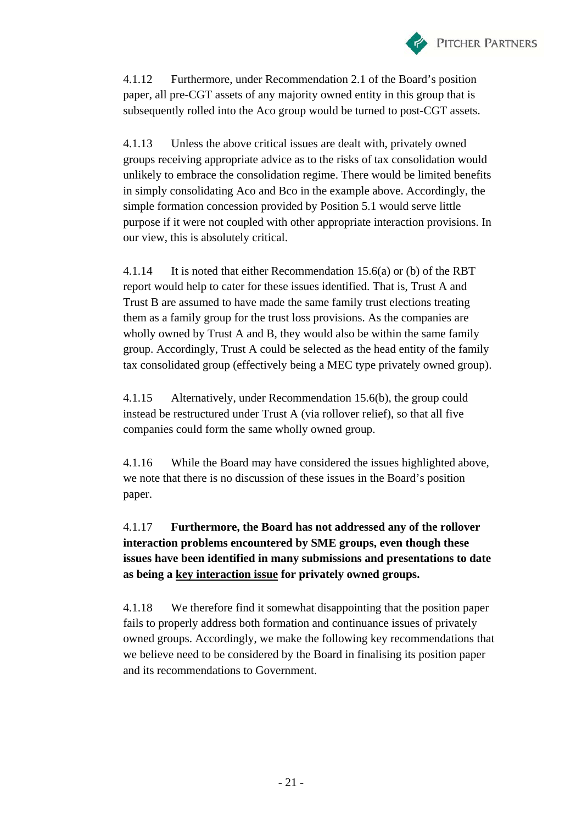

4.1.12 Furthermore, under Recommendation 2.1 of the Board's position paper, all pre-CGT assets of any majority owned entity in this group that is subsequently rolled into the Aco group would be turned to post-CGT assets.

4.1.13 Unless the above critical issues are dealt with, privately owned groups receiving appropriate advice as to the risks of tax consolidation would unlikely to embrace the consolidation regime. There would be limited benefits in simply consolidating Aco and Bco in the example above. Accordingly, the simple formation concession provided by Position 5.1 would serve little purpose if it were not coupled with other appropriate interaction provisions. In our view, this is absolutely critical.

4.1.14 It is noted that either Recommendation 15.6(a) or (b) of the RBT report would help to cater for these issues identified. That is, Trust A and Trust B are assumed to have made the same family trust elections treating them as a family group for the trust loss provisions. As the companies are wholly owned by Trust A and B, they would also be within the same family group. Accordingly, Trust A could be selected as the head entity of the family tax consolidated group (effectively being a MEC type privately owned group).

4.1.15 Alternatively, under Recommendation 15.6(b), the group could instead be restructured under Trust A (via rollover relief), so that all five companies could form the same wholly owned group.

4.1.16 While the Board may have considered the issues highlighted above, we note that there is no discussion of these issues in the Board's position paper.

# 4.1.17 **Furthermore, the Board has not addressed any of the rollover interaction problems encountered by SME groups, even though these issues have been identified in many submissions and presentations to date as being a key interaction issue for privately owned groups.**

4.1.18 We therefore find it somewhat disappointing that the position paper fails to properly address both formation and continuance issues of privately owned groups. Accordingly, we make the following key recommendations that we believe need to be considered by the Board in finalising its position paper and its recommendations to Government.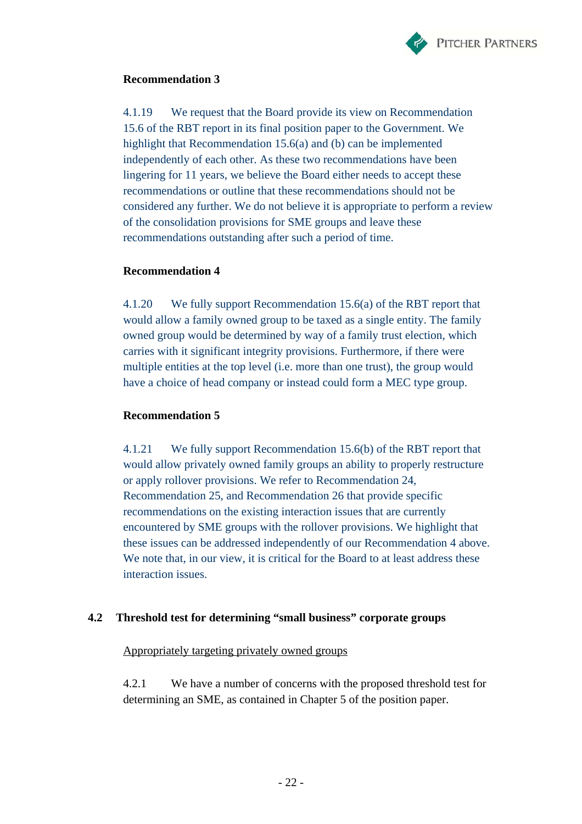

4.1.19 We request that the Board provide its view on Recommendation 15.6 of the RBT report in its final position paper to the Government. We highlight that Recommendation 15.6(a) and (b) can be implemented independently of each other. As these two recommendations have been lingering for 11 years, we believe the Board either needs to accept these recommendations or outline that these recommendations should not be considered any further. We do not believe it is appropriate to perform a review of the consolidation provisions for SME groups and leave these recommendations outstanding after such a period of time.

### **Recommendation 4**

4.1.20 We fully support Recommendation 15.6(a) of the RBT report that would allow a family owned group to be taxed as a single entity. The family owned group would be determined by way of a family trust election, which carries with it significant integrity provisions. Furthermore, if there were multiple entities at the top level (i.e. more than one trust), the group would have a choice of head company or instead could form a MEC type group.

### **Recommendation 5**

4.1.21 We fully support Recommendation 15.6(b) of the RBT report that would allow privately owned family groups an ability to properly restructure or apply rollover provisions. We refer to Recommendation 24, Recommendation 25, and Recommendation 26 that provide specific recommendations on the existing interaction issues that are currently encountered by SME groups with the rollover provisions. We highlight that these issues can be addressed independently of our Recommendation 4 above. We note that, in our view, it is critical for the Board to at least address these interaction issues.

# **4.2 Threshold test for determining "small business" corporate groups**

Appropriately targeting privately owned groups

4.2.1 We have a number of concerns with the proposed threshold test for determining an SME, as contained in Chapter 5 of the position paper.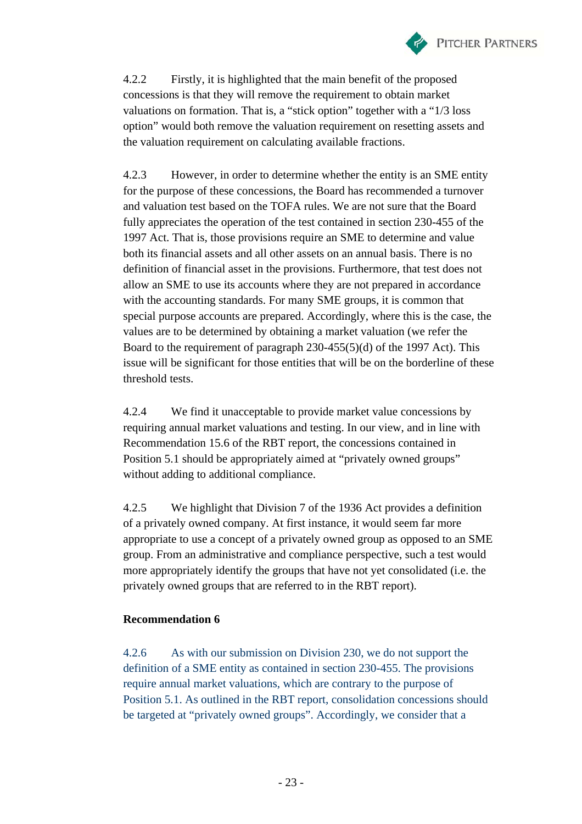

4.2.2 Firstly, it is highlighted that the main benefit of the proposed concessions is that they will remove the requirement to obtain market valuations on formation. That is, a "stick option" together with a "1/3 loss option" would both remove the valuation requirement on resetting assets and the valuation requirement on calculating available fractions.

4.2.3 However, in order to determine whether the entity is an SME entity for the purpose of these concessions, the Board has recommended a turnover and valuation test based on the TOFA rules. We are not sure that the Board fully appreciates the operation of the test contained in section 230-455 of the 1997 Act. That is, those provisions require an SME to determine and value both its financial assets and all other assets on an annual basis. There is no definition of financial asset in the provisions. Furthermore, that test does not allow an SME to use its accounts where they are not prepared in accordance with the accounting standards. For many SME groups, it is common that special purpose accounts are prepared. Accordingly, where this is the case, the values are to be determined by obtaining a market valuation (we refer the Board to the requirement of paragraph 230-455(5)(d) of the 1997 Act). This issue will be significant for those entities that will be on the borderline of these threshold tests.

4.2.4 We find it unacceptable to provide market value concessions by requiring annual market valuations and testing. In our view, and in line with Recommendation 15.6 of the RBT report, the concessions contained in Position 5.1 should be appropriately aimed at "privately owned groups" without adding to additional compliance.

4.2.5 We highlight that Division 7 of the 1936 Act provides a definition of a privately owned company. At first instance, it would seem far more appropriate to use a concept of a privately owned group as opposed to an SME group. From an administrative and compliance perspective, such a test would more appropriately identify the groups that have not yet consolidated (i.e. the privately owned groups that are referred to in the RBT report).

# **Recommendation 6**

4.2.6 As with our submission on Division 230, we do not support the definition of a SME entity as contained in section 230-455. The provisions require annual market valuations, which are contrary to the purpose of Position 5.1. As outlined in the RBT report, consolidation concessions should be targeted at "privately owned groups". Accordingly, we consider that a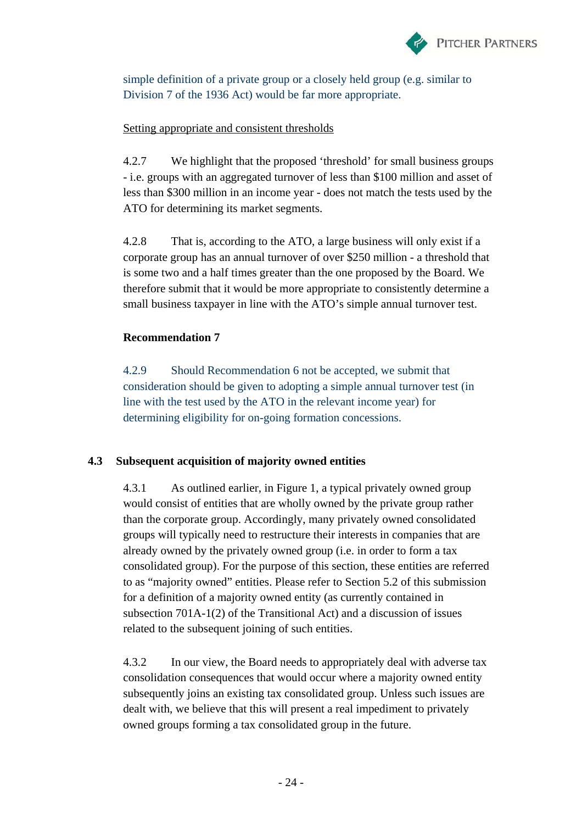

simple definition of a private group or a closely held group (e.g. similar to Division 7 of the 1936 Act) would be far more appropriate.

### Setting appropriate and consistent thresholds

4.2.7 We highlight that the proposed 'threshold' for small business groups - i.e. groups with an aggregated turnover of less than \$100 million and asset of less than \$300 million in an income year - does not match the tests used by the ATO for determining its market segments.

4.2.8 That is, according to the ATO, a large business will only exist if a corporate group has an annual turnover of over \$250 million - a threshold that is some two and a half times greater than the one proposed by the Board. We therefore submit that it would be more appropriate to consistently determine a small business taxpayer in line with the ATO's simple annual turnover test.

### **Recommendation 7**

4.2.9 Should Recommendation 6 not be accepted, we submit that consideration should be given to adopting a simple annual turnover test (in line with the test used by the ATO in the relevant income year) for determining eligibility for on-going formation concessions.

# **4.3 Subsequent acquisition of majority owned entities**

4.3.1 As outlined earlier, in Figure 1, a typical privately owned group would consist of entities that are wholly owned by the private group rather than the corporate group. Accordingly, many privately owned consolidated groups will typically need to restructure their interests in companies that are already owned by the privately owned group (i.e. in order to form a tax consolidated group). For the purpose of this section, these entities are referred to as "majority owned" entities. Please refer to Section 5.2 of this submission for a definition of a majority owned entity (as currently contained in subsection 701A-1(2) of the Transitional Act) and a discussion of issues related to the subsequent joining of such entities.

4.3.2 In our view, the Board needs to appropriately deal with adverse tax consolidation consequences that would occur where a majority owned entity subsequently joins an existing tax consolidated group. Unless such issues are dealt with, we believe that this will present a real impediment to privately owned groups forming a tax consolidated group in the future.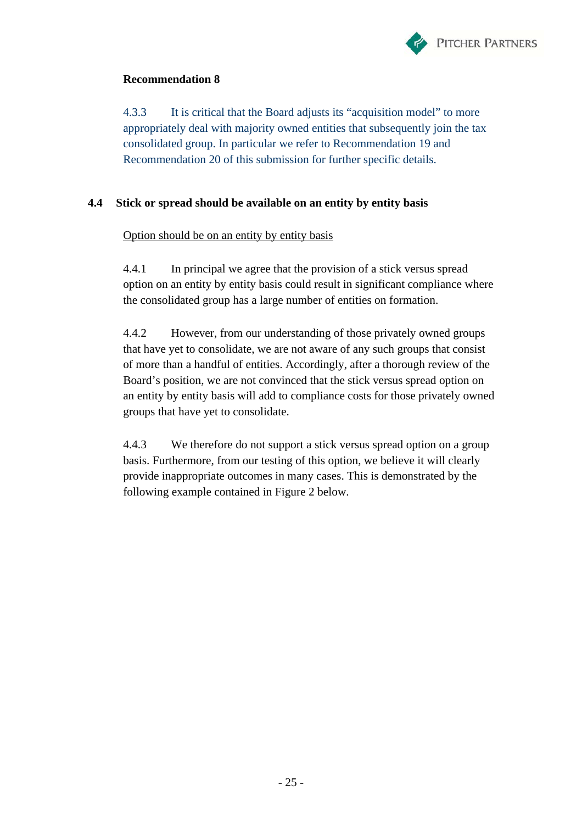

4.3.3 It is critical that the Board adjusts its "acquisition model" to more appropriately deal with majority owned entities that subsequently join the tax consolidated group. In particular we refer to Recommendation 19 and Recommendation 20 of this submission for further specific details.

# **4.4 Stick or spread should be available on an entity by entity basis**

# Option should be on an entity by entity basis

4.4.1 In principal we agree that the provision of a stick versus spread option on an entity by entity basis could result in significant compliance where the consolidated group has a large number of entities on formation.

4.4.2 However, from our understanding of those privately owned groups that have yet to consolidate, we are not aware of any such groups that consist of more than a handful of entities. Accordingly, after a thorough review of the Board's position, we are not convinced that the stick versus spread option on an entity by entity basis will add to compliance costs for those privately owned groups that have yet to consolidate.

4.4.3 We therefore do not support a stick versus spread option on a group basis. Furthermore, from our testing of this option, we believe it will clearly provide inappropriate outcomes in many cases. This is demonstrated by the following example contained in Figure 2 below.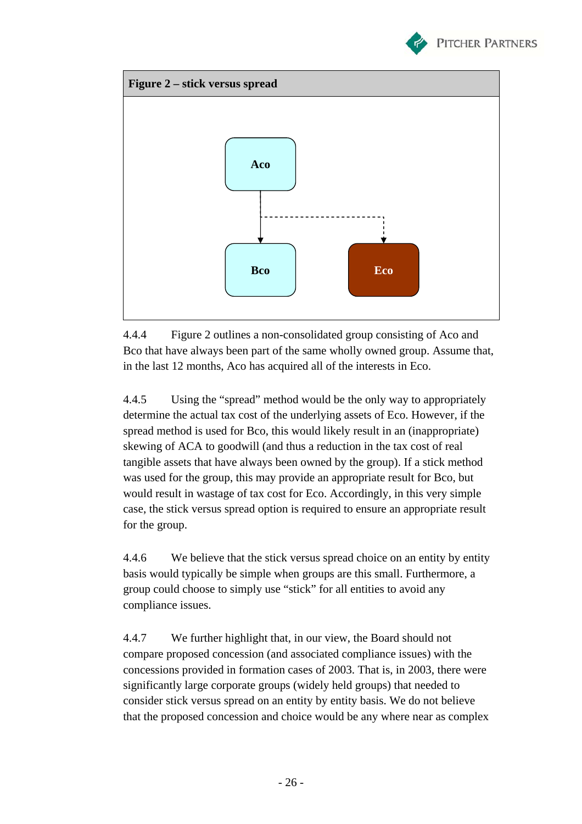



4.4.4 Figure 2 outlines a non-consolidated group consisting of Aco and Bco that have always been part of the same wholly owned group. Assume that, in the last 12 months, Aco has acquired all of the interests in Eco.

4.4.5 Using the "spread" method would be the only way to appropriately determine the actual tax cost of the underlying assets of Eco. However, if the spread method is used for Bco, this would likely result in an (inappropriate) skewing of ACA to goodwill (and thus a reduction in the tax cost of real tangible assets that have always been owned by the group). If a stick method was used for the group, this may provide an appropriate result for Bco, but would result in wastage of tax cost for Eco. Accordingly, in this very simple case, the stick versus spread option is required to ensure an appropriate result for the group.

4.4.6 We believe that the stick versus spread choice on an entity by entity basis would typically be simple when groups are this small. Furthermore, a group could choose to simply use "stick" for all entities to avoid any compliance issues.

4.4.7 We further highlight that, in our view, the Board should not compare proposed concession (and associated compliance issues) with the concessions provided in formation cases of 2003. That is, in 2003, there were significantly large corporate groups (widely held groups) that needed to consider stick versus spread on an entity by entity basis. We do not believe that the proposed concession and choice would be any where near as complex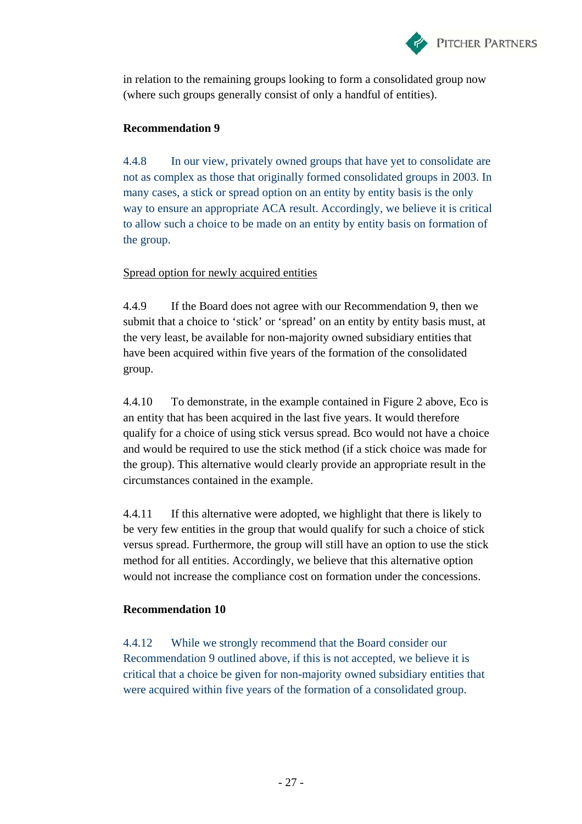

in relation to the remaining groups looking to form a consolidated group now (where such groups generally consist of only a handful of entities).

### **Recommendation 9**

4.4.8 In our view, privately owned groups that have yet to consolidate are not as complex as those that originally formed consolidated groups in 2003. In many cases, a stick or spread option on an entity by entity basis is the only way to ensure an appropriate ACA result. Accordingly, we believe it is critical to allow such a choice to be made on an entity by entity basis on formation of the group.

# Spread option for newly acquired entities

4.4.9 If the Board does not agree with our Recommendation 9, then we submit that a choice to 'stick' or 'spread' on an entity by entity basis must, at the very least, be available for non-majority owned subsidiary entities that have been acquired within five years of the formation of the consolidated group.

4.4.10 To demonstrate, in the example contained in Figure 2 above, Eco is an entity that has been acquired in the last five years. It would therefore qualify for a choice of using stick versus spread. Bco would not have a choice and would be required to use the stick method (if a stick choice was made for the group). This alternative would clearly provide an appropriate result in the circumstances contained in the example.

4.4.11 If this alternative were adopted, we highlight that there is likely to be very few entities in the group that would qualify for such a choice of stick versus spread. Furthermore, the group will still have an option to use the stick method for all entities. Accordingly, we believe that this alternative option would not increase the compliance cost on formation under the concessions.

### **Recommendation 10**

4.4.12 While we strongly recommend that the Board consider our Recommendation 9 outlined above, if this is not accepted, we believe it is critical that a choice be given for non-majority owned subsidiary entities that were acquired within five years of the formation of a consolidated group.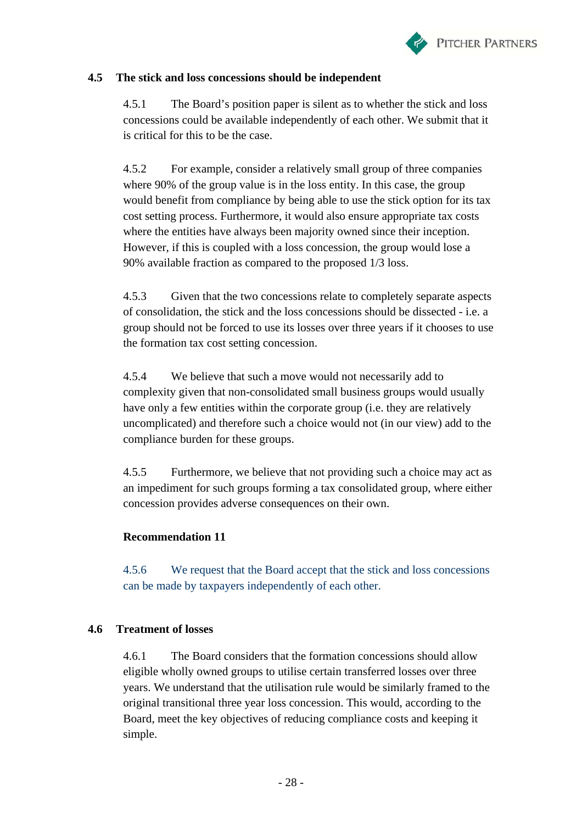

# **4.5 The stick and loss concessions should be independent**

4.5.1 The Board's position paper is silent as to whether the stick and loss concessions could be available independently of each other. We submit that it is critical for this to be the case.

4.5.2 For example, consider a relatively small group of three companies where 90% of the group value is in the loss entity. In this case, the group would benefit from compliance by being able to use the stick option for its tax cost setting process. Furthermore, it would also ensure appropriate tax costs where the entities have always been majority owned since their inception. However, if this is coupled with a loss concession, the group would lose a 90% available fraction as compared to the proposed 1/3 loss.

4.5.3 Given that the two concessions relate to completely separate aspects of consolidation, the stick and the loss concessions should be dissected - i.e. a group should not be forced to use its losses over three years if it chooses to use the formation tax cost setting concession.

4.5.4 We believe that such a move would not necessarily add to complexity given that non-consolidated small business groups would usually have only a few entities within the corporate group (i.e. they are relatively uncomplicated) and therefore such a choice would not (in our view) add to the compliance burden for these groups.

4.5.5 Furthermore, we believe that not providing such a choice may act as an impediment for such groups forming a tax consolidated group, where either concession provides adverse consequences on their own.

# **Recommendation 11**

4.5.6 We request that the Board accept that the stick and loss concessions can be made by taxpayers independently of each other.

# **4.6 Treatment of losses**

4.6.1 The Board considers that the formation concessions should allow eligible wholly owned groups to utilise certain transferred losses over three years. We understand that the utilisation rule would be similarly framed to the original transitional three year loss concession. This would, according to the Board, meet the key objectives of reducing compliance costs and keeping it simple.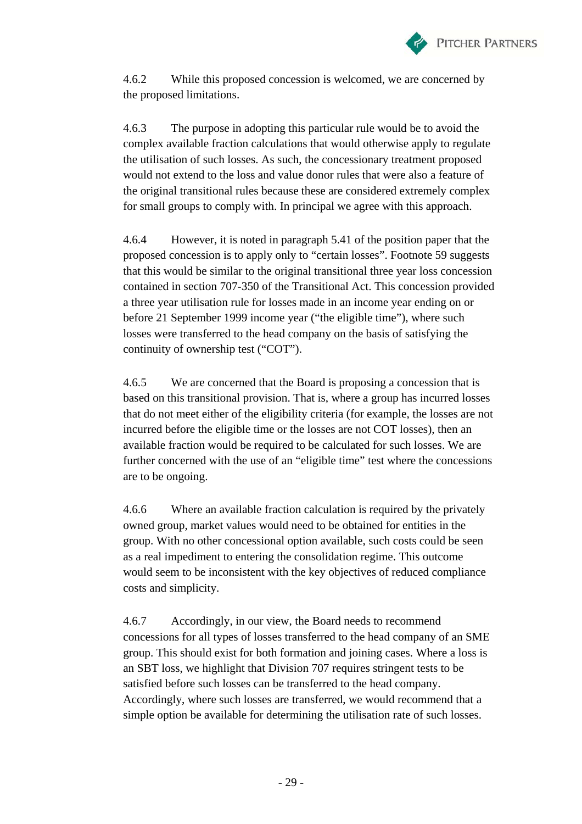

4.6.2 While this proposed concession is welcomed, we are concerned by the proposed limitations.

4.6.3 The purpose in adopting this particular rule would be to avoid the complex available fraction calculations that would otherwise apply to regulate the utilisation of such losses. As such, the concessionary treatment proposed would not extend to the loss and value donor rules that were also a feature of the original transitional rules because these are considered extremely complex for small groups to comply with. In principal we agree with this approach.

4.6.4 However, it is noted in paragraph 5.41 of the position paper that the proposed concession is to apply only to "certain losses". Footnote 59 suggests that this would be similar to the original transitional three year loss concession contained in section 707-350 of the Transitional Act. This concession provided a three year utilisation rule for losses made in an income year ending on or before 21 September 1999 income year ("the eligible time"), where such losses were transferred to the head company on the basis of satisfying the continuity of ownership test ("COT").

4.6.5 We are concerned that the Board is proposing a concession that is based on this transitional provision. That is, where a group has incurred losses that do not meet either of the eligibility criteria (for example, the losses are not incurred before the eligible time or the losses are not COT losses), then an available fraction would be required to be calculated for such losses. We are further concerned with the use of an "eligible time" test where the concessions are to be ongoing.

4.6.6 Where an available fraction calculation is required by the privately owned group, market values would need to be obtained for entities in the group. With no other concessional option available, such costs could be seen as a real impediment to entering the consolidation regime. This outcome would seem to be inconsistent with the key objectives of reduced compliance costs and simplicity.

4.6.7 Accordingly, in our view, the Board needs to recommend concessions for all types of losses transferred to the head company of an SME group. This should exist for both formation and joining cases. Where a loss is an SBT loss, we highlight that Division 707 requires stringent tests to be satisfied before such losses can be transferred to the head company. Accordingly, where such losses are transferred, we would recommend that a simple option be available for determining the utilisation rate of such losses.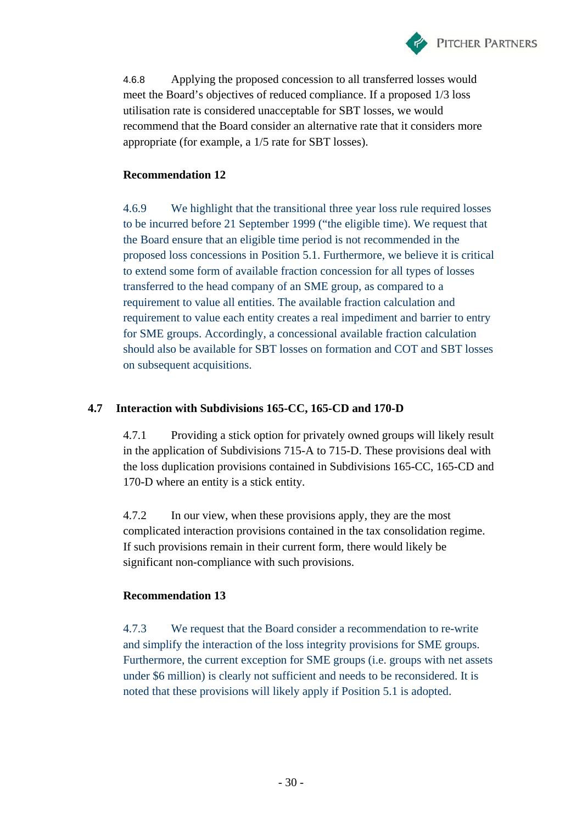

4.6.8 Applying the proposed concession to all transferred losses would meet the Board's objectives of reduced compliance. If a proposed 1/3 loss utilisation rate is considered unacceptable for SBT losses, we would recommend that the Board consider an alternative rate that it considers more appropriate (for example, a 1/5 rate for SBT losses).

# **Recommendation 12**

4.6.9 We highlight that the transitional three year loss rule required losses to be incurred before 21 September 1999 ("the eligible time). We request that the Board ensure that an eligible time period is not recommended in the proposed loss concessions in Position 5.1. Furthermore, we believe it is critical to extend some form of available fraction concession for all types of losses transferred to the head company of an SME group, as compared to a requirement to value all entities. The available fraction calculation and requirement to value each entity creates a real impediment and barrier to entry for SME groups. Accordingly, a concessional available fraction calculation should also be available for SBT losses on formation and COT and SBT losses on subsequent acquisitions.

# **4.7 Interaction with Subdivisions 165-CC, 165-CD and 170-D**

4.7.1 Providing a stick option for privately owned groups will likely result in the application of Subdivisions 715-A to 715-D. These provisions deal with the loss duplication provisions contained in Subdivisions 165-CC, 165-CD and 170-D where an entity is a stick entity.

4.7.2 In our view, when these provisions apply, they are the most complicated interaction provisions contained in the tax consolidation regime. If such provisions remain in their current form, there would likely be significant non-compliance with such provisions.

# **Recommendation 13**

4.7.3 We request that the Board consider a recommendation to re-write and simplify the interaction of the loss integrity provisions for SME groups. Furthermore, the current exception for SME groups (i.e. groups with net assets under \$6 million) is clearly not sufficient and needs to be reconsidered. It is noted that these provisions will likely apply if Position 5.1 is adopted.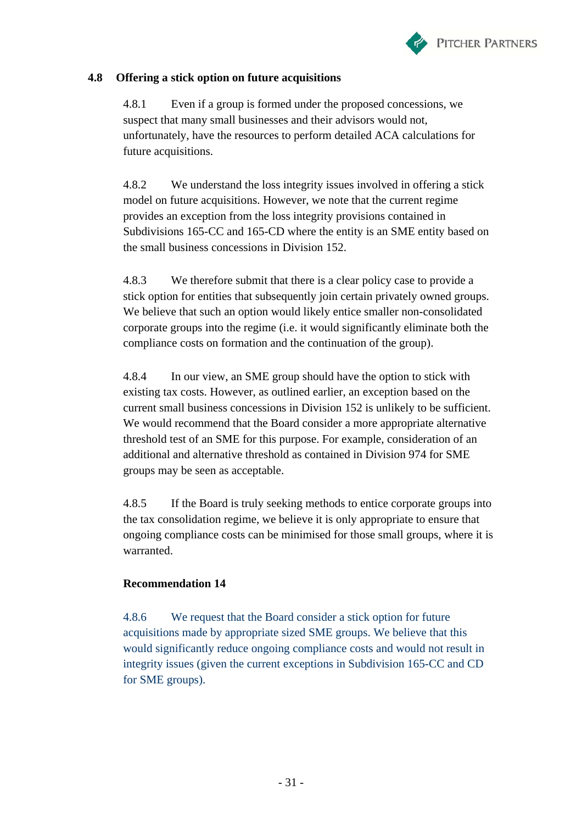

### **4.8 Offering a stick option on future acquisitions**

4.8.1 Even if a group is formed under the proposed concessions, we suspect that many small businesses and their advisors would not, unfortunately, have the resources to perform detailed ACA calculations for future acquisitions.

4.8.2 We understand the loss integrity issues involved in offering a stick model on future acquisitions. However, we note that the current regime provides an exception from the loss integrity provisions contained in Subdivisions 165-CC and 165-CD where the entity is an SME entity based on the small business concessions in Division 152.

4.8.3 We therefore submit that there is a clear policy case to provide a stick option for entities that subsequently join certain privately owned groups. We believe that such an option would likely entice smaller non-consolidated corporate groups into the regime (i.e. it would significantly eliminate both the compliance costs on formation and the continuation of the group).

4.8.4 In our view, an SME group should have the option to stick with existing tax costs. However, as outlined earlier, an exception based on the current small business concessions in Division 152 is unlikely to be sufficient. We would recommend that the Board consider a more appropriate alternative threshold test of an SME for this purpose. For example, consideration of an additional and alternative threshold as contained in Division 974 for SME groups may be seen as acceptable.

4.8.5 If the Board is truly seeking methods to entice corporate groups into the tax consolidation regime, we believe it is only appropriate to ensure that ongoing compliance costs can be minimised for those small groups, where it is warranted.

# **Recommendation 14**

4.8.6 We request that the Board consider a stick option for future acquisitions made by appropriate sized SME groups. We believe that this would significantly reduce ongoing compliance costs and would not result in integrity issues (given the current exceptions in Subdivision 165-CC and CD for SME groups).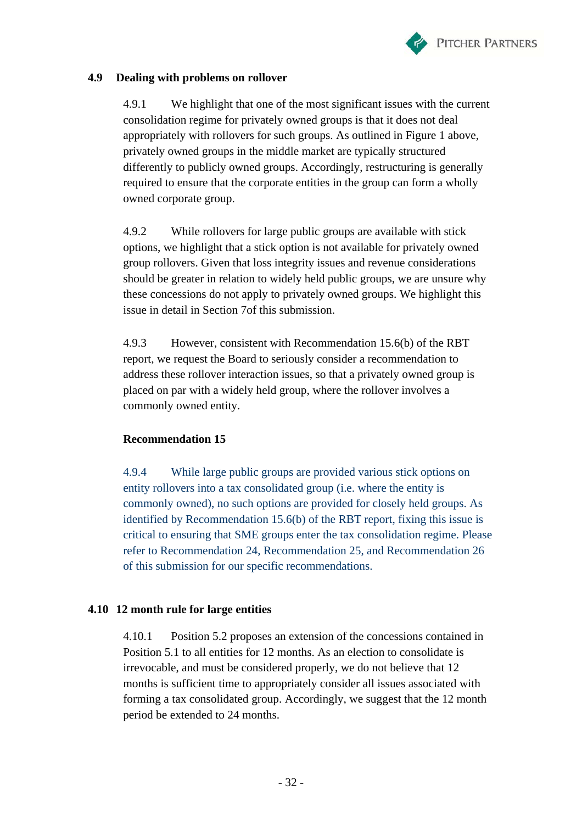

### **4.9 Dealing with problems on rollover**

4.9.1 We highlight that one of the most significant issues with the current consolidation regime for privately owned groups is that it does not deal appropriately with rollovers for such groups. As outlined in Figure 1 above, privately owned groups in the middle market are typically structured differently to publicly owned groups. Accordingly, restructuring is generally required to ensure that the corporate entities in the group can form a wholly owned corporate group.

4.9.2 While rollovers for large public groups are available with stick options, we highlight that a stick option is not available for privately owned group rollovers. Given that loss integrity issues and revenue considerations should be greater in relation to widely held public groups, we are unsure why these concessions do not apply to privately owned groups. We highlight this issue in detail in Section 7of this submission.

4.9.3 However, consistent with Recommendation 15.6(b) of the RBT report, we request the Board to seriously consider a recommendation to address these rollover interaction issues, so that a privately owned group is placed on par with a widely held group, where the rollover involves a commonly owned entity.

# **Recommendation 15**

4.9.4 While large public groups are provided various stick options on entity rollovers into a tax consolidated group (i.e. where the entity is commonly owned), no such options are provided for closely held groups. As identified by Recommendation 15.6(b) of the RBT report, fixing this issue is critical to ensuring that SME groups enter the tax consolidation regime. Please refer to Recommendation 24, Recommendation 25, and Recommendation 26 of this submission for our specific recommendations.

### **4.10 12 month rule for large entities**

4.10.1 Position 5.2 proposes an extension of the concessions contained in Position 5.1 to all entities for 12 months. As an election to consolidate is irrevocable, and must be considered properly, we do not believe that 12 months is sufficient time to appropriately consider all issues associated with forming a tax consolidated group. Accordingly, we suggest that the 12 month period be extended to 24 months.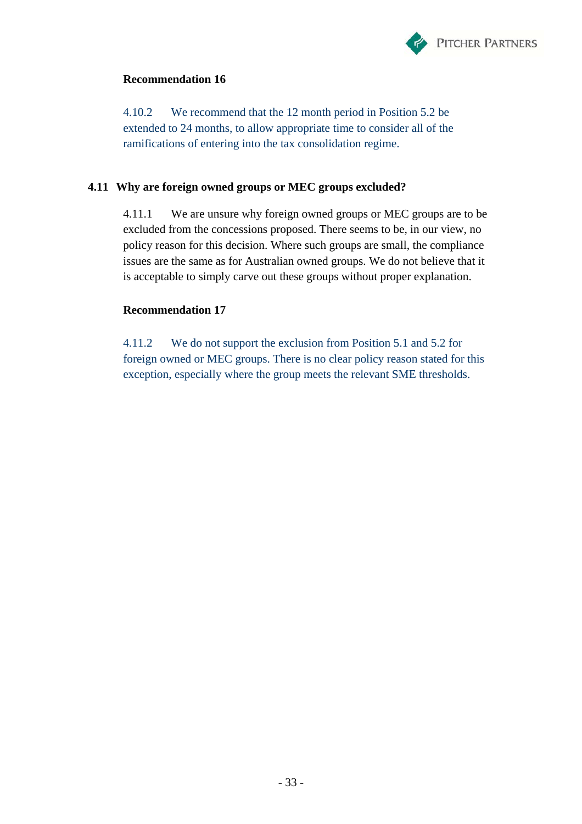

4.10.2 We recommend that the 12 month period in Position 5.2 be extended to 24 months, to allow appropriate time to consider all of the ramifications of entering into the tax consolidation regime.

### **4.11 Why are foreign owned groups or MEC groups excluded?**

4.11.1 We are unsure why foreign owned groups or MEC groups are to be excluded from the concessions proposed. There seems to be, in our view, no policy reason for this decision. Where such groups are small, the compliance issues are the same as for Australian owned groups. We do not believe that it is acceptable to simply carve out these groups without proper explanation.

# **Recommendation 17**

4.11.2 We do not support the exclusion from Position 5.1 and 5.2 for foreign owned or MEC groups. There is no clear policy reason stated for this exception, especially where the group meets the relevant SME thresholds.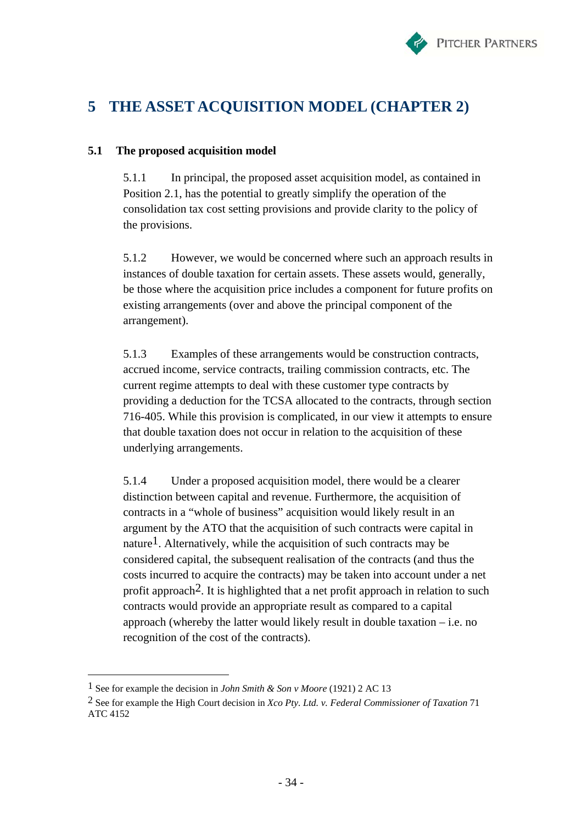

# **5 THE ASSET ACQUISITION MODEL (CHAPTER 2)**

### **5.1 The proposed acquisition model**

5.1.1 In principal, the proposed asset acquisition model, as contained in Position 2.1, has the potential to greatly simplify the operation of the consolidation tax cost setting provisions and provide clarity to the policy of the provisions.

5.1.2 However, we would be concerned where such an approach results in instances of double taxation for certain assets. These assets would, generally, be those where the acquisition price includes a component for future profits on existing arrangements (over and above the principal component of the arrangement).

5.1.3 Examples of these arrangements would be construction contracts, accrued income, service contracts, trailing commission contracts, etc. The current regime attempts to deal with these customer type contracts by providing a deduction for the TCSA allocated to the contracts, through section 716-405. While this provision is complicated, in our view it attempts to ensure that double taxation does not occur in relation to the acquisition of these underlying arrangements.

5.1.4 Under a proposed acquisition model, there would be a clearer distinction between capital and revenue. Furthermore, the acquisition of contracts in a "whole of business" acquisition would likely result in an argument by the ATO that the acquisition of such contracts were capital in nature<sup>1</sup>. Alternatively, while the acquisition of such contracts may be considered capital, the subsequent realisation of the contracts (and thus the costs incurred to acquire the contracts) may be taken into account under a net profit approach<sup>2</sup>. It is highlighted that a net profit approach in relation to such contracts would provide an appropriate result as compared to a capital approach (whereby the latter would likely result in double taxation  $-$  i.e. no recognition of the cost of the contracts).

 $\overline{a}$ 

<sup>1</sup> See for example the decision in *John Smith & Son v Moore* (1921) 2 AC 13

<sup>2</sup> See for example the High Court decision in *Xco Pty. Ltd. v. Federal Commissioner of Taxation* 71 ATC 4152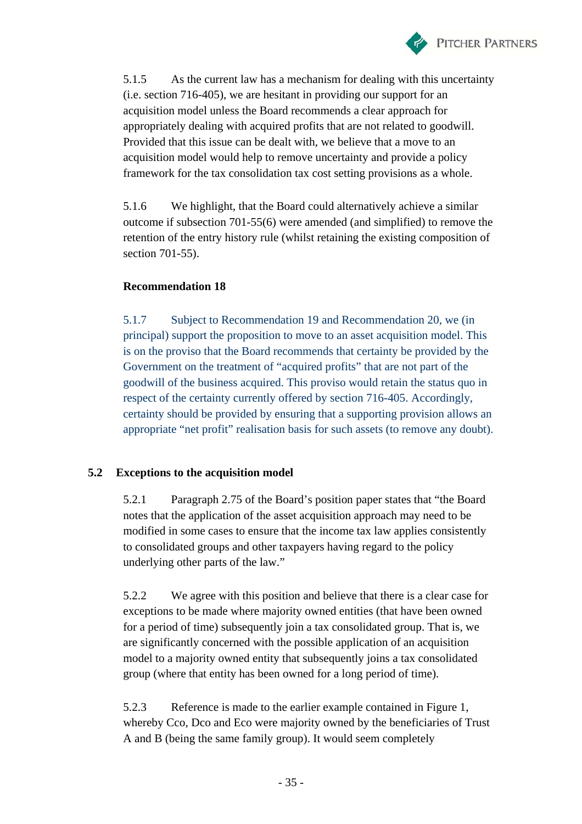

5.1.5 As the current law has a mechanism for dealing with this uncertainty (i.e. section 716-405), we are hesitant in providing our support for an acquisition model unless the Board recommends a clear approach for appropriately dealing with acquired profits that are not related to goodwill. Provided that this issue can be dealt with, we believe that a move to an acquisition model would help to remove uncertainty and provide a policy framework for the tax consolidation tax cost setting provisions as a whole.

5.1.6 We highlight, that the Board could alternatively achieve a similar outcome if subsection 701-55(6) were amended (and simplified) to remove the retention of the entry history rule (whilst retaining the existing composition of section 701-55).

# **Recommendation 18**

5.1.7 Subject to Recommendation 19 and Recommendation 20, we (in principal) support the proposition to move to an asset acquisition model. This is on the proviso that the Board recommends that certainty be provided by the Government on the treatment of "acquired profits" that are not part of the goodwill of the business acquired. This proviso would retain the status quo in respect of the certainty currently offered by section 716-405. Accordingly, certainty should be provided by ensuring that a supporting provision allows an appropriate "net profit" realisation basis for such assets (to remove any doubt).

# **5.2 Exceptions to the acquisition model**

5.2.1 Paragraph 2.75 of the Board's position paper states that "the Board notes that the application of the asset acquisition approach may need to be modified in some cases to ensure that the income tax law applies consistently to consolidated groups and other taxpayers having regard to the policy underlying other parts of the law."

5.2.2 We agree with this position and believe that there is a clear case for exceptions to be made where majority owned entities (that have been owned for a period of time) subsequently join a tax consolidated group. That is, we are significantly concerned with the possible application of an acquisition model to a majority owned entity that subsequently joins a tax consolidated group (where that entity has been owned for a long period of time).

5.2.3 Reference is made to the earlier example contained in Figure 1, whereby Cco, Dco and Eco were majority owned by the beneficiaries of Trust A and B (being the same family group). It would seem completely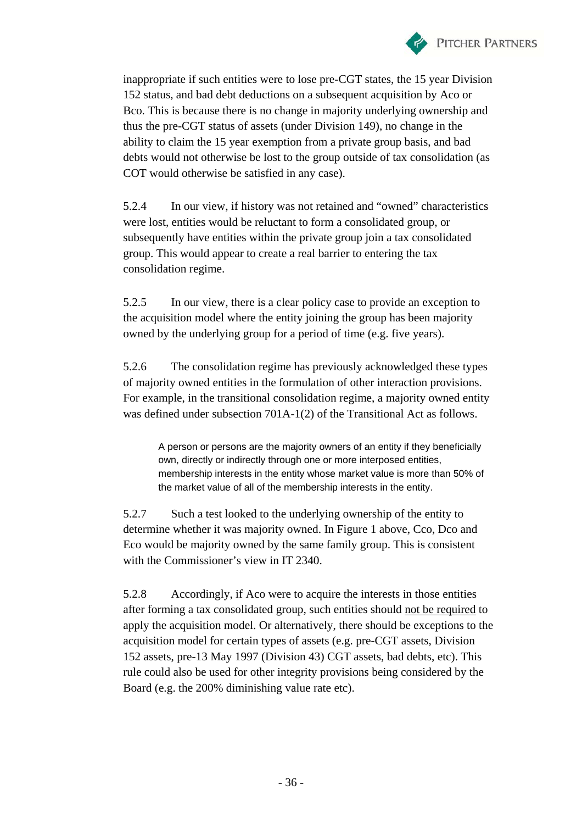

inappropriate if such entities were to lose pre-CGT states, the 15 year Division 152 status, and bad debt deductions on a subsequent acquisition by Aco or Bco. This is because there is no change in majority underlying ownership and thus the pre-CGT status of assets (under Division 149), no change in the ability to claim the 15 year exemption from a private group basis, and bad debts would not otherwise be lost to the group outside of tax consolidation (as COT would otherwise be satisfied in any case).

5.2.4 In our view, if history was not retained and "owned" characteristics were lost, entities would be reluctant to form a consolidated group, or subsequently have entities within the private group join a tax consolidated group. This would appear to create a real barrier to entering the tax consolidation regime.

5.2.5 In our view, there is a clear policy case to provide an exception to the acquisition model where the entity joining the group has been majority owned by the underlying group for a period of time (e.g. five years).

5.2.6 The consolidation regime has previously acknowledged these types of majority owned entities in the formulation of other interaction provisions. For example, in the transitional consolidation regime, a majority owned entity was defined under subsection 701A-1(2) of the Transitional Act as follows.

A person or persons are the majority owners of an entity if they beneficially own, directly or indirectly through one or more interposed entities, membership interests in the entity whose market value is more than 50% of the market value of all of the membership interests in the entity.

5.2.7 Such a test looked to the underlying ownership of the entity to determine whether it was majority owned. In Figure 1 above, Cco, Dco and Eco would be majority owned by the same family group. This is consistent with the Commissioner's view in IT 2340.

5.2.8 Accordingly, if Aco were to acquire the interests in those entities after forming a tax consolidated group, such entities should not be required to apply the acquisition model. Or alternatively, there should be exceptions to the acquisition model for certain types of assets (e.g. pre-CGT assets, Division 152 assets, pre-13 May 1997 (Division 43) CGT assets, bad debts, etc). This rule could also be used for other integrity provisions being considered by the Board (e.g. the 200% diminishing value rate etc).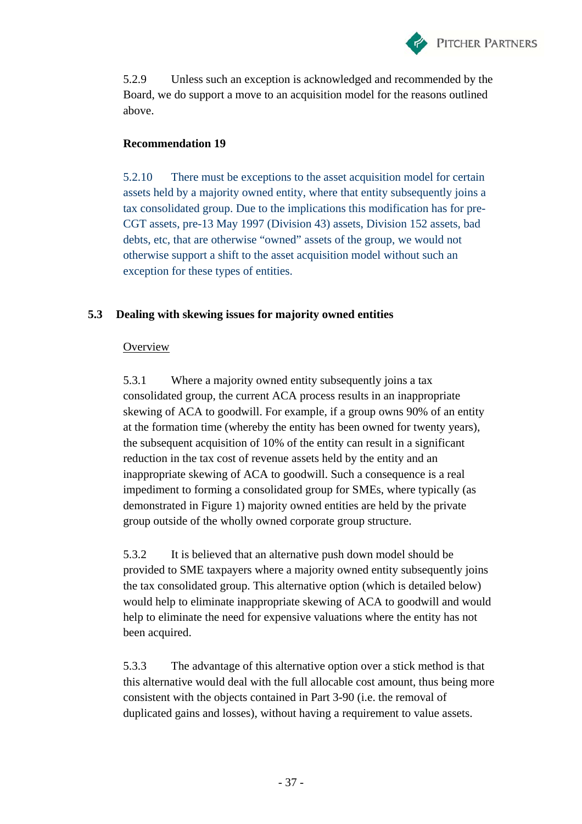

5.2.9 Unless such an exception is acknowledged and recommended by the Board, we do support a move to an acquisition model for the reasons outlined above.

#### **Recommendation 19**

5.2.10 There must be exceptions to the asset acquisition model for certain assets held by a majority owned entity, where that entity subsequently joins a tax consolidated group. Due to the implications this modification has for pre-CGT assets, pre-13 May 1997 (Division 43) assets, Division 152 assets, bad debts, etc, that are otherwise "owned" assets of the group, we would not otherwise support a shift to the asset acquisition model without such an exception for these types of entities.

### **5.3 Dealing with skewing issues for majority owned entities**

#### **Overview**

5.3.1 Where a majority owned entity subsequently joins a tax consolidated group, the current ACA process results in an inappropriate skewing of ACA to goodwill. For example, if a group owns 90% of an entity at the formation time (whereby the entity has been owned for twenty years), the subsequent acquisition of 10% of the entity can result in a significant reduction in the tax cost of revenue assets held by the entity and an inappropriate skewing of ACA to goodwill. Such a consequence is a real impediment to forming a consolidated group for SMEs, where typically (as demonstrated in Figure 1) majority owned entities are held by the private group outside of the wholly owned corporate group structure.

5.3.2 It is believed that an alternative push down model should be provided to SME taxpayers where a majority owned entity subsequently joins the tax consolidated group. This alternative option (which is detailed below) would help to eliminate inappropriate skewing of ACA to goodwill and would help to eliminate the need for expensive valuations where the entity has not been acquired.

5.3.3 The advantage of this alternative option over a stick method is that this alternative would deal with the full allocable cost amount, thus being more consistent with the objects contained in Part 3-90 (i.e. the removal of duplicated gains and losses), without having a requirement to value assets.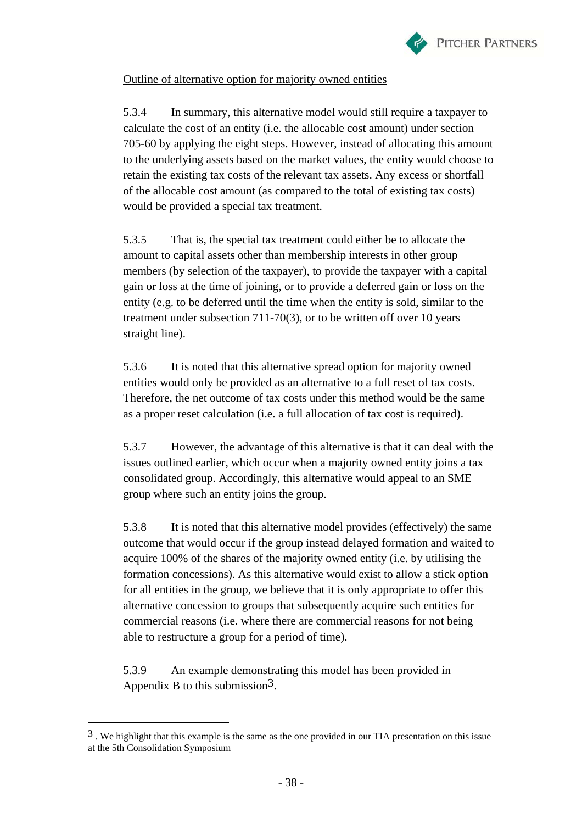

#### Outline of alternative option for majority owned entities

5.3.4 In summary, this alternative model would still require a taxpayer to calculate the cost of an entity (i.e. the allocable cost amount) under section 705-60 by applying the eight steps. However, instead of allocating this amount to the underlying assets based on the market values, the entity would choose to retain the existing tax costs of the relevant tax assets. Any excess or shortfall of the allocable cost amount (as compared to the total of existing tax costs) would be provided a special tax treatment.

5.3.5 That is, the special tax treatment could either be to allocate the amount to capital assets other than membership interests in other group members (by selection of the taxpayer), to provide the taxpayer with a capital gain or loss at the time of joining, or to provide a deferred gain or loss on the entity (e.g. to be deferred until the time when the entity is sold, similar to the treatment under subsection 711-70(3), or to be written off over 10 years straight line).

5.3.6 It is noted that this alternative spread option for majority owned entities would only be provided as an alternative to a full reset of tax costs. Therefore, the net outcome of tax costs under this method would be the same as a proper reset calculation (i.e. a full allocation of tax cost is required).

5.3.7 However, the advantage of this alternative is that it can deal with the issues outlined earlier, which occur when a majority owned entity joins a tax consolidated group. Accordingly, this alternative would appeal to an SME group where such an entity joins the group.

5.3.8 It is noted that this alternative model provides (effectively) the same outcome that would occur if the group instead delayed formation and waited to acquire 100% of the shares of the majority owned entity (i.e. by utilising the formation concessions). As this alternative would exist to allow a stick option for all entities in the group, we believe that it is only appropriate to offer this alternative concession to groups that subsequently acquire such entities for commercial reasons (i.e. where there are commercial reasons for not being able to restructure a group for a period of time).

5.3.9 An example demonstrating this model has been provided in Appendix B to this submission<sup>3</sup>.

 $\overline{a}$ 

 $3$ . We highlight that this example is the same as the one provided in our TIA presentation on this issue at the 5th Consolidation Symposium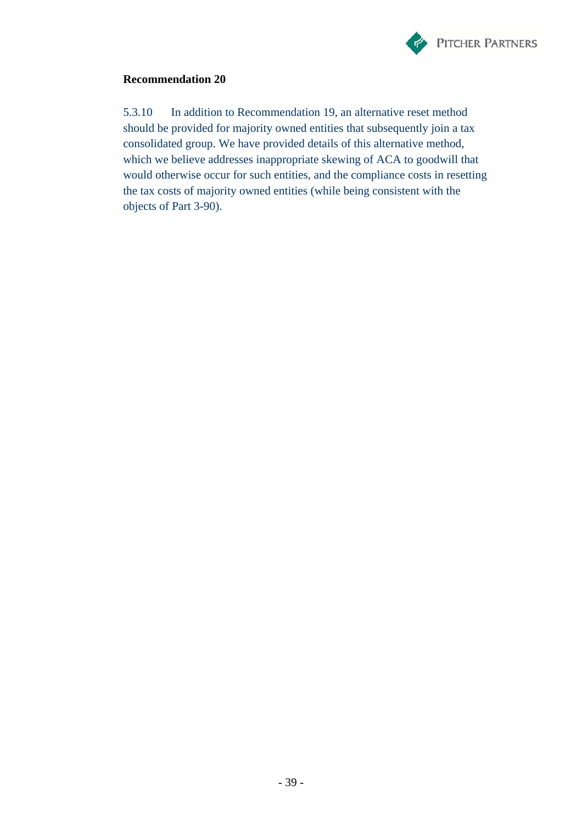

#### **Recommendation 20**

5.3.10 In addition to Recommendation 19, an alternative reset method should be provided for majority owned entities that subsequently join a tax consolidated group. We have provided details of this alternative method, which we believe addresses inappropriate skewing of ACA to goodwill that would otherwise occur for such entities, and the compliance costs in resetting the tax costs of majority owned entities (while being consistent with the objects of Part 3-90).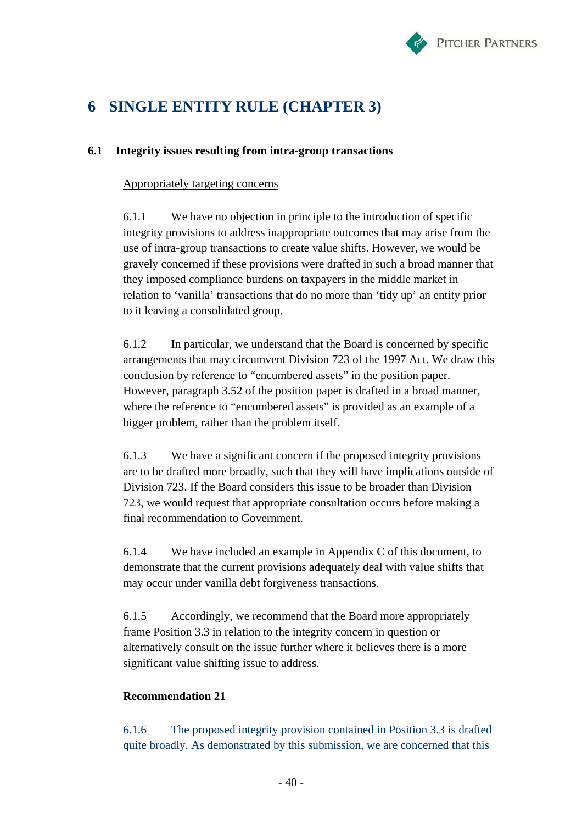

# **6 SINGLE ENTITY RULE (CHAPTER 3)**

#### **6.1 Integrity issues resulting from intra-group transactions**

#### Appropriately targeting concerns

6.1.1 We have no objection in principle to the introduction of specific integrity provisions to address inappropriate outcomes that may arise from the use of intra-group transactions to create value shifts. However, we would be gravely concerned if these provisions were drafted in such a broad manner that they imposed compliance burdens on taxpayers in the middle market in relation to 'vanilla' transactions that do no more than 'tidy up' an entity prior to it leaving a consolidated group.

6.1.2 In particular, we understand that the Board is concerned by specific arrangements that may circumvent Division 723 of the 1997 Act. We draw this conclusion by reference to "encumbered assets" in the position paper. However, paragraph 3.52 of the position paper is drafted in a broad manner, where the reference to "encumbered assets" is provided as an example of a bigger problem, rather than the problem itself.

6.1.3 We have a significant concern if the proposed integrity provisions are to be drafted more broadly, such that they will have implications outside of Division 723. If the Board considers this issue to be broader than Division 723, we would request that appropriate consultation occurs before making a final recommendation to Government.

6.1.4 We have included an example in Appendix C of this document, to demonstrate that the current provisions adequately deal with value shifts that may occur under vanilla debt forgiveness transactions.

6.1.5 Accordingly, we recommend that the Board more appropriately frame Position 3.3 in relation to the integrity concern in question or alternatively consult on the issue further where it believes there is a more significant value shifting issue to address.

#### **Recommendation 21**

6.1.6 The proposed integrity provision contained in Position 3.3 is drafted quite broadly. As demonstrated by this submission, we are concerned that this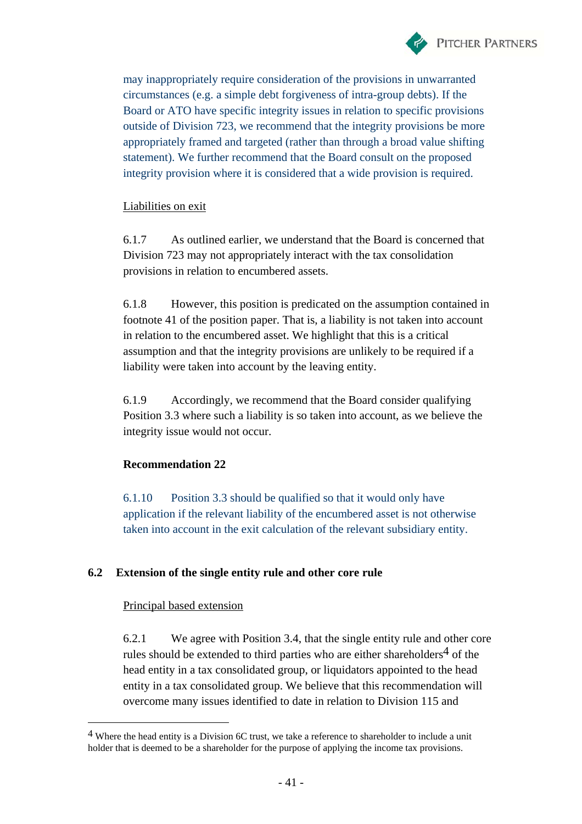

may inappropriately require consideration of the provisions in unwarranted circumstances (e.g. a simple debt forgiveness of intra-group debts). If the Board or ATO have specific integrity issues in relation to specific provisions outside of Division 723, we recommend that the integrity provisions be more appropriately framed and targeted (rather than through a broad value shifting statement). We further recommend that the Board consult on the proposed integrity provision where it is considered that a wide provision is required.

#### Liabilities on exit

6.1.7 As outlined earlier, we understand that the Board is concerned that Division 723 may not appropriately interact with the tax consolidation provisions in relation to encumbered assets.

6.1.8 However, this position is predicated on the assumption contained in footnote 41 of the position paper. That is, a liability is not taken into account in relation to the encumbered asset. We highlight that this is a critical assumption and that the integrity provisions are unlikely to be required if a liability were taken into account by the leaving entity.

6.1.9 Accordingly, we recommend that the Board consider qualifying Position 3.3 where such a liability is so taken into account, as we believe the integrity issue would not occur.

#### **Recommendation 22**

6.1.10 Position 3.3 should be qualified so that it would only have application if the relevant liability of the encumbered asset is not otherwise taken into account in the exit calculation of the relevant subsidiary entity.

#### **6.2 Extension of the single entity rule and other core rule**

#### Principal based extension

 $\overline{a}$ 

6.2.1 We agree with Position 3.4, that the single entity rule and other core rules should be extended to third parties who are either shareholders<sup>4</sup> of the head entity in a tax consolidated group, or liquidators appointed to the head entity in a tax consolidated group. We believe that this recommendation will overcome many issues identified to date in relation to Division 115 and

<sup>4</sup> Where the head entity is a Division 6C trust, we take a reference to shareholder to include a unit holder that is deemed to be a shareholder for the purpose of applying the income tax provisions.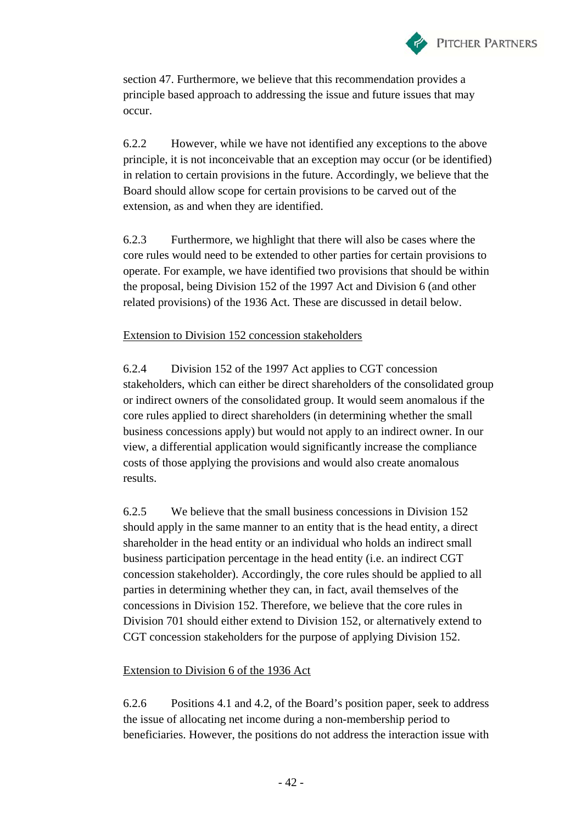

section 47. Furthermore, we believe that this recommendation provides a principle based approach to addressing the issue and future issues that may occur.

6.2.2 However, while we have not identified any exceptions to the above principle, it is not inconceivable that an exception may occur (or be identified) in relation to certain provisions in the future. Accordingly, we believe that the Board should allow scope for certain provisions to be carved out of the extension, as and when they are identified.

6.2.3 Furthermore, we highlight that there will also be cases where the core rules would need to be extended to other parties for certain provisions to operate. For example, we have identified two provisions that should be within the proposal, being Division 152 of the 1997 Act and Division 6 (and other related provisions) of the 1936 Act. These are discussed in detail below.

#### Extension to Division 152 concession stakeholders

6.2.4 Division 152 of the 1997 Act applies to CGT concession stakeholders, which can either be direct shareholders of the consolidated group or indirect owners of the consolidated group. It would seem anomalous if the core rules applied to direct shareholders (in determining whether the small business concessions apply) but would not apply to an indirect owner. In our view, a differential application would significantly increase the compliance costs of those applying the provisions and would also create anomalous results.

6.2.5 We believe that the small business concessions in Division 152 should apply in the same manner to an entity that is the head entity, a direct shareholder in the head entity or an individual who holds an indirect small business participation percentage in the head entity (i.e. an indirect CGT concession stakeholder). Accordingly, the core rules should be applied to all parties in determining whether they can, in fact, avail themselves of the concessions in Division 152. Therefore, we believe that the core rules in Division 701 should either extend to Division 152, or alternatively extend to CGT concession stakeholders for the purpose of applying Division 152.

#### Extension to Division 6 of the 1936 Act

6.2.6 Positions 4.1 and 4.2, of the Board's position paper, seek to address the issue of allocating net income during a non-membership period to beneficiaries. However, the positions do not address the interaction issue with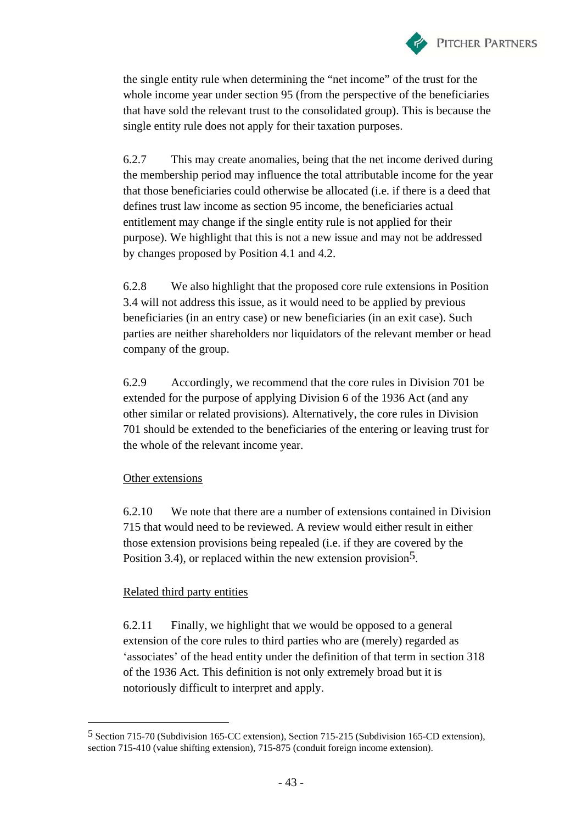

the single entity rule when determining the "net income" of the trust for the whole income year under section 95 (from the perspective of the beneficiaries that have sold the relevant trust to the consolidated group). This is because the single entity rule does not apply for their taxation purposes.

6.2.7 This may create anomalies, being that the net income derived during the membership period may influence the total attributable income for the year that those beneficiaries could otherwise be allocated (i.e. if there is a deed that defines trust law income as section 95 income, the beneficiaries actual entitlement may change if the single entity rule is not applied for their purpose). We highlight that this is not a new issue and may not be addressed by changes proposed by Position 4.1 and 4.2.

6.2.8 We also highlight that the proposed core rule extensions in Position 3.4 will not address this issue, as it would need to be applied by previous beneficiaries (in an entry case) or new beneficiaries (in an exit case). Such parties are neither shareholders nor liquidators of the relevant member or head company of the group.

6.2.9 Accordingly, we recommend that the core rules in Division 701 be extended for the purpose of applying Division 6 of the 1936 Act (and any other similar or related provisions). Alternatively, the core rules in Division 701 should be extended to the beneficiaries of the entering or leaving trust for the whole of the relevant income year.

#### Other extensions

 $\overline{a}$ 

6.2.10 We note that there are a number of extensions contained in Division 715 that would need to be reviewed. A review would either result in either those extension provisions being repealed (i.e. if they are covered by the Position 3.4), or replaced within the new extension provision<sup>5</sup>.

#### Related third party entities

6.2.11 Finally, we highlight that we would be opposed to a general extension of the core rules to third parties who are (merely) regarded as 'associates' of the head entity under the definition of that term in section 318 of the 1936 Act. This definition is not only extremely broad but it is notoriously difficult to interpret and apply.

<sup>5</sup> Section 715-70 (Subdivision 165-CC extension), Section 715-215 (Subdivision 165-CD extension), section 715-410 (value shifting extension), 715-875 (conduit foreign income extension).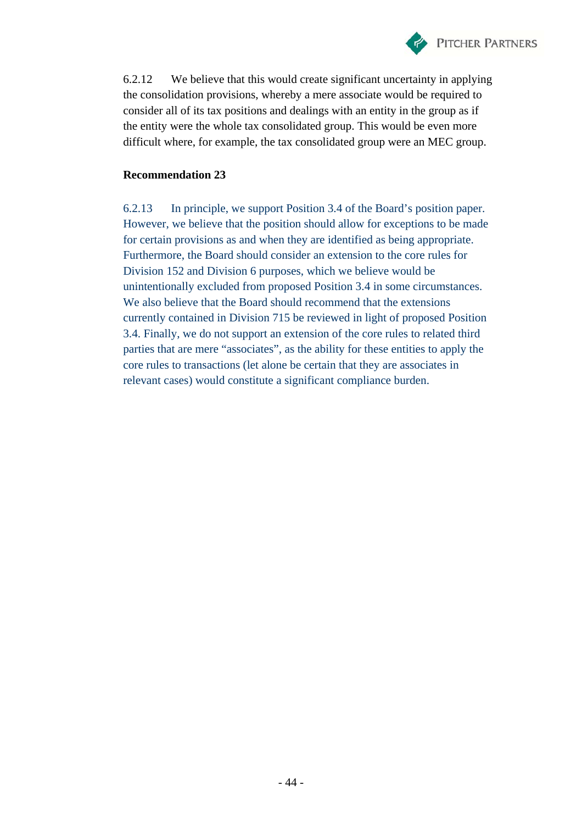

6.2.12 We believe that this would create significant uncertainty in applying the consolidation provisions, whereby a mere associate would be required to consider all of its tax positions and dealings with an entity in the group as if the entity were the whole tax consolidated group. This would be even more difficult where, for example, the tax consolidated group were an MEC group.

#### **Recommendation 23**

6.2.13 In principle, we support Position 3.4 of the Board's position paper. However, we believe that the position should allow for exceptions to be made for certain provisions as and when they are identified as being appropriate. Furthermore, the Board should consider an extension to the core rules for Division 152 and Division 6 purposes, which we believe would be unintentionally excluded from proposed Position 3.4 in some circumstances. We also believe that the Board should recommend that the extensions currently contained in Division 715 be reviewed in light of proposed Position 3.4. Finally, we do not support an extension of the core rules to related third parties that are mere "associates", as the ability for these entities to apply the core rules to transactions (let alone be certain that they are associates in relevant cases) would constitute a significant compliance burden.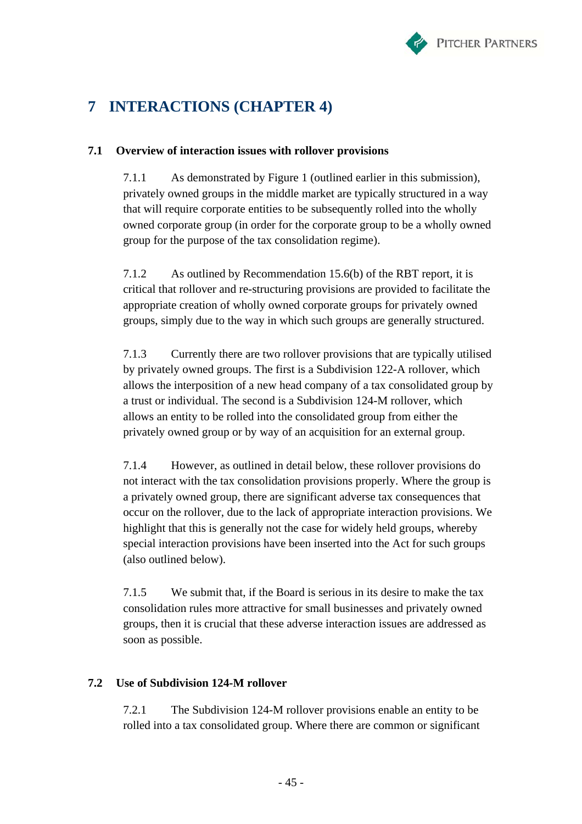

# **7 INTERACTIONS (CHAPTER 4)**

### **7.1 Overview of interaction issues with rollover provisions**

7.1.1 As demonstrated by Figure 1 (outlined earlier in this submission), privately owned groups in the middle market are typically structured in a way that will require corporate entities to be subsequently rolled into the wholly owned corporate group (in order for the corporate group to be a wholly owned group for the purpose of the tax consolidation regime).

7.1.2 As outlined by Recommendation 15.6(b) of the RBT report, it is critical that rollover and re-structuring provisions are provided to facilitate the appropriate creation of wholly owned corporate groups for privately owned groups, simply due to the way in which such groups are generally structured.

7.1.3 Currently there are two rollover provisions that are typically utilised by privately owned groups. The first is a Subdivision 122-A rollover, which allows the interposition of a new head company of a tax consolidated group by a trust or individual. The second is a Subdivision 124-M rollover, which allows an entity to be rolled into the consolidated group from either the privately owned group or by way of an acquisition for an external group.

7.1.4 However, as outlined in detail below, these rollover provisions do not interact with the tax consolidation provisions properly. Where the group is a privately owned group, there are significant adverse tax consequences that occur on the rollover, due to the lack of appropriate interaction provisions. We highlight that this is generally not the case for widely held groups, whereby special interaction provisions have been inserted into the Act for such groups (also outlined below).

7.1.5 We submit that, if the Board is serious in its desire to make the tax consolidation rules more attractive for small businesses and privately owned groups, then it is crucial that these adverse interaction issues are addressed as soon as possible.

#### **7.2 Use of Subdivision 124-M rollover**

7.2.1 The Subdivision 124-M rollover provisions enable an entity to be rolled into a tax consolidated group. Where there are common or significant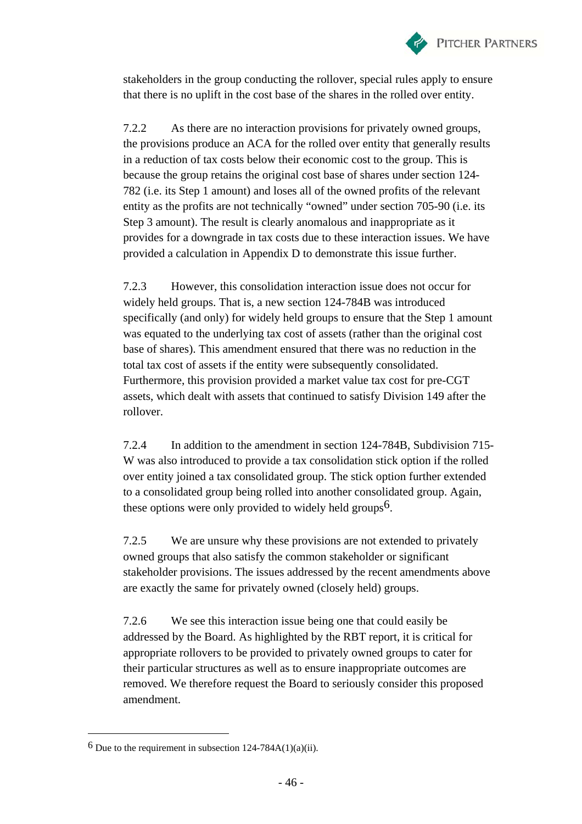

stakeholders in the group conducting the rollover, special rules apply to ensure that there is no uplift in the cost base of the shares in the rolled over entity.

7.2.2 As there are no interaction provisions for privately owned groups, the provisions produce an ACA for the rolled over entity that generally results in a reduction of tax costs below their economic cost to the group. This is because the group retains the original cost base of shares under section 124- 782 (i.e. its Step 1 amount) and loses all of the owned profits of the relevant entity as the profits are not technically "owned" under section 705-90 (i.e. its Step 3 amount). The result is clearly anomalous and inappropriate as it provides for a downgrade in tax costs due to these interaction issues. We have provided a calculation in Appendix D to demonstrate this issue further.

7.2.3 However, this consolidation interaction issue does not occur for widely held groups. That is, a new section 124-784B was introduced specifically (and only) for widely held groups to ensure that the Step 1 amount was equated to the underlying tax cost of assets (rather than the original cost base of shares). This amendment ensured that there was no reduction in the total tax cost of assets if the entity were subsequently consolidated. Furthermore, this provision provided a market value tax cost for pre-CGT assets, which dealt with assets that continued to satisfy Division 149 after the rollover.

7.2.4 In addition to the amendment in section 124-784B, Subdivision 715- W was also introduced to provide a tax consolidation stick option if the rolled over entity joined a tax consolidated group. The stick option further extended to a consolidated group being rolled into another consolidated group. Again, these options were only provided to widely held groups<sup>6</sup>.

7.2.5 We are unsure why these provisions are not extended to privately owned groups that also satisfy the common stakeholder or significant stakeholder provisions. The issues addressed by the recent amendments above are exactly the same for privately owned (closely held) groups.

7.2.6 We see this interaction issue being one that could easily be addressed by the Board. As highlighted by the RBT report, it is critical for appropriate rollovers to be provided to privately owned groups to cater for their particular structures as well as to ensure inappropriate outcomes are removed. We therefore request the Board to seriously consider this proposed amendment.

 $\overline{a}$ 

 $6$  Due to the requirement in subsection 124-784A(1)(a)(ii).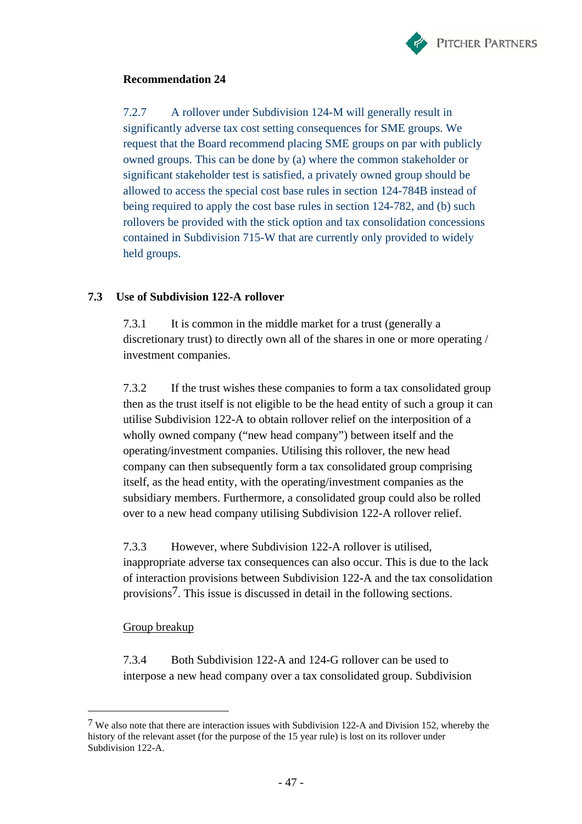

#### **Recommendation 24**

7.2.7 A rollover under Subdivision 124-M will generally result in significantly adverse tax cost setting consequences for SME groups. We request that the Board recommend placing SME groups on par with publicly owned groups. This can be done by (a) where the common stakeholder or significant stakeholder test is satisfied, a privately owned group should be allowed to access the special cost base rules in section 124-784B instead of being required to apply the cost base rules in section 124-782, and (b) such rollovers be provided with the stick option and tax consolidation concessions contained in Subdivision 715-W that are currently only provided to widely held groups.

#### **7.3 Use of Subdivision 122-A rollover**

7.3.1 It is common in the middle market for a trust (generally a discretionary trust) to directly own all of the shares in one or more operating / investment companies.

7.3.2 If the trust wishes these companies to form a tax consolidated group then as the trust itself is not eligible to be the head entity of such a group it can utilise Subdivision 122-A to obtain rollover relief on the interposition of a wholly owned company ("new head company") between itself and the operating/investment companies. Utilising this rollover, the new head company can then subsequently form a tax consolidated group comprising itself, as the head entity, with the operating/investment companies as the subsidiary members. Furthermore, a consolidated group could also be rolled over to a new head company utilising Subdivision 122-A rollover relief.

7.3.3 However, where Subdivision 122-A rollover is utilised, inappropriate adverse tax consequences can also occur. This is due to the lack of interaction provisions between Subdivision 122-A and the tax consolidation provisions7. This issue is discussed in detail in the following sections.

#### Group breakup

 $\overline{a}$ 

7.3.4 Both Subdivision 122-A and 124-G rollover can be used to interpose a new head company over a tax consolidated group. Subdivision

<sup>7</sup> We also note that there are interaction issues with Subdivision 122-A and Division 152, whereby the history of the relevant asset (for the purpose of the 15 year rule) is lost on its rollover under Subdivision 122-A.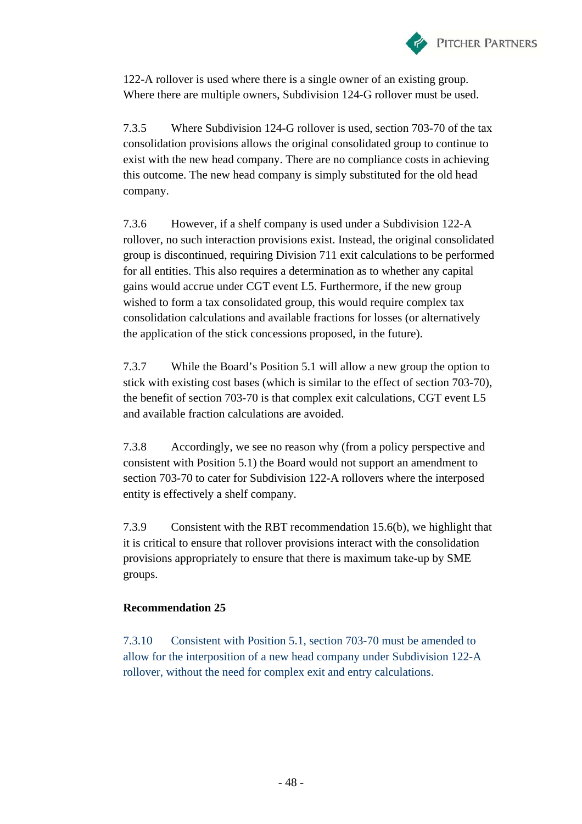

122-A rollover is used where there is a single owner of an existing group. Where there are multiple owners, Subdivision 124-G rollover must be used.

7.3.5 Where Subdivision 124-G rollover is used, section 703-70 of the tax consolidation provisions allows the original consolidated group to continue to exist with the new head company. There are no compliance costs in achieving this outcome. The new head company is simply substituted for the old head company.

7.3.6 However, if a shelf company is used under a Subdivision 122-A rollover, no such interaction provisions exist. Instead, the original consolidated group is discontinued, requiring Division 711 exit calculations to be performed for all entities. This also requires a determination as to whether any capital gains would accrue under CGT event L5. Furthermore, if the new group wished to form a tax consolidated group, this would require complex tax consolidation calculations and available fractions for losses (or alternatively the application of the stick concessions proposed, in the future).

7.3.7 While the Board's Position 5.1 will allow a new group the option to stick with existing cost bases (which is similar to the effect of section 703-70), the benefit of section 703-70 is that complex exit calculations, CGT event L5 and available fraction calculations are avoided.

7.3.8 Accordingly, we see no reason why (from a policy perspective and consistent with Position 5.1) the Board would not support an amendment to section 703-70 to cater for Subdivision 122-A rollovers where the interposed entity is effectively a shelf company.

7.3.9 Consistent with the RBT recommendation 15.6(b), we highlight that it is critical to ensure that rollover provisions interact with the consolidation provisions appropriately to ensure that there is maximum take-up by SME groups.

#### **Recommendation 25**

7.3.10 Consistent with Position 5.1, section 703-70 must be amended to allow for the interposition of a new head company under Subdivision 122-A rollover, without the need for complex exit and entry calculations.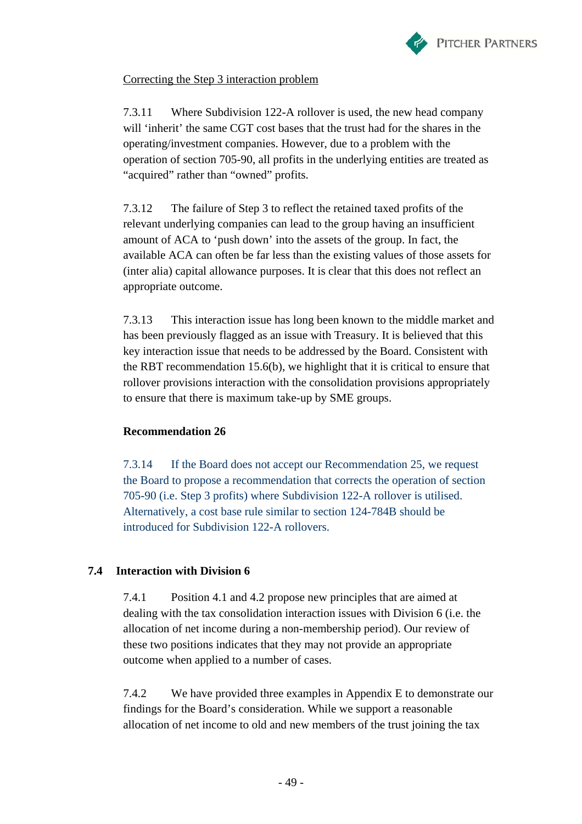

Correcting the Step 3 interaction problem

7.3.11 Where Subdivision 122-A rollover is used, the new head company will 'inherit' the same CGT cost bases that the trust had for the shares in the operating/investment companies. However, due to a problem with the operation of section 705-90, all profits in the underlying entities are treated as "acquired" rather than "owned" profits.

7.3.12 The failure of Step 3 to reflect the retained taxed profits of the relevant underlying companies can lead to the group having an insufficient amount of ACA to 'push down' into the assets of the group. In fact, the available ACA can often be far less than the existing values of those assets for (inter alia) capital allowance purposes. It is clear that this does not reflect an appropriate outcome.

7.3.13 This interaction issue has long been known to the middle market and has been previously flagged as an issue with Treasury. It is believed that this key interaction issue that needs to be addressed by the Board. Consistent with the RBT recommendation 15.6(b), we highlight that it is critical to ensure that rollover provisions interaction with the consolidation provisions appropriately to ensure that there is maximum take-up by SME groups.

#### **Recommendation 26**

7.3.14 If the Board does not accept our Recommendation 25, we request the Board to propose a recommendation that corrects the operation of section 705-90 (i.e. Step 3 profits) where Subdivision 122-A rollover is utilised. Alternatively, a cost base rule similar to section 124-784B should be introduced for Subdivision 122-A rollovers.

#### **7.4 Interaction with Division 6**

7.4.1 Position 4.1 and 4.2 propose new principles that are aimed at dealing with the tax consolidation interaction issues with Division 6 (i.e. the allocation of net income during a non-membership period). Our review of these two positions indicates that they may not provide an appropriate outcome when applied to a number of cases.

7.4.2 We have provided three examples in Appendix E to demonstrate our findings for the Board's consideration. While we support a reasonable allocation of net income to old and new members of the trust joining the tax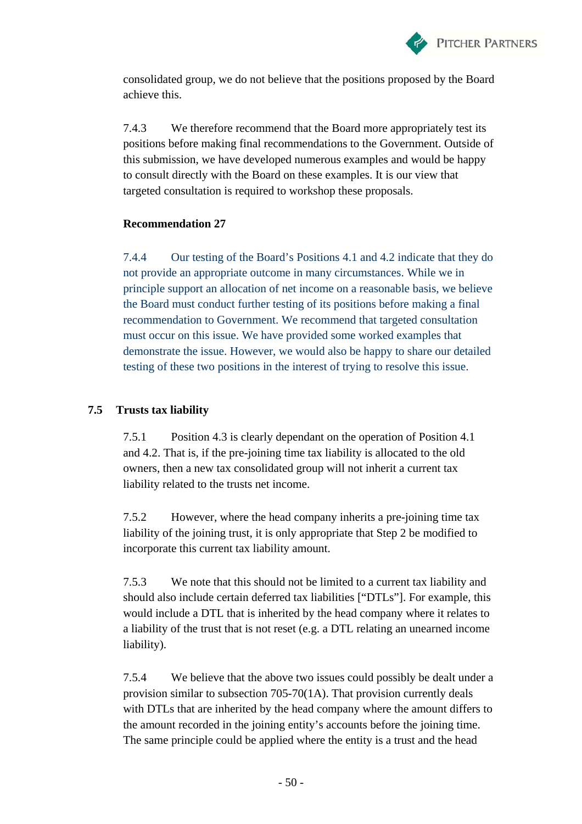

consolidated group, we do not believe that the positions proposed by the Board achieve this.

7.4.3 We therefore recommend that the Board more appropriately test its positions before making final recommendations to the Government. Outside of this submission, we have developed numerous examples and would be happy to consult directly with the Board on these examples. It is our view that targeted consultation is required to workshop these proposals.

#### **Recommendation 27**

7.4.4 Our testing of the Board's Positions 4.1 and 4.2 indicate that they do not provide an appropriate outcome in many circumstances. While we in principle support an allocation of net income on a reasonable basis, we believe the Board must conduct further testing of its positions before making a final recommendation to Government. We recommend that targeted consultation must occur on this issue. We have provided some worked examples that demonstrate the issue. However, we would also be happy to share our detailed testing of these two positions in the interest of trying to resolve this issue.

#### **7.5 Trusts tax liability**

7.5.1 Position 4.3 is clearly dependant on the operation of Position 4.1 and 4.2. That is, if the pre-joining time tax liability is allocated to the old owners, then a new tax consolidated group will not inherit a current tax liability related to the trusts net income.

7.5.2 However, where the head company inherits a pre-joining time tax liability of the joining trust, it is only appropriate that Step 2 be modified to incorporate this current tax liability amount.

7.5.3 We note that this should not be limited to a current tax liability and should also include certain deferred tax liabilities ["DTLs"]. For example, this would include a DTL that is inherited by the head company where it relates to a liability of the trust that is not reset (e.g. a DTL relating an unearned income liability).

7.5.4 We believe that the above two issues could possibly be dealt under a provision similar to subsection 705-70(1A). That provision currently deals with DTLs that are inherited by the head company where the amount differs to the amount recorded in the joining entity's accounts before the joining time. The same principle could be applied where the entity is a trust and the head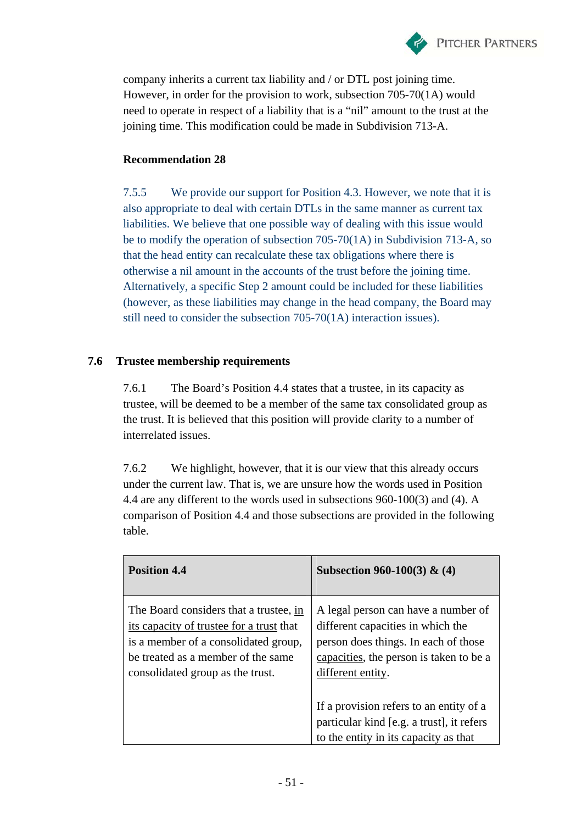

company inherits a current tax liability and / or DTL post joining time. However, in order for the provision to work, subsection 705-70(1A) would need to operate in respect of a liability that is a "nil" amount to the trust at the joining time. This modification could be made in Subdivision 713-A.

### **Recommendation 28**

7.5.5 We provide our support for Position 4.3. However, we note that it is also appropriate to deal with certain DTLs in the same manner as current tax liabilities. We believe that one possible way of dealing with this issue would be to modify the operation of subsection 705-70(1A) in Subdivision 713-A, so that the head entity can recalculate these tax obligations where there is otherwise a nil amount in the accounts of the trust before the joining time. Alternatively, a specific Step 2 amount could be included for these liabilities (however, as these liabilities may change in the head company, the Board may still need to consider the subsection 705-70(1A) interaction issues).

## **7.6 Trustee membership requirements**

7.6.1 The Board's Position 4.4 states that a trustee, in its capacity as trustee, will be deemed to be a member of the same tax consolidated group as the trust. It is believed that this position will provide clarity to a number of interrelated issues.

7.6.2 We highlight, however, that it is our view that this already occurs under the current law. That is, we are unsure how the words used in Position 4.4 are any different to the words used in subsections 960-100(3) and (4). A comparison of Position 4.4 and those subsections are provided in the following table.

| <b>Position 4.4</b>                                                                                                                                                                                  | Subsection 960-100(3) $\&$ (4)                                                                                                                                                   |
|------------------------------------------------------------------------------------------------------------------------------------------------------------------------------------------------------|----------------------------------------------------------------------------------------------------------------------------------------------------------------------------------|
| The Board considers that a trustee, in<br>its capacity of trustee for a trust that<br>is a member of a consolidated group,<br>be treated as a member of the same<br>consolidated group as the trust. | A legal person can have a number of<br>different capacities in which the<br>person does things. In each of those<br>capacities, the person is taken to be a<br>different entity. |
|                                                                                                                                                                                                      | If a provision refers to an entity of a<br>particular kind [e.g. a trust], it refers<br>to the entity in its capacity as that                                                    |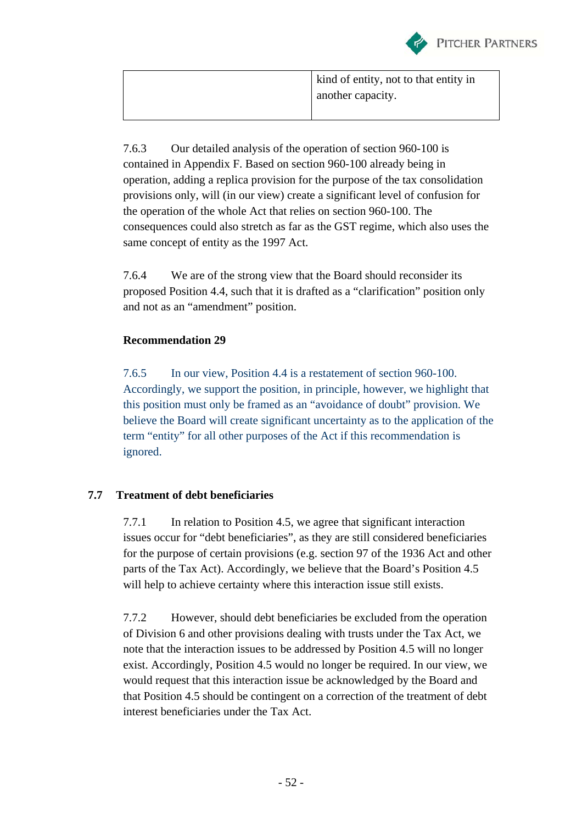

| kind of entity, not to that entity in |
|---------------------------------------|
| another capacity.                     |
|                                       |

7.6.3 Our detailed analysis of the operation of section 960-100 is contained in Appendix F. Based on section 960-100 already being in operation, adding a replica provision for the purpose of the tax consolidation provisions only, will (in our view) create a significant level of confusion for the operation of the whole Act that relies on section 960-100. The consequences could also stretch as far as the GST regime, which also uses the same concept of entity as the 1997 Act.

7.6.4 We are of the strong view that the Board should reconsider its proposed Position 4.4, such that it is drafted as a "clarification" position only and not as an "amendment" position.

### **Recommendation 29**

7.6.5 In our view, Position 4.4 is a restatement of section 960-100. Accordingly, we support the position, in principle, however, we highlight that this position must only be framed as an "avoidance of doubt" provision. We believe the Board will create significant uncertainty as to the application of the term "entity" for all other purposes of the Act if this recommendation is ignored.

#### **7.7 Treatment of debt beneficiaries**

7.7.1 In relation to Position 4.5, we agree that significant interaction issues occur for "debt beneficiaries", as they are still considered beneficiaries for the purpose of certain provisions (e.g. section 97 of the 1936 Act and other parts of the Tax Act). Accordingly, we believe that the Board's Position 4.5 will help to achieve certainty where this interaction issue still exists.

7.7.2 However, should debt beneficiaries be excluded from the operation of Division 6 and other provisions dealing with trusts under the Tax Act, we note that the interaction issues to be addressed by Position 4.5 will no longer exist. Accordingly, Position 4.5 would no longer be required. In our view, we would request that this interaction issue be acknowledged by the Board and that Position 4.5 should be contingent on a correction of the treatment of debt interest beneficiaries under the Tax Act.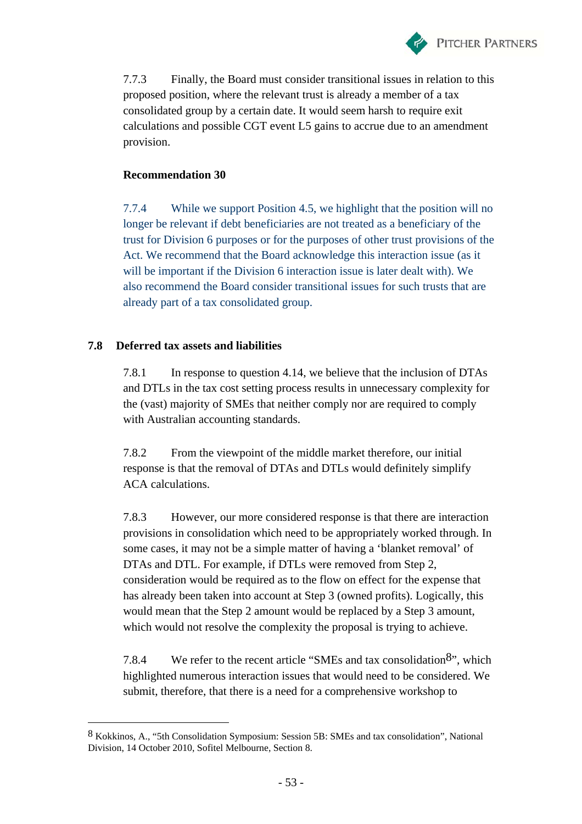

7.7.3 Finally, the Board must consider transitional issues in relation to this proposed position, where the relevant trust is already a member of a tax consolidated group by a certain date. It would seem harsh to require exit calculations and possible CGT event L5 gains to accrue due to an amendment provision.

### **Recommendation 30**

7.7.4 While we support Position 4.5, we highlight that the position will no longer be relevant if debt beneficiaries are not treated as a beneficiary of the trust for Division 6 purposes or for the purposes of other trust provisions of the Act. We recommend that the Board acknowledge this interaction issue (as it will be important if the Division 6 interaction issue is later dealt with). We also recommend the Board consider transitional issues for such trusts that are already part of a tax consolidated group.

### **7.8 Deferred tax assets and liabilities**

 $\overline{a}$ 

7.8.1 In response to question 4.14, we believe that the inclusion of DTAs and DTLs in the tax cost setting process results in unnecessary complexity for the (vast) majority of SMEs that neither comply nor are required to comply with Australian accounting standards.

7.8.2 From the viewpoint of the middle market therefore, our initial response is that the removal of DTAs and DTLs would definitely simplify ACA calculations.

7.8.3 However, our more considered response is that there are interaction provisions in consolidation which need to be appropriately worked through. In some cases, it may not be a simple matter of having a 'blanket removal' of DTAs and DTL. For example, if DTLs were removed from Step 2, consideration would be required as to the flow on effect for the expense that has already been taken into account at Step 3 (owned profits). Logically, this would mean that the Step 2 amount would be replaced by a Step 3 amount, which would not resolve the complexity the proposal is trying to achieve.

7.8.4 We refer to the recent article "SMEs and tax consolidation  $8$ ", which highlighted numerous interaction issues that would need to be considered. We submit, therefore, that there is a need for a comprehensive workshop to

<sup>8</sup> Kokkinos, A., "5th Consolidation Symposium: Session 5B: SMEs and tax consolidation", National Division, 14 October 2010, Sofitel Melbourne, Section 8.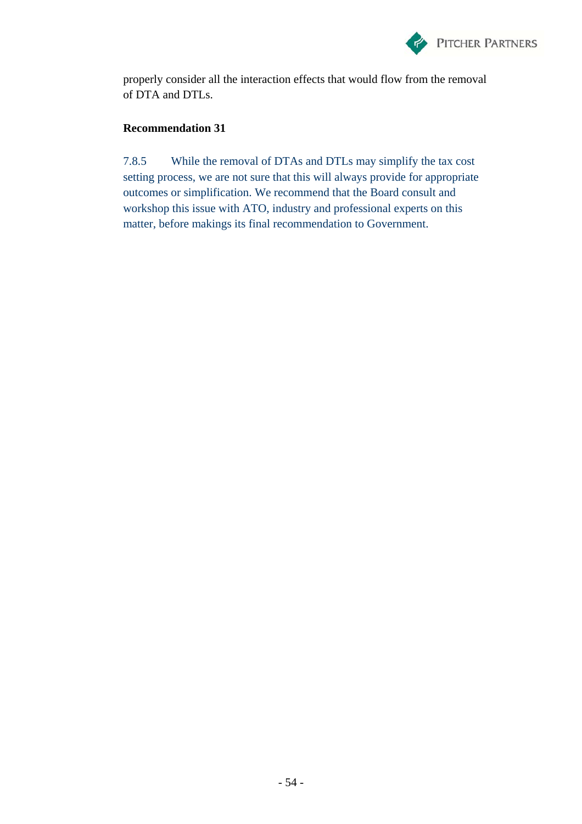

properly consider all the interaction effects that would flow from the removal of DTA and DTLs.

### **Recommendation 31**

7.8.5 While the removal of DTAs and DTLs may simplify the tax cost setting process, we are not sure that this will always provide for appropriate outcomes or simplification. We recommend that the Board consult and workshop this issue with ATO, industry and professional experts on this matter, before makings its final recommendation to Government.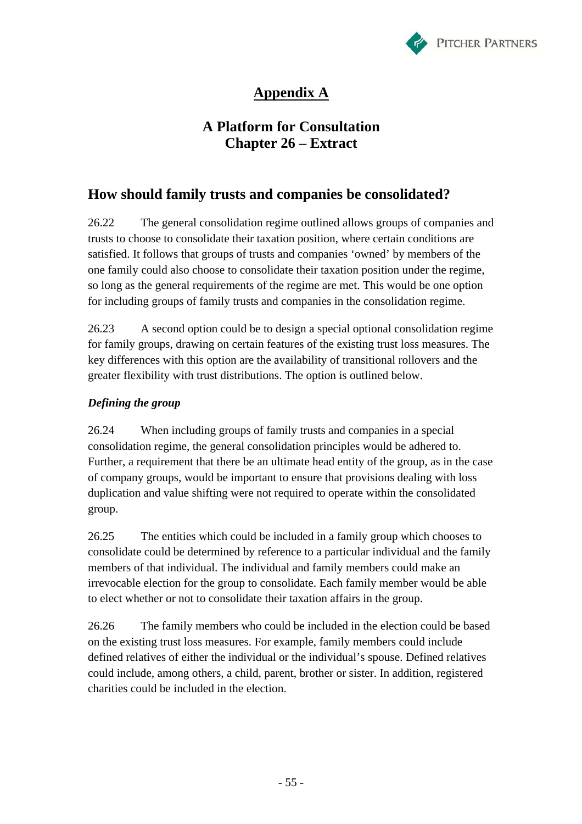

# **Appendix A**

## **A Platform for Consultation Chapter 26 – Extract**

## **How should family trusts and companies be consolidated?**

26.22 The general consolidation regime outlined allows groups of companies and trusts to choose to consolidate their taxation position, where certain conditions are satisfied. It follows that groups of trusts and companies 'owned' by members of the one family could also choose to consolidate their taxation position under the regime, so long as the general requirements of the regime are met. This would be one option for including groups of family trusts and companies in the consolidation regime.

26.23 A second option could be to design a special optional consolidation regime for family groups, drawing on certain features of the existing trust loss measures. The key differences with this option are the availability of transitional rollovers and the greater flexibility with trust distributions. The option is outlined below.

### *Defining the group*

26.24 When including groups of family trusts and companies in a special consolidation regime, the general consolidation principles would be adhered to. Further, a requirement that there be an ultimate head entity of the group, as in the case of company groups, would be important to ensure that provisions dealing with loss duplication and value shifting were not required to operate within the consolidated group.

26.25 The entities which could be included in a family group which chooses to consolidate could be determined by reference to a particular individual and the family members of that individual. The individual and family members could make an irrevocable election for the group to consolidate. Each family member would be able to elect whether or not to consolidate their taxation affairs in the group.

26.26 The family members who could be included in the election could be based on the existing trust loss measures. For example, family members could include defined relatives of either the individual or the individual's spouse. Defined relatives could include, among others, a child, parent, brother or sister. In addition, registered charities could be included in the election.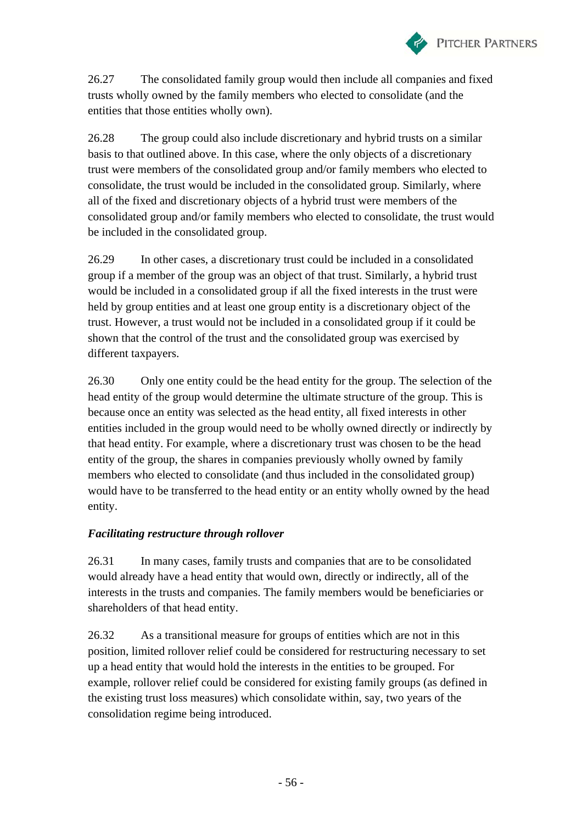

26.27 The consolidated family group would then include all companies and fixed trusts wholly owned by the family members who elected to consolidate (and the entities that those entities wholly own).

26.28 The group could also include discretionary and hybrid trusts on a similar basis to that outlined above. In this case, where the only objects of a discretionary trust were members of the consolidated group and/or family members who elected to consolidate, the trust would be included in the consolidated group. Similarly, where all of the fixed and discretionary objects of a hybrid trust were members of the consolidated group and/or family members who elected to consolidate, the trust would be included in the consolidated group.

26.29 In other cases, a discretionary trust could be included in a consolidated group if a member of the group was an object of that trust. Similarly, a hybrid trust would be included in a consolidated group if all the fixed interests in the trust were held by group entities and at least one group entity is a discretionary object of the trust. However, a trust would not be included in a consolidated group if it could be shown that the control of the trust and the consolidated group was exercised by different taxpayers.

26.30 Only one entity could be the head entity for the group. The selection of the head entity of the group would determine the ultimate structure of the group. This is because once an entity was selected as the head entity, all fixed interests in other entities included in the group would need to be wholly owned directly or indirectly by that head entity. For example, where a discretionary trust was chosen to be the head entity of the group, the shares in companies previously wholly owned by family members who elected to consolidate (and thus included in the consolidated group) would have to be transferred to the head entity or an entity wholly owned by the head entity.

#### *Facilitating restructure through rollover*

26.31 In many cases, family trusts and companies that are to be consolidated would already have a head entity that would own, directly or indirectly, all of the interests in the trusts and companies. The family members would be beneficiaries or shareholders of that head entity.

26.32 As a transitional measure for groups of entities which are not in this position, limited rollover relief could be considered for restructuring necessary to set up a head entity that would hold the interests in the entities to be grouped. For example, rollover relief could be considered for existing family groups (as defined in the existing trust loss measures) which consolidate within, say, two years of the consolidation regime being introduced.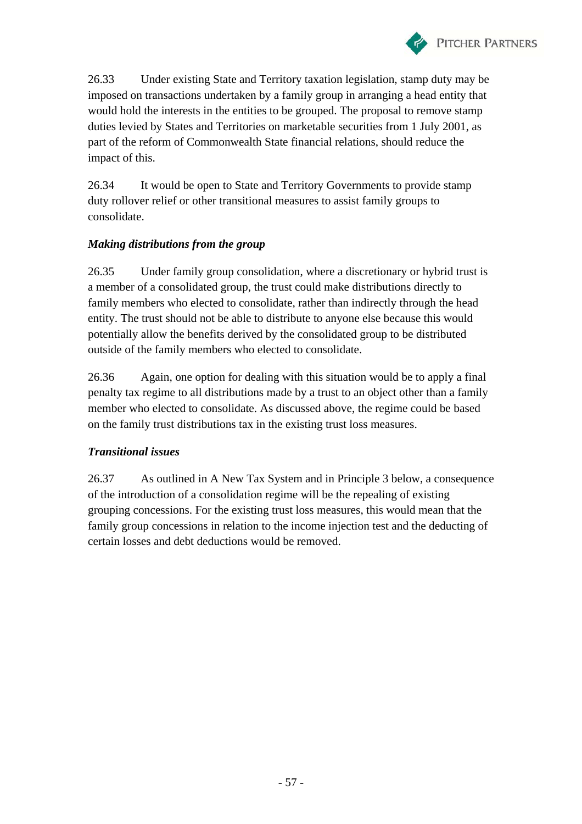

26.33 Under existing State and Territory taxation legislation, stamp duty may be imposed on transactions undertaken by a family group in arranging a head entity that would hold the interests in the entities to be grouped. The proposal to remove stamp duties levied by States and Territories on marketable securities from 1 July 2001, as part of the reform of Commonwealth State financial relations, should reduce the impact of this.

26.34 It would be open to State and Territory Governments to provide stamp duty rollover relief or other transitional measures to assist family groups to consolidate.

#### *Making distributions from the group*

26.35 Under family group consolidation, where a discretionary or hybrid trust is a member of a consolidated group, the trust could make distributions directly to family members who elected to consolidate, rather than indirectly through the head entity. The trust should not be able to distribute to anyone else because this would potentially allow the benefits derived by the consolidated group to be distributed outside of the family members who elected to consolidate.

26.36 Again, one option for dealing with this situation would be to apply a final penalty tax regime to all distributions made by a trust to an object other than a family member who elected to consolidate. As discussed above, the regime could be based on the family trust distributions tax in the existing trust loss measures.

#### *Transitional issues*

26.37 As outlined in A New Tax System and in Principle 3 below, a consequence of the introduction of a consolidation regime will be the repealing of existing grouping concessions. For the existing trust loss measures, this would mean that the family group concessions in relation to the income injection test and the deducting of certain losses and debt deductions would be removed.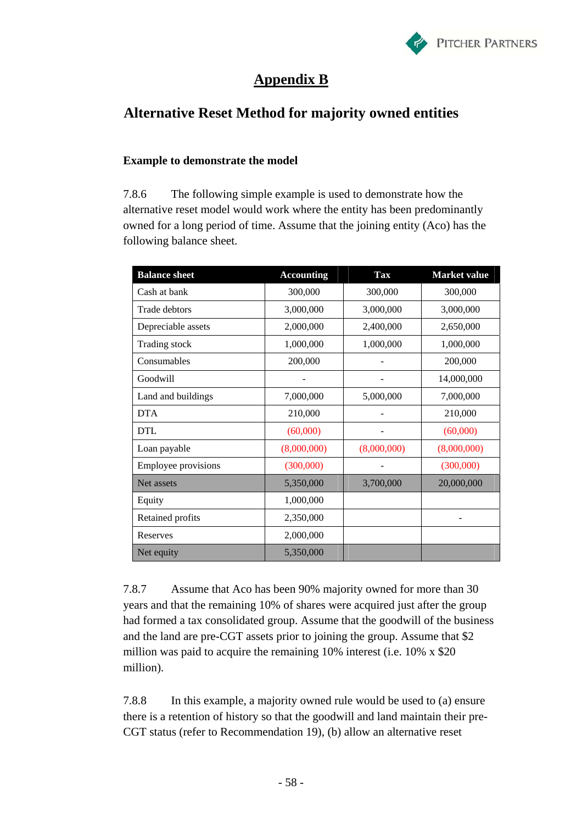

## **Appendix B**

## **Alternative Reset Method for majority owned entities**

#### **Example to demonstrate the model**

7.8.6 The following simple example is used to demonstrate how the alternative reset model would work where the entity has been predominantly owned for a long period of time. Assume that the joining entity (Aco) has the following balance sheet.

| <b>Balance sheet</b>       | <b>Accounting</b> | <b>Tax</b>  | <b>Market value</b> |
|----------------------------|-------------------|-------------|---------------------|
| Cash at bank               | 300,000           | 300,000     | 300,000             |
| Trade debtors              | 3,000,000         | 3,000,000   | 3,000,000           |
| Depreciable assets         | 2,000,000         | 2,400,000   | 2,650,000           |
| Trading stock              | 1,000,000         | 1,000,000   | 1,000,000           |
| Consumables                | 200,000           |             | 200,000             |
| Goodwill                   |                   |             | 14,000,000          |
| Land and buildings         | 7,000,000         | 5,000,000   | 7,000,000           |
| <b>DTA</b>                 | 210,000           |             | 210,000             |
| <b>DTL</b>                 | (60,000)          |             | (60,000)            |
| Loan payable               | (8,000,000)       | (8,000,000) | (8,000,000)         |
| <b>Employee provisions</b> | (300,000)         |             | (300,000)           |
| Net assets                 | 5,350,000         | 3,700,000   | 20,000,000          |
| Equity                     | 1,000,000         |             |                     |
| Retained profits           | 2,350,000         |             |                     |
| Reserves                   | 2,000,000         |             |                     |
| Net equity                 | 5,350,000         |             |                     |

7.8.7 Assume that Aco has been 90% majority owned for more than 30 years and that the remaining 10% of shares were acquired just after the group had formed a tax consolidated group. Assume that the goodwill of the business and the land are pre-CGT assets prior to joining the group. Assume that \$2 million was paid to acquire the remaining 10% interest (i.e. 10% x \$20 million).

7.8.8 In this example, a majority owned rule would be used to (a) ensure there is a retention of history so that the goodwill and land maintain their pre-CGT status (refer to Recommendation 19), (b) allow an alternative reset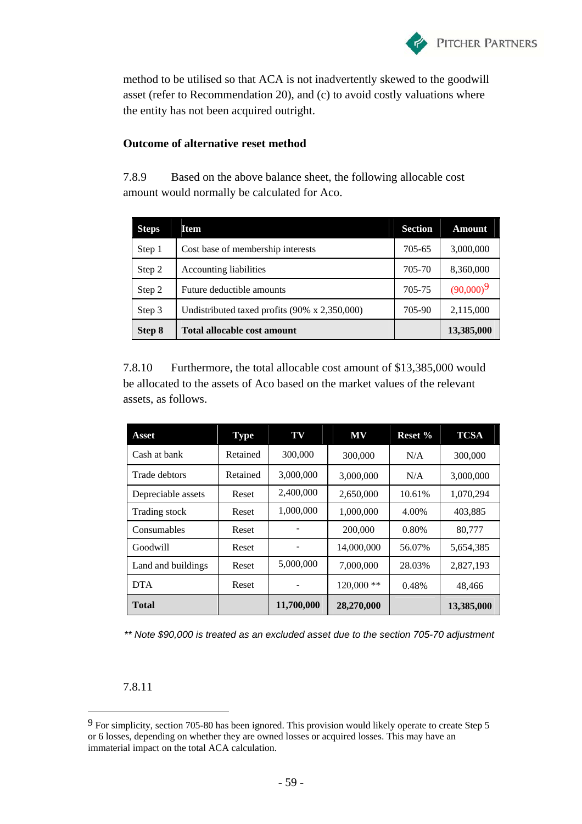

method to be utilised so that ACA is not inadvertently skewed to the goodwill asset (refer to Recommendation 20), and (c) to avoid costly valuations where the entity has not been acquired outright.

#### **Outcome of alternative reset method**

7.8.9 Based on the above balance sheet, the following allocable cost amount would normally be calculated for Aco.

| <b>Steps</b> | <b>Item</b>                                           | <b>Section</b> | <b>Amount</b> |
|--------------|-------------------------------------------------------|----------------|---------------|
| Step 1       | Cost base of membership interests                     | 705-65         | 3,000,000     |
| Step 2       | Accounting liabilities                                | 705-70         | 8,360,000     |
| Step 2       | Future deductible amounts                             | 705-75         | $(90,000)^9$  |
| Step 3       | Undistributed taxed profits $(90\% \times 2,350,000)$ | 705-90         | 2,115,000     |
| Step 8       | <b>Total allocable cost amount</b>                    |                | 13,385,000    |

7.8.10 Furthermore, the total allocable cost amount of \$13,385,000 would be allocated to the assets of Aco based on the market values of the relevant assets, as follows.

| Asset              | <b>Type</b> | TV         | <b>MV</b>    | Reset % | <b>TCSA</b> |
|--------------------|-------------|------------|--------------|---------|-------------|
| Cash at bank       | Retained    | 300,000    | 300,000      | N/A     | 300,000     |
| Trade debtors      | Retained    | 3,000,000  | 3,000,000    | N/A     | 3,000,000   |
| Depreciable assets | Reset       | 2,400,000  | 2,650,000    | 10.61%  | 1,070,294   |
| Trading stock      | Reset       | 1,000,000  | 1,000,000    | 4.00%   | 403,885     |
| Consumables        | Reset       |            | 200,000      | 0.80%   | 80.777      |
| Goodwill           | Reset       |            | 14,000,000   | 56.07%  | 5,654,385   |
| Land and buildings | Reset       | 5,000,000  | 7,000,000    | 28.03%  | 2,827,193   |
| <b>DTA</b>         | Reset       | -          | $120,000$ ** | 0.48%   | 48,466      |
| Total              |             | 11,700,000 | 28,270,000   |         | 13,385,000  |

*\*\* Note \$90,000 is treated as an excluded asset due to the section 705-70 adjustment* 

7.8.11

 $\overline{a}$ 

<sup>9</sup> For simplicity, section 705-80 has been ignored. This provision would likely operate to create Step 5 or 6 losses, depending on whether they are owned losses or acquired losses. This may have an immaterial impact on the total ACA calculation.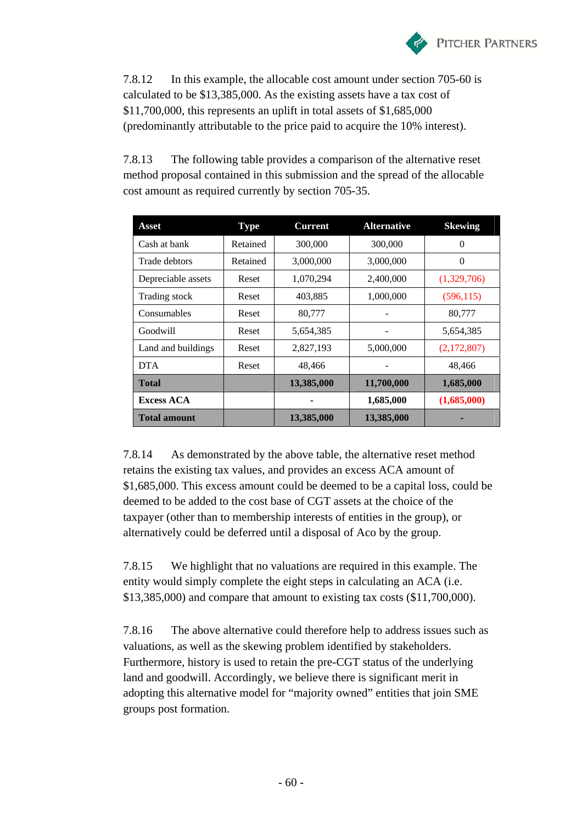

7.8.12 In this example, the allocable cost amount under section 705-60 is calculated to be \$13,385,000. As the existing assets have a tax cost of \$11,700,000, this represents an uplift in total assets of \$1,685,000 (predominantly attributable to the price paid to acquire the 10% interest).

7.8.13 The following table provides a comparison of the alternative reset method proposal contained in this submission and the spread of the allocable cost amount as required currently by section 705-35.

| Asset               | <b>Type</b> | <b>Current</b> | <b>Alternative</b> | <b>Skewing</b> |
|---------------------|-------------|----------------|--------------------|----------------|
| Cash at bank        | Retained    | 300,000        | 300,000            | 0              |
| Trade debtors       | Retained    | 3,000,000      | 3,000,000          | 0              |
| Depreciable assets  | Reset       | 1,070,294      | 2,400,000          | (1,329,706)    |
| Trading stock       | Reset       | 403,885        | 1,000,000          | (596, 115)     |
| Consumables         | Reset       | 80,777         |                    | 80,777         |
| Goodwill            | Reset       | 5,654,385      |                    | 5,654,385      |
| Land and buildings  | Reset       | 2,827,193      | 5,000,000          | (2,172,807)    |
| <b>DTA</b>          | Reset       | 48,466         |                    | 48,466         |
| <b>Total</b>        |             | 13,385,000     | 11,700,000         | 1,685,000      |
| <b>Excess ACA</b>   |             |                | 1,685,000          | (1,685,000)    |
| <b>Total amount</b> |             | 13,385,000     | 13,385,000         |                |

7.8.14 As demonstrated by the above table, the alternative reset method retains the existing tax values, and provides an excess ACA amount of \$1,685,000. This excess amount could be deemed to be a capital loss, could be deemed to be added to the cost base of CGT assets at the choice of the taxpayer (other than to membership interests of entities in the group), or alternatively could be deferred until a disposal of Aco by the group.

7.8.15 We highlight that no valuations are required in this example. The entity would simply complete the eight steps in calculating an ACA (i.e. \$13,385,000) and compare that amount to existing tax costs (\$11,700,000).

7.8.16 The above alternative could therefore help to address issues such as valuations, as well as the skewing problem identified by stakeholders. Furthermore, history is used to retain the pre-CGT status of the underlying land and goodwill. Accordingly, we believe there is significant merit in adopting this alternative model for "majority owned" entities that join SME groups post formation.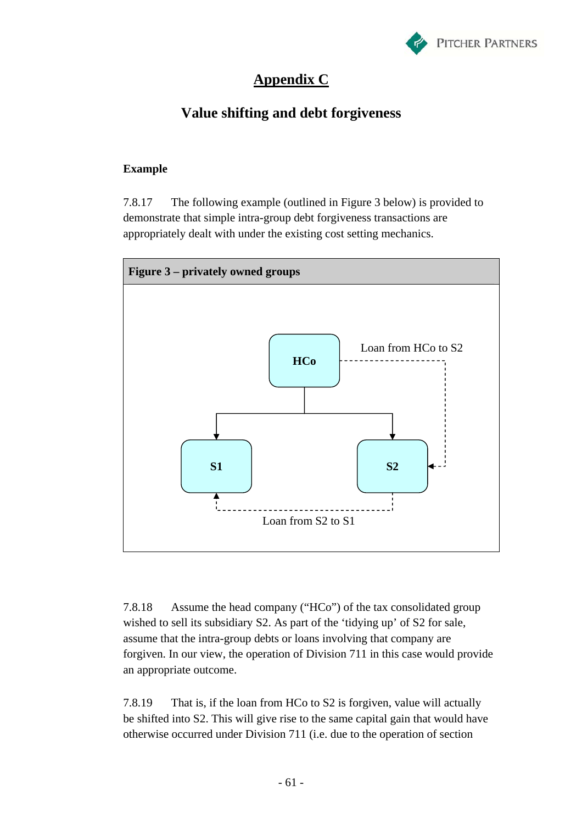

# **Appendix C**

# **Value shifting and debt forgiveness**

### **Example**

7.8.17 The following example (outlined in Figure 3 below) is provided to demonstrate that simple intra-group debt forgiveness transactions are appropriately dealt with under the existing cost setting mechanics.



7.8.18 Assume the head company ("HCo") of the tax consolidated group wished to sell its subsidiary S2. As part of the 'tidying up' of S2 for sale, assume that the intra-group debts or loans involving that company are forgiven. In our view, the operation of Division 711 in this case would provide an appropriate outcome.

7.8.19 That is, if the loan from HCo to S2 is forgiven, value will actually be shifted into S2. This will give rise to the same capital gain that would have otherwise occurred under Division 711 (i.e. due to the operation of section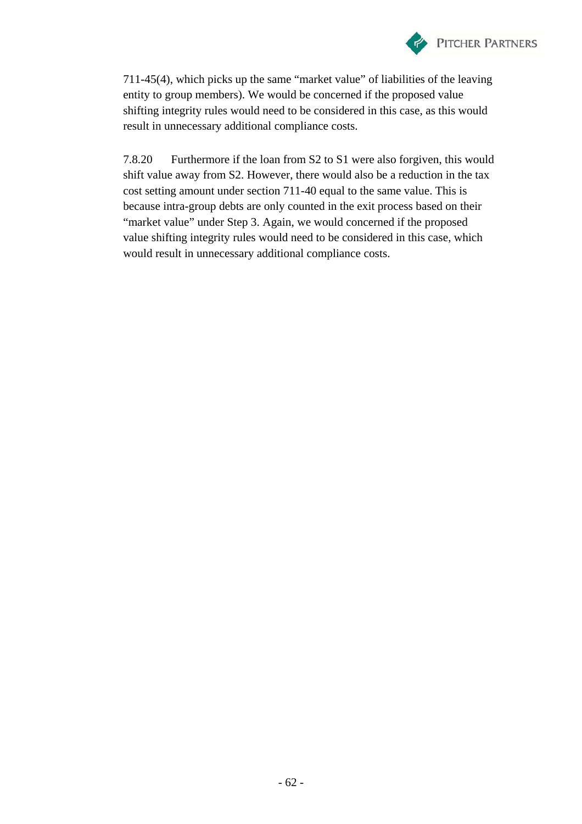

711-45(4), which picks up the same "market value" of liabilities of the leaving entity to group members). We would be concerned if the proposed value shifting integrity rules would need to be considered in this case, as this would result in unnecessary additional compliance costs.

7.8.20 Furthermore if the loan from S2 to S1 were also forgiven, this would shift value away from S2. However, there would also be a reduction in the tax cost setting amount under section 711-40 equal to the same value. This is because intra-group debts are only counted in the exit process based on their "market value" under Step 3. Again, we would concerned if the proposed value shifting integrity rules would need to be considered in this case, which would result in unnecessary additional compliance costs.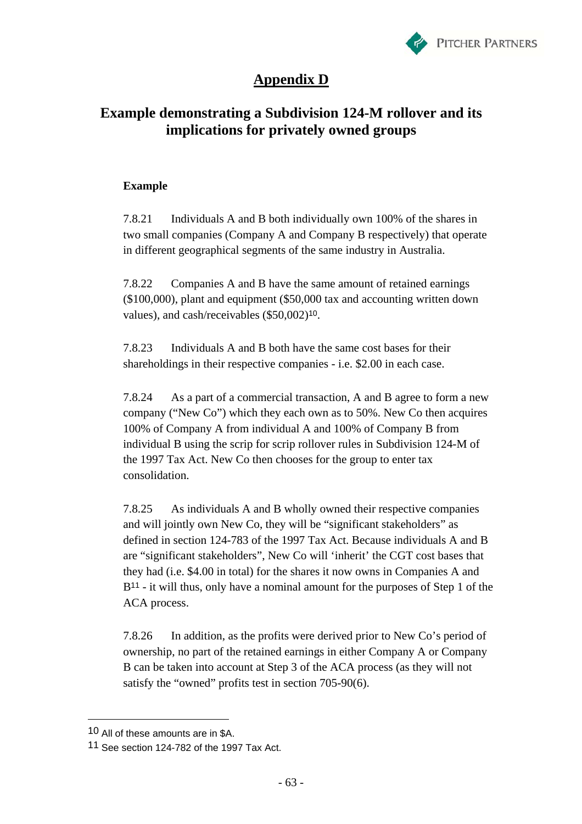

# **Appendix D**

## **Example demonstrating a Subdivision 124-M rollover and its implications for privately owned groups**

### **Example**

7.8.21 Individuals A and B both individually own 100% of the shares in two small companies (Company A and Company B respectively) that operate in different geographical segments of the same industry in Australia.

7.8.22 Companies A and B have the same amount of retained earnings (\$100,000), plant and equipment (\$50,000 tax and accounting written down values), and cash/receivables (\$50,002)10.

7.8.23 Individuals A and B both have the same cost bases for their shareholdings in their respective companies - i.e. \$2.00 in each case.

7.8.24 As a part of a commercial transaction, A and B agree to form a new company ("New Co") which they each own as to 50%. New Co then acquires 100% of Company A from individual A and 100% of Company B from individual B using the scrip for scrip rollover rules in Subdivision 124-M of the 1997 Tax Act. New Co then chooses for the group to enter tax consolidation.

7.8.25 As individuals A and B wholly owned their respective companies and will jointly own New Co, they will be "significant stakeholders" as defined in section 124-783 of the 1997 Tax Act. Because individuals A and B are "significant stakeholders", New Co will 'inherit' the CGT cost bases that they had (i.e. \$4.00 in total) for the shares it now owns in Companies A and B<sup>11</sup> - it will thus, only have a nominal amount for the purposes of Step 1 of the ACA process.

7.8.26 In addition, as the profits were derived prior to New Co's period of ownership, no part of the retained earnings in either Company A or Company B can be taken into account at Step 3 of the ACA process (as they will not satisfy the "owned" profits test in section 705-90(6).

 $\overline{a}$ 

<sup>10</sup> All of these amounts are in \$A.

<sup>11</sup> See section 124-782 of the 1997 Tax Act.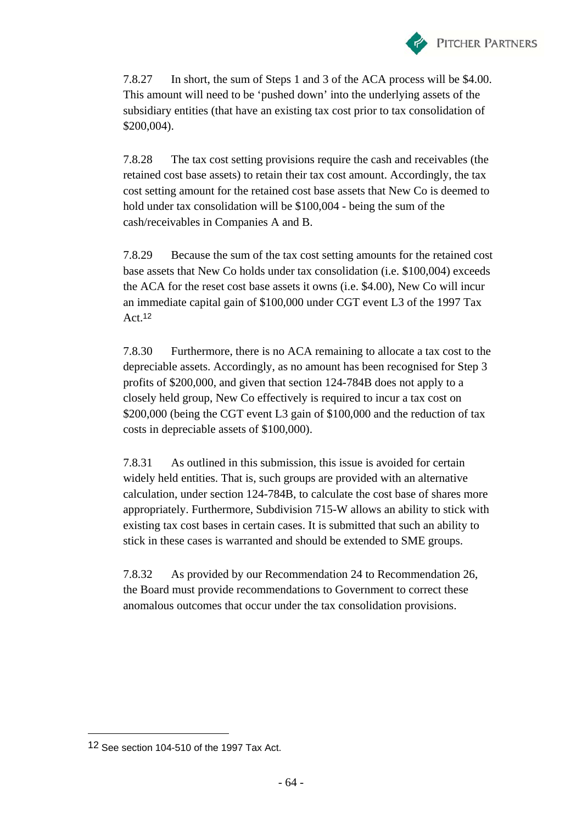

7.8.27 In short, the sum of Steps 1 and 3 of the ACA process will be \$4.00. This amount will need to be 'pushed down' into the underlying assets of the subsidiary entities (that have an existing tax cost prior to tax consolidation of \$200,004).

7.8.28 The tax cost setting provisions require the cash and receivables (the retained cost base assets) to retain their tax cost amount. Accordingly, the tax cost setting amount for the retained cost base assets that New Co is deemed to hold under tax consolidation will be \$100,004 - being the sum of the cash/receivables in Companies A and B.

7.8.29 Because the sum of the tax cost setting amounts for the retained cost base assets that New Co holds under tax consolidation (i.e. \$100,004) exceeds the ACA for the reset cost base assets it owns (i.e. \$4.00), New Co will incur an immediate capital gain of \$100,000 under CGT event L3 of the 1997 Tax Act.<sup>12</sup>

7.8.30 Furthermore, there is no ACA remaining to allocate a tax cost to the depreciable assets. Accordingly, as no amount has been recognised for Step 3 profits of \$200,000, and given that section 124-784B does not apply to a closely held group, New Co effectively is required to incur a tax cost on \$200,000 (being the CGT event L3 gain of \$100,000 and the reduction of tax costs in depreciable assets of \$100,000).

7.8.31 As outlined in this submission, this issue is avoided for certain widely held entities. That is, such groups are provided with an alternative calculation, under section 124-784B, to calculate the cost base of shares more appropriately. Furthermore, Subdivision 715-W allows an ability to stick with existing tax cost bases in certain cases. It is submitted that such an ability to stick in these cases is warranted and should be extended to SME groups.

7.8.32 As provided by our Recommendation 24 to Recommendation 26, the Board must provide recommendations to Government to correct these anomalous outcomes that occur under the tax consolidation provisions.

 $\overline{a}$ 

<sup>12</sup> See section 104-510 of the 1997 Tax Act.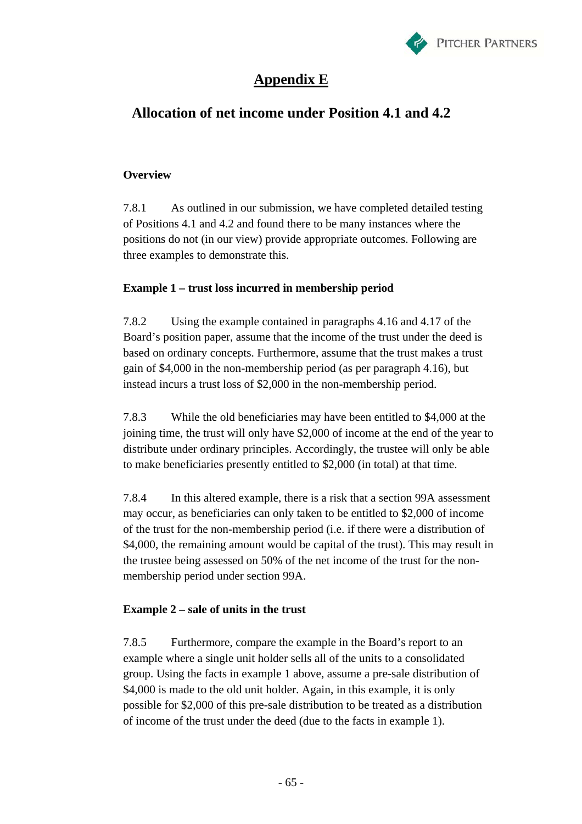

# **Appendix E**

## **Allocation of net income under Position 4.1 and 4.2**

#### **Overview**

7.8.1 As outlined in our submission, we have completed detailed testing of Positions 4.1 and 4.2 and found there to be many instances where the positions do not (in our view) provide appropriate outcomes. Following are three examples to demonstrate this.

#### **Example 1 – trust loss incurred in membership period**

7.8.2 Using the example contained in paragraphs 4.16 and 4.17 of the Board's position paper, assume that the income of the trust under the deed is based on ordinary concepts. Furthermore, assume that the trust makes a trust gain of \$4,000 in the non-membership period (as per paragraph 4.16), but instead incurs a trust loss of \$2,000 in the non-membership period.

7.8.3 While the old beneficiaries may have been entitled to \$4,000 at the joining time, the trust will only have \$2,000 of income at the end of the year to distribute under ordinary principles. Accordingly, the trustee will only be able to make beneficiaries presently entitled to \$2,000 (in total) at that time.

7.8.4 In this altered example, there is a risk that a section 99A assessment may occur, as beneficiaries can only taken to be entitled to \$2,000 of income of the trust for the non-membership period (i.e. if there were a distribution of \$4,000, the remaining amount would be capital of the trust). This may result in the trustee being assessed on 50% of the net income of the trust for the nonmembership period under section 99A.

## **Example 2 – sale of units in the trust**

7.8.5 Furthermore, compare the example in the Board's report to an example where a single unit holder sells all of the units to a consolidated group. Using the facts in example 1 above, assume a pre-sale distribution of \$4,000 is made to the old unit holder. Again, in this example, it is only possible for \$2,000 of this pre-sale distribution to be treated as a distribution of income of the trust under the deed (due to the facts in example 1).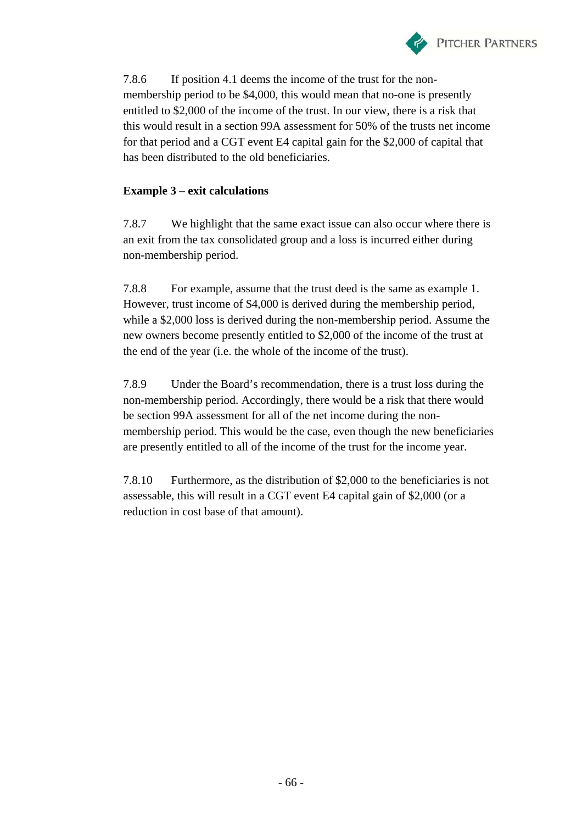

7.8.6 If position 4.1 deems the income of the trust for the nonmembership period to be \$4,000, this would mean that no-one is presently entitled to \$2,000 of the income of the trust. In our view, there is a risk that this would result in a section 99A assessment for 50% of the trusts net income for that period and a CGT event E4 capital gain for the \$2,000 of capital that has been distributed to the old beneficiaries.

#### **Example 3 – exit calculations**

7.8.7 We highlight that the same exact issue can also occur where there is an exit from the tax consolidated group and a loss is incurred either during non-membership period.

7.8.8 For example, assume that the trust deed is the same as example 1. However, trust income of \$4,000 is derived during the membership period, while a \$2,000 loss is derived during the non-membership period. Assume the new owners become presently entitled to \$2,000 of the income of the trust at the end of the year (i.e. the whole of the income of the trust).

7.8.9 Under the Board's recommendation, there is a trust loss during the non-membership period. Accordingly, there would be a risk that there would be section 99A assessment for all of the net income during the nonmembership period. This would be the case, even though the new beneficiaries are presently entitled to all of the income of the trust for the income year.

7.8.10 Furthermore, as the distribution of \$2,000 to the beneficiaries is not assessable, this will result in a CGT event E4 capital gain of \$2,000 (or a reduction in cost base of that amount).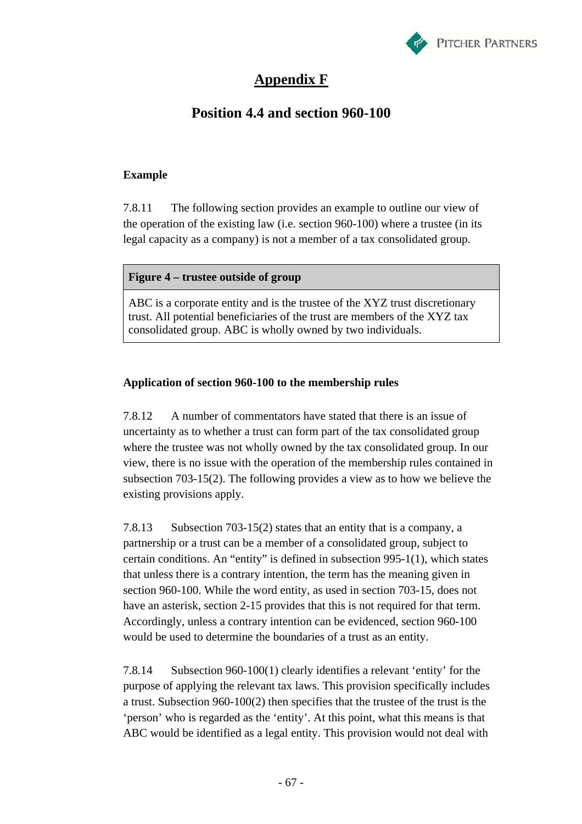

## **Appendix F**

## **Position 4.4 and section 960-100**

#### **Example**

7.8.11 The following section provides an example to outline our view of the operation of the existing law (i.e. section 960-100) where a trustee (in its legal capacity as a company) is not a member of a tax consolidated group.

#### **Figure 4 – trustee outside of group**

ABC is a corporate entity and is the trustee of the XYZ trust discretionary trust. All potential beneficiaries of the trust are members of the XYZ tax consolidated group. ABC is wholly owned by two individuals.

#### **Application of section 960-100 to the membership rules**

7.8.12 A number of commentators have stated that there is an issue of uncertainty as to whether a trust can form part of the tax consolidated group where the trustee was not wholly owned by the tax consolidated group. In our view, there is no issue with the operation of the membership rules contained in subsection 703-15(2). The following provides a view as to how we believe the existing provisions apply.

7.8.13 Subsection 703-15(2) states that an entity that is a company, a partnership or a trust can be a member of a consolidated group, subject to certain conditions. An "entity" is defined in subsection 995-1(1), which states that unless there is a contrary intention, the term has the meaning given in section 960-100. While the word entity, as used in section 703-15, does not have an asterisk, section 2-15 provides that this is not required for that term. Accordingly, unless a contrary intention can be evidenced, section 960-100 would be used to determine the boundaries of a trust as an entity.

7.8.14 Subsection 960-100(1) clearly identifies a relevant 'entity' for the purpose of applying the relevant tax laws. This provision specifically includes a trust. Subsection 960-100(2) then specifies that the trustee of the trust is the 'person' who is regarded as the 'entity'. At this point, what this means is that ABC would be identified as a legal entity. This provision would not deal with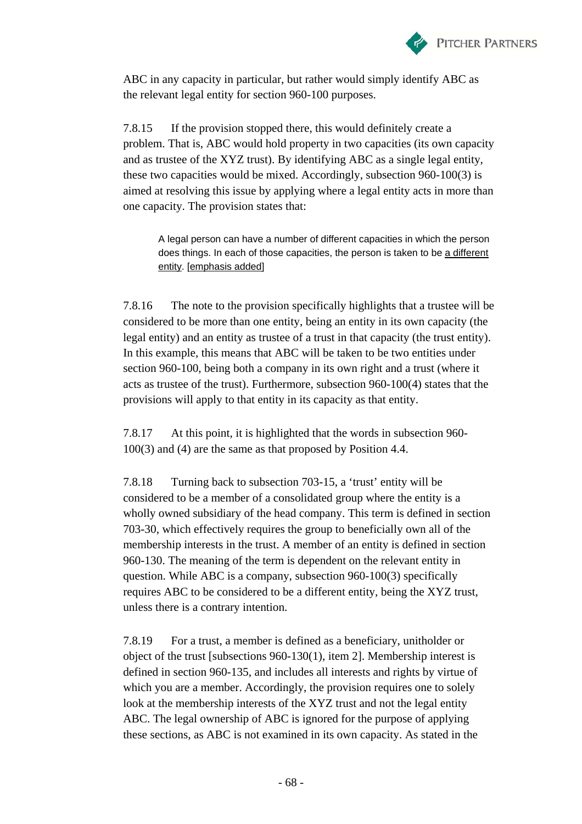

ABC in any capacity in particular, but rather would simply identify ABC as the relevant legal entity for section 960-100 purposes.

7.8.15 If the provision stopped there, this would definitely create a problem. That is, ABC would hold property in two capacities (its own capacity and as trustee of the XYZ trust). By identifying ABC as a single legal entity, these two capacities would be mixed. Accordingly, subsection 960-100(3) is aimed at resolving this issue by applying where a legal entity acts in more than one capacity. The provision states that:

A legal person can have a number of different capacities in which the person does things. In each of those capacities, the person is taken to be a different entity. [emphasis added]

7.8.16 The note to the provision specifically highlights that a trustee will be considered to be more than one entity, being an entity in its own capacity (the legal entity) and an entity as trustee of a trust in that capacity (the trust entity). In this example, this means that ABC will be taken to be two entities under section 960-100, being both a company in its own right and a trust (where it acts as trustee of the trust). Furthermore, subsection 960-100(4) states that the provisions will apply to that entity in its capacity as that entity.

7.8.17 At this point, it is highlighted that the words in subsection 960- 100(3) and (4) are the same as that proposed by Position 4.4.

7.8.18 Turning back to subsection 703-15, a 'trust' entity will be considered to be a member of a consolidated group where the entity is a wholly owned subsidiary of the head company. This term is defined in section 703-30, which effectively requires the group to beneficially own all of the membership interests in the trust. A member of an entity is defined in section 960-130. The meaning of the term is dependent on the relevant entity in question. While ABC is a company, subsection 960-100(3) specifically requires ABC to be considered to be a different entity, being the XYZ trust, unless there is a contrary intention.

7.8.19 For a trust, a member is defined as a beneficiary, unitholder or object of the trust [subsections 960-130(1), item 2]. Membership interest is defined in section 960-135, and includes all interests and rights by virtue of which you are a member. Accordingly, the provision requires one to solely look at the membership interests of the XYZ trust and not the legal entity ABC. The legal ownership of ABC is ignored for the purpose of applying these sections, as ABC is not examined in its own capacity. As stated in the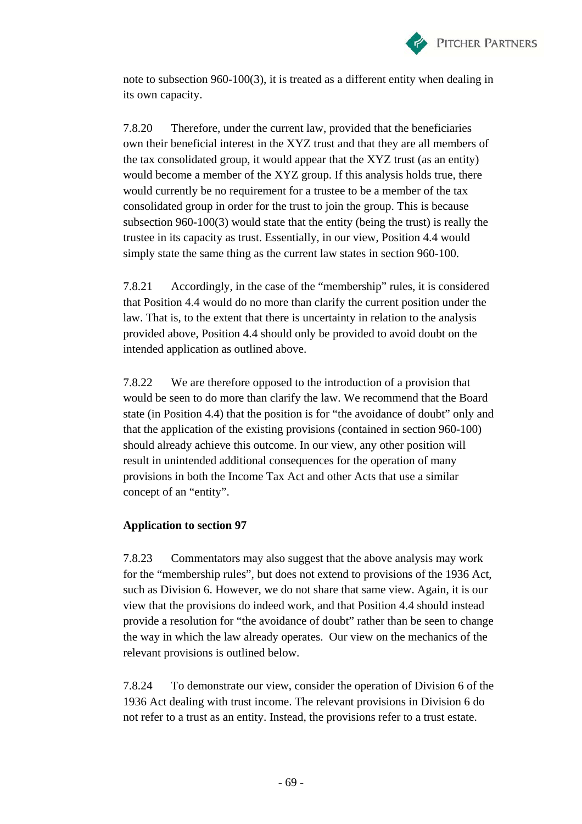

note to subsection 960-100(3), it is treated as a different entity when dealing in its own capacity.

7.8.20 Therefore, under the current law, provided that the beneficiaries own their beneficial interest in the XYZ trust and that they are all members of the tax consolidated group, it would appear that the XYZ trust (as an entity) would become a member of the XYZ group. If this analysis holds true, there would currently be no requirement for a trustee to be a member of the tax consolidated group in order for the trust to join the group. This is because subsection 960-100(3) would state that the entity (being the trust) is really the trustee in its capacity as trust. Essentially, in our view, Position 4.4 would simply state the same thing as the current law states in section 960-100.

7.8.21 Accordingly, in the case of the "membership" rules, it is considered that Position 4.4 would do no more than clarify the current position under the law. That is, to the extent that there is uncertainty in relation to the analysis provided above, Position 4.4 should only be provided to avoid doubt on the intended application as outlined above.

7.8.22 We are therefore opposed to the introduction of a provision that would be seen to do more than clarify the law. We recommend that the Board state (in Position 4.4) that the position is for "the avoidance of doubt" only and that the application of the existing provisions (contained in section 960-100) should already achieve this outcome. In our view, any other position will result in unintended additional consequences for the operation of many provisions in both the Income Tax Act and other Acts that use a similar concept of an "entity".

#### **Application to section 97**

7.8.23 Commentators may also suggest that the above analysis may work for the "membership rules", but does not extend to provisions of the 1936 Act, such as Division 6. However, we do not share that same view. Again, it is our view that the provisions do indeed work, and that Position 4.4 should instead provide a resolution for "the avoidance of doubt" rather than be seen to change the way in which the law already operates. Our view on the mechanics of the relevant provisions is outlined below.

7.8.24 To demonstrate our view, consider the operation of Division 6 of the 1936 Act dealing with trust income. The relevant provisions in Division 6 do not refer to a trust as an entity. Instead, the provisions refer to a trust estate.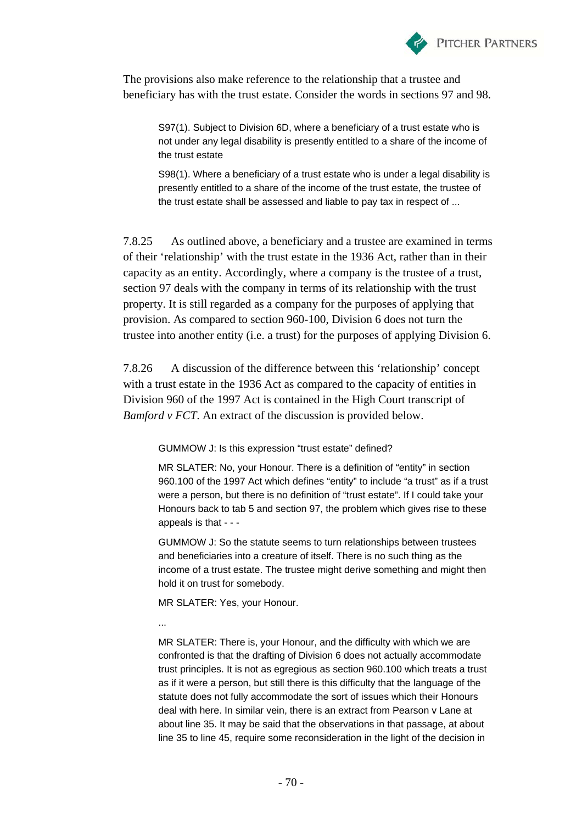

The provisions also make reference to the relationship that a trustee and beneficiary has with the trust estate. Consider the words in sections 97 and 98.

S97(1). Subject to Division 6D, where a beneficiary of a trust estate who is not under any legal disability is presently entitled to a share of the income of the trust estate

S98(1). Where a beneficiary of a trust estate who is under a legal disability is presently entitled to a share of the income of the trust estate, the trustee of the trust estate shall be assessed and liable to pay tax in respect of ...

7.8.25 As outlined above, a beneficiary and a trustee are examined in terms of their 'relationship' with the trust estate in the 1936 Act, rather than in their capacity as an entity. Accordingly, where a company is the trustee of a trust, section 97 deals with the company in terms of its relationship with the trust property. It is still regarded as a company for the purposes of applying that provision. As compared to section 960-100, Division 6 does not turn the trustee into another entity (i.e. a trust) for the purposes of applying Division 6.

7.8.26 A discussion of the difference between this 'relationship' concept with a trust estate in the 1936 Act as compared to the capacity of entities in Division 960 of the 1997 Act is contained in the High Court transcript of *Bamford v FCT*. An extract of the discussion is provided below.

GUMMOW J: Is this expression "trust estate" defined?

MR SLATER: No, your Honour. There is a definition of "entity" in section 960.100 of the 1997 Act which defines "entity" to include "a trust" as if a trust were a person, but there is no definition of "trust estate". If I could take your Honours back to tab 5 and section 97, the problem which gives rise to these appeals is that - - -

GUMMOW J: So the statute seems to turn relationships between trustees and beneficiaries into a creature of itself. There is no such thing as the income of a trust estate. The trustee might derive something and might then hold it on trust for somebody.

MR SLATER: Yes, your Honour.

...

MR SLATER: There is, your Honour, and the difficulty with which we are confronted is that the drafting of Division 6 does not actually accommodate trust principles. It is not as egregious as section 960.100 which treats a trust as if it were a person, but still there is this difficulty that the language of the statute does not fully accommodate the sort of issues which their Honours deal with here. In similar vein, there is an extract from Pearson v Lane at about line 35. It may be said that the observations in that passage, at about line 35 to line 45, require some reconsideration in the light of the decision in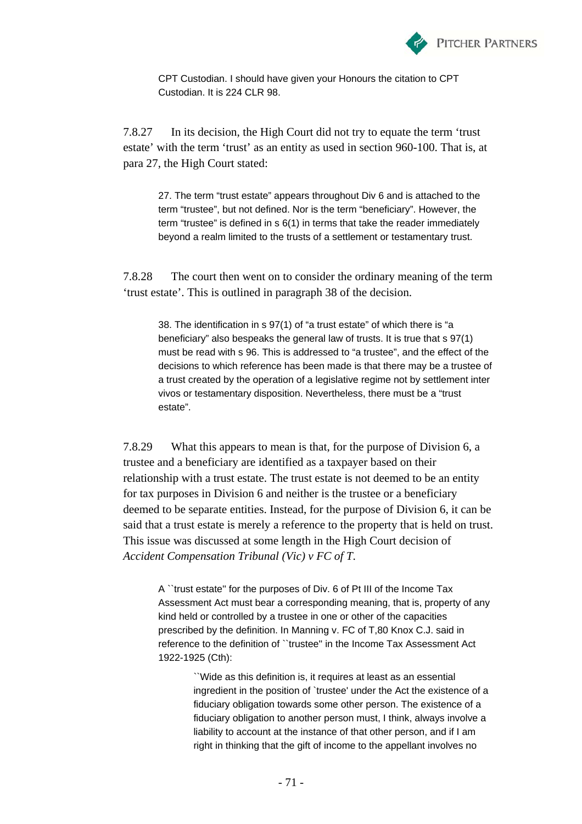

CPT Custodian. I should have given your Honours the citation to CPT Custodian. It is 224 CLR 98.

7.8.27 In its decision, the High Court did not try to equate the term 'trust estate' with the term 'trust' as an entity as used in section 960-100. That is, at para 27, the High Court stated:

27. The term "trust estate" appears throughout Div 6 and is attached to the term "trustee", but not defined. Nor is the term "beneficiary". However, the term "trustee" is defined in s 6(1) in terms that take the reader immediately beyond a realm limited to the trusts of a settlement or testamentary trust.

7.8.28 The court then went on to consider the ordinary meaning of the term 'trust estate'. This is outlined in paragraph 38 of the decision.

38. The identification in s 97(1) of "a trust estate" of which there is "a beneficiary" also bespeaks the general law of trusts. It is true that s 97(1) must be read with s 96. This is addressed to "a trustee", and the effect of the decisions to which reference has been made is that there may be a trustee of a trust created by the operation of a legislative regime not by settlement inter vivos or testamentary disposition. Nevertheless, there must be a "trust estate".

7.8.29 What this appears to mean is that, for the purpose of Division 6, a trustee and a beneficiary are identified as a taxpayer based on their relationship with a trust estate. The trust estate is not deemed to be an entity for tax purposes in Division 6 and neither is the trustee or a beneficiary deemed to be separate entities. Instead, for the purpose of Division 6, it can be said that a trust estate is merely a reference to the property that is held on trust. This issue was discussed at some length in the High Court decision of *Accident Compensation Tribunal (Vic) v FC of T*.

A ``trust estate'' for the purposes of Div. 6 of Pt III of the Income Tax Assessment Act must bear a corresponding meaning, that is, property of any kind held or controlled by a trustee in one or other of the capacities prescribed by the definition. In Manning v. FC of T,80 Knox C.J. said in reference to the definition of ``trustee'' in the Income Tax Assessment Act 1922-1925 (Cth):

> ``Wide as this definition is, it requires at least as an essential ingredient in the position of `trustee' under the Act the existence of a fiduciary obligation towards some other person. The existence of a fiduciary obligation to another person must, I think, always involve a liability to account at the instance of that other person, and if I am right in thinking that the gift of income to the appellant involves no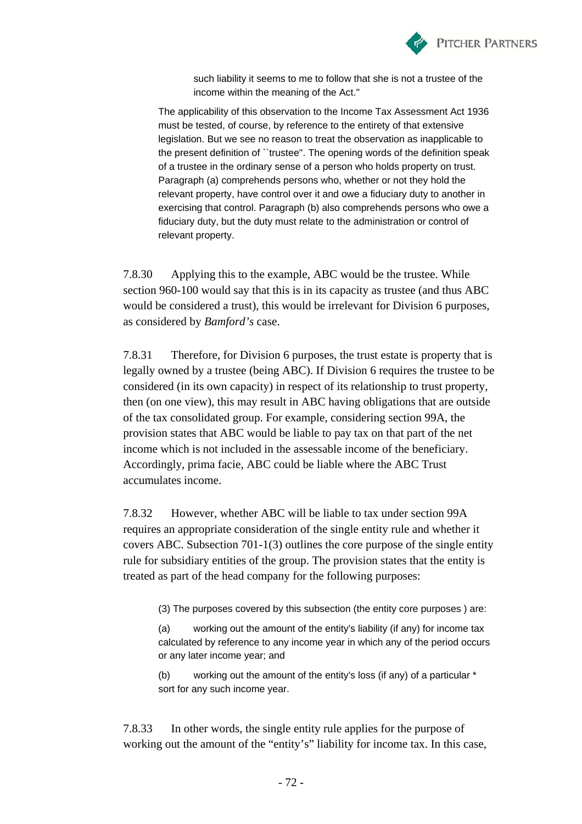

such liability it seems to me to follow that she is not a trustee of the income within the meaning of the Act.''

The applicability of this observation to the Income Tax Assessment Act 1936 must be tested, of course, by reference to the entirety of that extensive legislation. But we see no reason to treat the observation as inapplicable to the present definition of ``trustee''. The opening words of the definition speak of a trustee in the ordinary sense of a person who holds property on trust. Paragraph (a) comprehends persons who, whether or not they hold the relevant property, have control over it and owe a fiduciary duty to another in exercising that control. Paragraph (b) also comprehends persons who owe a fiduciary duty, but the duty must relate to the administration or control of relevant property.

7.8.30 Applying this to the example, ABC would be the trustee. While section 960-100 would say that this is in its capacity as trustee (and thus ABC would be considered a trust), this would be irrelevant for Division 6 purposes, as considered by *Bamford's* case.

7.8.31 Therefore, for Division 6 purposes, the trust estate is property that is legally owned by a trustee (being ABC). If Division 6 requires the trustee to be considered (in its own capacity) in respect of its relationship to trust property, then (on one view), this may result in ABC having obligations that are outside of the tax consolidated group. For example, considering section 99A, the provision states that ABC would be liable to pay tax on that part of the net income which is not included in the assessable income of the beneficiary. Accordingly, prima facie, ABC could be liable where the ABC Trust accumulates income.

7.8.32 However, whether ABC will be liable to tax under section 99A requires an appropriate consideration of the single entity rule and whether it covers ABC. Subsection 701-1(3) outlines the core purpose of the single entity rule for subsidiary entities of the group. The provision states that the entity is treated as part of the head company for the following purposes:

(3) The purposes covered by this subsection (the entity core purposes ) are:

(a) working out the amount of the entity's liability (if any) for income tax calculated by reference to any income year in which any of the period occurs or any later income year; and

(b) working out the amount of the entity's loss (if any) of a particular \* sort for any such income year.

7.8.33 In other words, the single entity rule applies for the purpose of working out the amount of the "entity's" liability for income tax. In this case,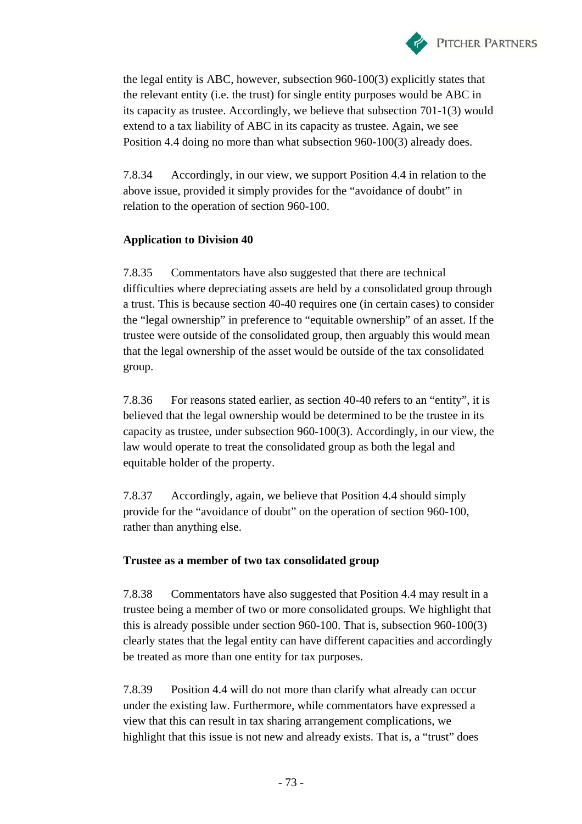

the legal entity is ABC, however, subsection 960-100(3) explicitly states that the relevant entity (i.e. the trust) for single entity purposes would be ABC in its capacity as trustee. Accordingly, we believe that subsection 701-1(3) would extend to a tax liability of ABC in its capacity as trustee. Again, we see Position 4.4 doing no more than what subsection 960-100(3) already does.

7.8.34 Accordingly, in our view, we support Position 4.4 in relation to the above issue, provided it simply provides for the "avoidance of doubt" in relation to the operation of section 960-100.

## **Application to Division 40**

7.8.35 Commentators have also suggested that there are technical difficulties where depreciating assets are held by a consolidated group through a trust. This is because section 40-40 requires one (in certain cases) to consider the "legal ownership" in preference to "equitable ownership" of an asset. If the trustee were outside of the consolidated group, then arguably this would mean that the legal ownership of the asset would be outside of the tax consolidated group.

7.8.36 For reasons stated earlier, as section 40-40 refers to an "entity", it is believed that the legal ownership would be determined to be the trustee in its capacity as trustee, under subsection 960-100(3). Accordingly, in our view, the law would operate to treat the consolidated group as both the legal and equitable holder of the property.

7.8.37 Accordingly, again, we believe that Position 4.4 should simply provide for the "avoidance of doubt" on the operation of section 960-100, rather than anything else.

## **Trustee as a member of two tax consolidated group**

7.8.38 Commentators have also suggested that Position 4.4 may result in a trustee being a member of two or more consolidated groups. We highlight that this is already possible under section 960-100. That is, subsection 960-100(3) clearly states that the legal entity can have different capacities and accordingly be treated as more than one entity for tax purposes.

7.8.39 Position 4.4 will do not more than clarify what already can occur under the existing law. Furthermore, while commentators have expressed a view that this can result in tax sharing arrangement complications, we highlight that this issue is not new and already exists. That is, a "trust" does